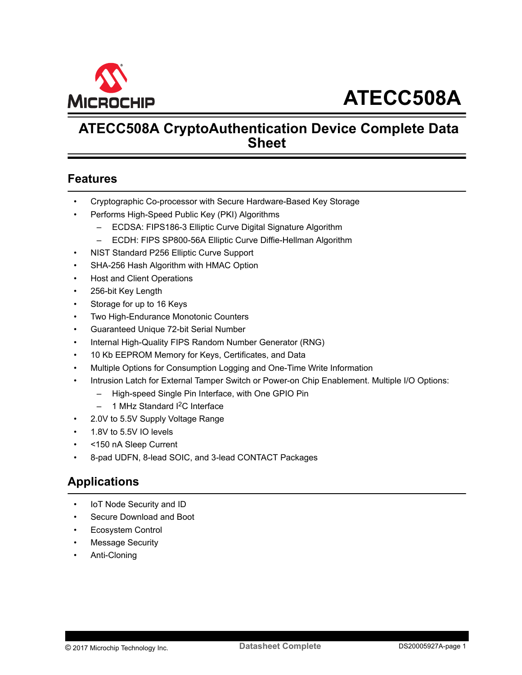<span id="page-0-0"></span>

# **ATECC508A CryptoAuthentication Device Complete Data Sheet**

## **Features**

- Cryptographic Co-processor with Secure Hardware-Based Key Storage
- Performs High-Speed Public Key (PKI) Algorithms
	- ECDSA: FIPS186-3 Elliptic Curve Digital Signature Algorithm
	- ECDH: FIPS SP800-56A Elliptic Curve Diffie-Hellman Algorithm
- NIST Standard P256 Elliptic Curve Support
- SHA-256 Hash Algorithm with HMAC Option
- Host and Client Operations
- 256-bit Key Length
- Storage for up to 16 Keys
- Two High-Endurance Monotonic Counters
- Guaranteed Unique 72-bit Serial Number
- Internal High-Quality FIPS Random Number Generator (RNG)
- 10 Kb EEPROM Memory for Keys, Certificates, and Data
- Multiple Options for Consumption Logging and One-Time Write Information
- Intrusion Latch for External Tamper Switch or Power-on Chip Enablement. Multiple I/O Options:
	- High-speed Single Pin Interface, with One GPIO Pin
	- $-$  1 MHz Standard I<sup>2</sup>C Interface
- 2.0V to 5.5V Supply Voltage Range
- 1.8V to 5.5V IO levels
- <150 nA Sleep Current
- 8-pad UDFN, 8-lead SOIC, and 3-lead CONTACT Packages

## **Applications**

- IoT Node Security and ID
- Secure Download and Boot
- Ecosystem Control
- **Message Security**
- Anti-Cloning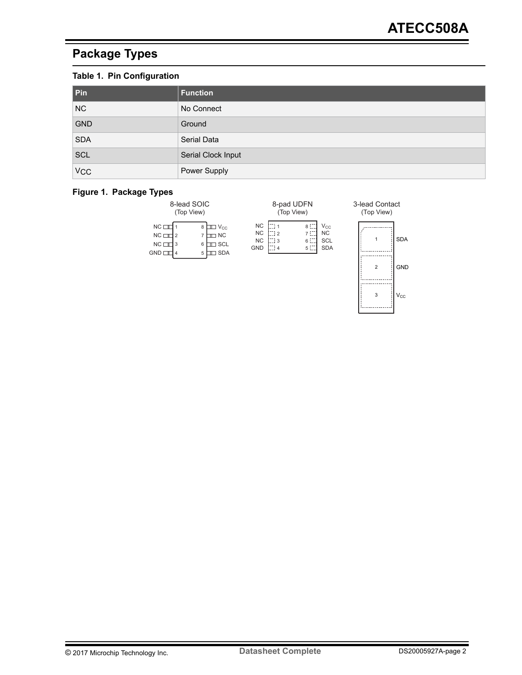# <span id="page-1-0"></span>**Package Types**

## **Table 1. Pin Configuration**

| Pin                   | <b>Function</b>    |
|-----------------------|--------------------|
| NC                    | No Connect         |
| <b>GND</b>            | Ground             |
| <b>SDA</b>            | Serial Data        |
| <b>SCL</b>            | Serial Clock Input |
| <b>V<sub>CC</sub></b> | Power Supply       |

#### **Figure 1. Package Types**

| 8-lead SOIC<br>(Top View)                           |            |                                                         | 8-pad UDFN<br>(Top View)                          |                      |                          |                                              |
|-----------------------------------------------------|------------|---------------------------------------------------------|---------------------------------------------------|----------------------|--------------------------|----------------------------------------------|
| NC <sub>1</sub><br>$NC \square$<br>$NC \Box$<br>GND | l 2<br>l 3 | III Vcc<br>8<br>I NC<br>⊐ SCL<br>6<br><b>J SDA</b><br>5 | <b>NC</b><br><b>NC</b><br><b>NC</b><br><b>GND</b> | - 11<br>$-12$<br>- 3 | 8:<br>7E<br>6 i.<br>5 i. | Vcc<br><b>NC</b><br><b>SCL</b><br><b>SDA</b> |

3-lead Contact

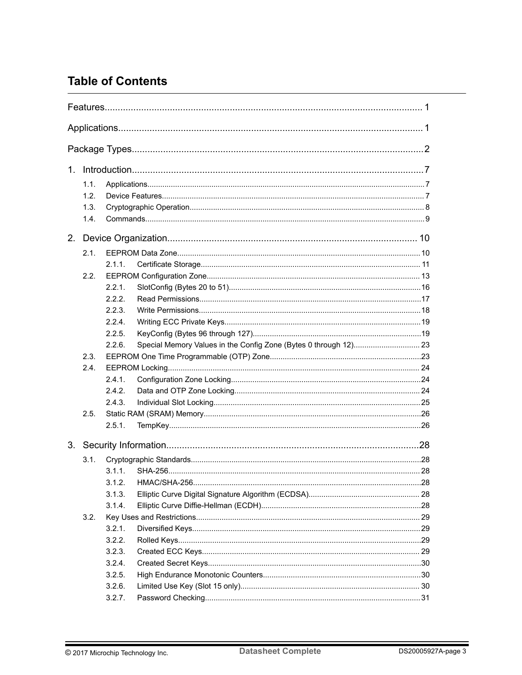# **Table of Contents**

| 1.1. |        |  |
|------|--------|--|
| 1.2. |        |  |
| 1.3. |        |  |
| 1.4. |        |  |
|      |        |  |
| 2.1. |        |  |
|      | 2.1.1. |  |
| 2.2. |        |  |
|      | 221    |  |
|      | 2.2.2  |  |
|      | 2.2.3. |  |
|      | 2.2.4. |  |
|      | 2.2.5. |  |
|      | 2.26   |  |
| 2.3. |        |  |
| 2.4. |        |  |
|      | 2.4.1. |  |
|      | 2.4.2. |  |
|      | 2.4.3. |  |
| 2.5. |        |  |
|      | 2.5.1. |  |
|      |        |  |
| 3.1. |        |  |
|      | 3.1.1. |  |
|      | 3.1.2. |  |
|      | 3.1.3. |  |
|      | 3.1.4. |  |
| 3.2. |        |  |
|      | 3.2.1. |  |
|      | 3.2.2. |  |
|      | 3.2.3. |  |
|      | 3.2.4. |  |
|      | 3.2.5. |  |
|      | 3.2.6. |  |
|      | 3.2.7. |  |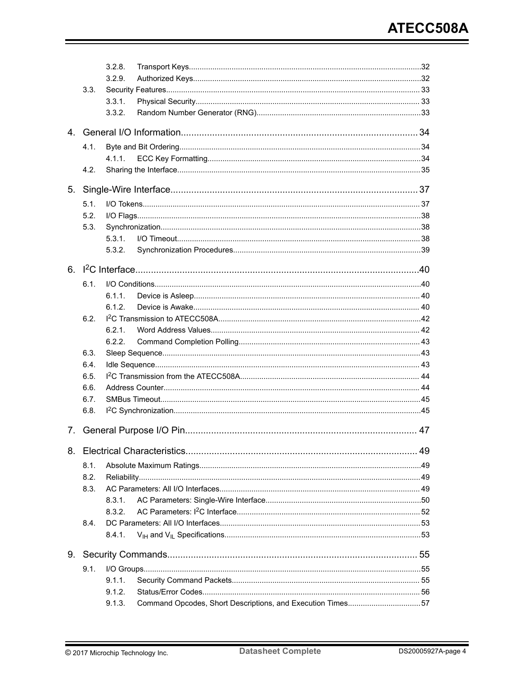|    |      | 3.2.8.                                                               |  |
|----|------|----------------------------------------------------------------------|--|
|    |      | 3.2.9.                                                               |  |
|    | 3.3. |                                                                      |  |
|    |      | 3.3.1.                                                               |  |
|    |      | 3.3.2.                                                               |  |
|    |      |                                                                      |  |
|    | 4.1. |                                                                      |  |
|    |      | 4.1.1.                                                               |  |
|    | 4.2. |                                                                      |  |
| 5. |      |                                                                      |  |
|    | 5.1. |                                                                      |  |
|    | 5.2. |                                                                      |  |
|    | 5.3. |                                                                      |  |
|    |      | 5.3.1.                                                               |  |
|    |      | 5.3.2.                                                               |  |
|    |      |                                                                      |  |
|    | 6.1. |                                                                      |  |
|    |      | 6.1.1.                                                               |  |
|    |      | 6.1.2.                                                               |  |
|    | 6.2. |                                                                      |  |
|    |      | 6.2.1.                                                               |  |
|    |      | 6.2.2.                                                               |  |
|    | 6.3. |                                                                      |  |
|    | 6.4. |                                                                      |  |
|    | 6.5. |                                                                      |  |
|    | 6.6. |                                                                      |  |
|    | 6.7. |                                                                      |  |
|    | 6.8. |                                                                      |  |
|    |      |                                                                      |  |
|    |      |                                                                      |  |
|    | 8.1. |                                                                      |  |
|    | 8.2. |                                                                      |  |
|    | 8.3. |                                                                      |  |
|    |      | 8.3.1.                                                               |  |
|    |      | 8.3.2.                                                               |  |
|    | 8.4. |                                                                      |  |
|    |      | 8.4.1.                                                               |  |
| 9. |      |                                                                      |  |
|    | 9.1. |                                                                      |  |
|    |      | 9.1.1.                                                               |  |
|    |      | 9.1.2.                                                               |  |
|    |      | Command Opcodes, Short Descriptions, and Execution Times57<br>9.1.3. |  |
|    |      |                                                                      |  |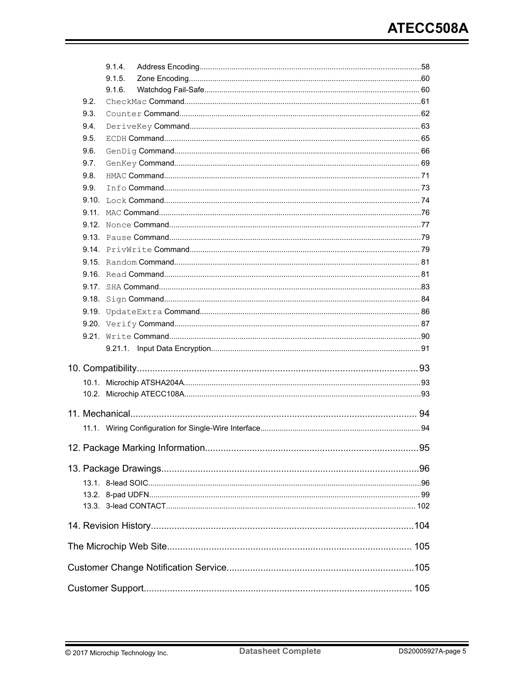|      | 9.1.4. |  |
|------|--------|--|
|      | 9.1.5. |  |
|      | 9.1.6. |  |
| 9.2. |        |  |
| 9.3. |        |  |
| 9.4. |        |  |
| 9.5. |        |  |
| 9.6. |        |  |
| 9.7. |        |  |
| 9.8. |        |  |
| 9.9. |        |  |
|      |        |  |
|      |        |  |
|      |        |  |
|      |        |  |
|      |        |  |
|      |        |  |
|      |        |  |
|      |        |  |
|      |        |  |
|      |        |  |
|      |        |  |
|      |        |  |
|      |        |  |
|      |        |  |
|      |        |  |
|      |        |  |
|      |        |  |
|      |        |  |
|      |        |  |
|      |        |  |
|      |        |  |
|      |        |  |
|      |        |  |
|      |        |  |
|      |        |  |
|      |        |  |
|      |        |  |
|      |        |  |
|      |        |  |
|      |        |  |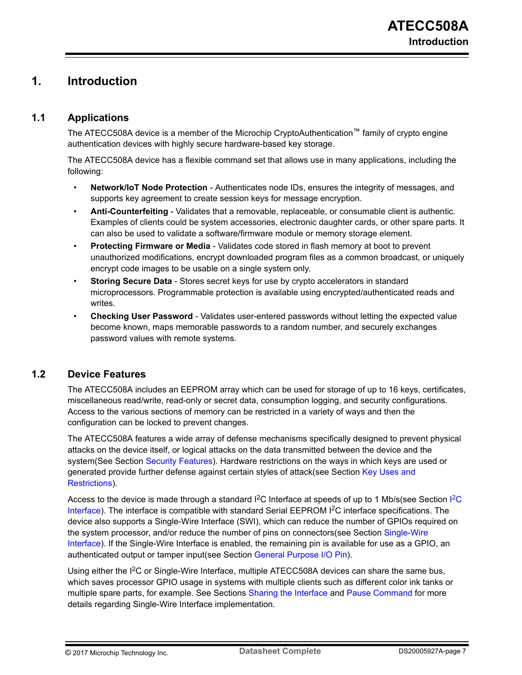## <span id="page-6-0"></span>**1. Introduction**

## **1.1 Applications**

The ATECC508A device is a member of the Microchip CryptoAuthentication™ family of crypto engine authentication devices with highly secure hardware-based key storage.

The ATECC508A device has a flexible command set that allows use in many applications, including the following:

- **Network/IoT Node Protection** Authenticates node IDs, ensures the integrity of messages, and supports key agreement to create session keys for message encryption.
- **Anti-Counterfeiting** Validates that a removable, replaceable, or consumable client is authentic. Examples of clients could be system accessories, electronic daughter cards, or other spare parts. It can also be used to validate a software/firmware module or memory storage element.
- **Protecting Firmware or Media** Validates code stored in flash memory at boot to prevent unauthorized modifications, encrypt downloaded program files as a common broadcast, or uniquely encrypt code images to be usable on a single system only.
- **Storing Secure Data** Stores secret keys for use by crypto accelerators in standard microprocessors. Programmable protection is available using encrypted/authenticated reads and writes.
- **Checking User Password**  Validates user-entered passwords without letting the expected value become known, maps memorable passwords to a random number, and securely exchanges password values with remote systems.

## **1.2 Device Features**

The ATECC508A includes an EEPROM array which can be used for storage of up to 16 keys, certificates, miscellaneous read/write, read-only or secret data, consumption logging, and security configurations. Access to the various sections of memory can be restricted in a variety of ways and then the configuration can be locked to prevent changes.

The ATECC508A features a wide array of defense mechanisms specifically designed to prevent physical attacks on the device itself, or logical attacks on the data transmitted between the device and the system(See Section [Security Features](#page-32-0)). Hardware restrictions on the ways in which keys are used or generated provide further defense against certain styles of attack(see Section [Key Uses and](#page-28-0) [Restrictions\)](#page-28-0).

Access to the device is made through a standard I<sup>2</sup>[C](#page-39-0) Interface at speeds of up to 1 Mb/s(see Section I<sup>2</sup>C [Interface](#page-39-0)). The interface is compatible with standard Serial EEPROM I<sup>2</sup>C interface specifications. The device also supports a Single-Wire Interface (SWI), which can reduce the number of GPIOs required on the system processor, and/or reduce the number of pins on connectors(see Section [Single-Wire](#page-36-0) [Interface](#page-36-0)). If the Single-Wire Interface is enabled, the remaining pin is available for use as a GPIO, an authenticated output or tamper input(see Section [General Purpose I/O Pin](#page-46-0)).

Using either the I<sup>2</sup>C or Single-Wire Interface, multiple ATECC508A devices can share the same bus, which saves processor GPIO usage in systems with multiple clients such as different color ink tanks or multiple spare parts, for example. See Sections [Sharing the Interface](#page-34-0) and [Pause Command](#page-78-0) for more details regarding Single-Wire Interface implementation.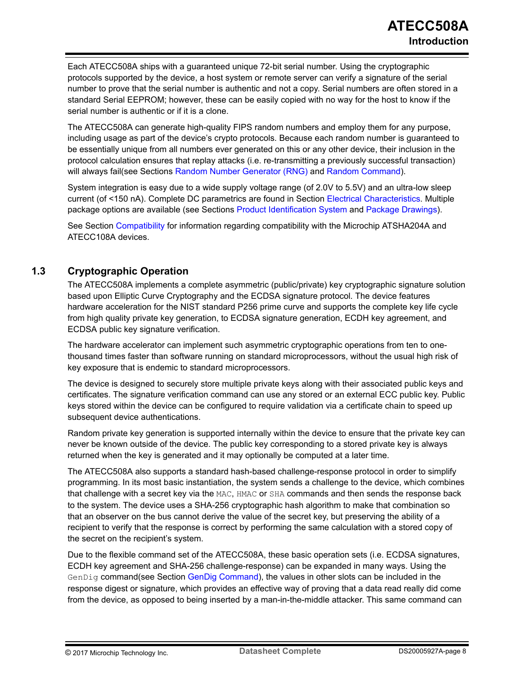<span id="page-7-0"></span>Each ATECC508A ships with a guaranteed unique 72-bit serial number. Using the cryptographic protocols supported by the device, a host system or remote server can verify a signature of the serial number to prove that the serial number is authentic and not a copy. Serial numbers are often stored in a standard Serial EEPROM; however, these can be easily copied with no way for the host to know if the serial number is authentic or if it is a clone.

The ATECC508A can generate high-quality FIPS random numbers and employ them for any purpose, including usage as part of the device's crypto protocols. Because each random number is guaranteed to be essentially unique from all numbers ever generated on this or any other device, their inclusion in the protocol calculation ensures that replay attacks (i.e. re-transmitting a previously successful transaction) will always fail(see Sections [Random Number Generator \(RNG\)](#page-32-0) and [Random Command](#page-80-0)).

System integration is easy due to a wide supply voltage range (of 2.0V to 5.5V) and an ultra-low sleep current (of <150 nA). Complete DC parametrics are found in Section [Electrical Characteristics](#page-48-0). Multiple package options are available (see Sections [Product Identification System](#page-105-0) and [Package Drawings\)](#page-95-0).

See Section [Compatibility](#page-92-0) for information regarding compatibility with the Microchip ATSHA204A and ATECC108A devices.

## **1.3 Cryptographic Operation**

The ATECC508A implements a complete asymmetric (public/private) key cryptographic signature solution based upon Elliptic Curve Cryptography and the ECDSA signature protocol. The device features hardware acceleration for the NIST standard P256 prime curve and supports the complete key life cycle from high quality private key generation, to ECDSA signature generation, ECDH key agreement, and ECDSA public key signature verification.

The hardware accelerator can implement such asymmetric cryptographic operations from ten to onethousand times faster than software running on standard microprocessors, without the usual high risk of key exposure that is endemic to standard microprocessors.

The device is designed to securely store multiple private keys along with their associated public keys and certificates. The signature verification command can use any stored or an external ECC public key. Public keys stored within the device can be configured to require validation via a certificate chain to speed up subsequent device authentications.

Random private key generation is supported internally within the device to ensure that the private key can never be known outside of the device. The public key corresponding to a stored private key is always returned when the key is generated and it may optionally be computed at a later time.

The ATECC508A also supports a standard hash-based challenge-response protocol in order to simplify programming. In its most basic instantiation, the system sends a challenge to the device, which combines that challenge with a secret key via the MAC, HMAC or SHA commands and then sends the response back to the system. The device uses a SHA-256 cryptographic hash algorithm to make that combination so that an observer on the bus cannot derive the value of the secret key, but preserving the ability of a recipient to verify that the response is correct by performing the same calculation with a stored copy of the secret on the recipient's system.

Due to the flexible command set of the ATECC508A, these basic operation sets (i.e. ECDSA signatures, ECDH key agreement and SHA-256 challenge-response) can be expanded in many ways. Using the GenDig command(see Section [GenDig Command](#page-65-0)), the values in other slots can be included in the response digest or signature, which provides an effective way of proving that a data read really did come from the device, as opposed to being inserted by a man-in-the-middle attacker. This same command can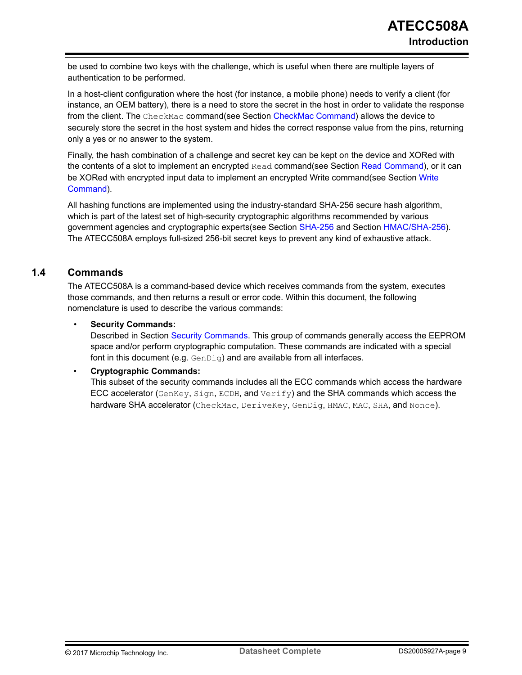<span id="page-8-0"></span>be used to combine two keys with the challenge, which is useful when there are multiple layers of authentication to be performed.

In a host-client configuration where the host (for instance, a mobile phone) needs to verify a client (for instance, an OEM battery), there is a need to store the secret in the host in order to validate the response from the client. The CheckMac command(see Section [CheckMac Command\)](#page-60-0) allows the device to securely store the secret in the host system and hides the correct response value from the pins, returning only a yes or no answer to the system.

Finally, the hash combination of a challenge and secret key can be kept on the device and XORed with the contents of a slot to implement an encrypted Read command(see Section [Read Command\)](#page-80-0), or it can be XORed with encrypted input data to implement an encrypted [Write](#page-89-0) command(see Section Write [Command](#page-89-0)).

All hashing functions are implemented using the industry-standard SHA-256 secure hash algorithm, which is part of the latest set of high-security cryptographic algorithms recommended by various government agencies and cryptographic experts(see Section [SHA-256](#page-27-0) and Section [HMAC/SHA-256\)](#page-27-0). The ATECC508A employs full-sized 256-bit secret keys to prevent any kind of exhaustive attack.

### **1.4 Commands**

The ATECC508A is a command-based device which receives commands from the system, executes those commands, and then returns a result or error code. Within this document, the following nomenclature is used to describe the various commands:

#### • **Security Commands:**

Described in Section [Security Commands.](#page-54-0) This group of commands generally access the EEPROM space and/or perform cryptographic computation. These commands are indicated with a special font in this document (e.g.  $GenDiq$ ) and are available from all interfaces.

#### • **Cryptographic Commands:**

This subset of the security commands includes all the ECC commands which access the hardware ECC accelerator (GenKey, Sign, ECDH, and Verify) and the SHA commands which access the hardware SHA accelerator (CheckMac, DeriveKey, GenDig, HMAC, MAC, SHA, and Nonce).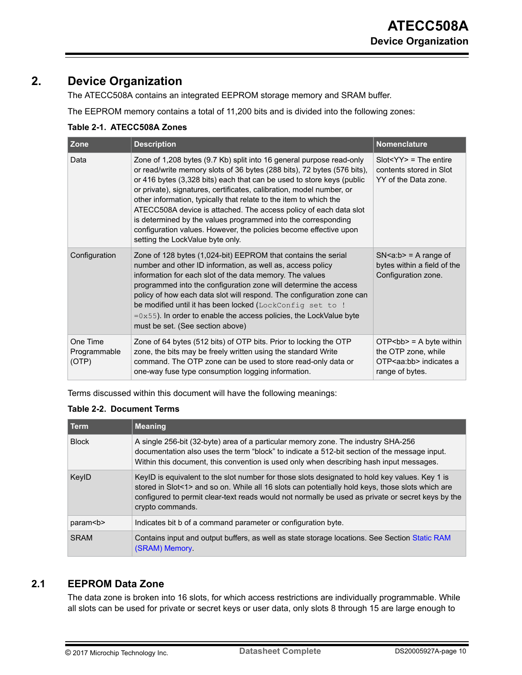# <span id="page-9-0"></span>**2. Device Organization**

The ATECC508A contains an integrated EEPROM storage memory and SRAM buffer.

The EEPROM memory contains a total of 11,200 bits and is divided into the following zones:

| Table 2-T. ATECC500A ZONES        |                                                                                                                                                                                                                                                                                                                                                                                                                                                                                                                                                                                                                      |                                                                                                     |  |  |  |  |  |  |
|-----------------------------------|----------------------------------------------------------------------------------------------------------------------------------------------------------------------------------------------------------------------------------------------------------------------------------------------------------------------------------------------------------------------------------------------------------------------------------------------------------------------------------------------------------------------------------------------------------------------------------------------------------------------|-----------------------------------------------------------------------------------------------------|--|--|--|--|--|--|
| Zone                              | <b>Description</b>                                                                                                                                                                                                                                                                                                                                                                                                                                                                                                                                                                                                   | Nomenclature                                                                                        |  |  |  |  |  |  |
| Data                              | Zone of 1,208 bytes (9.7 Kb) split into 16 general purpose read-only<br>or read/write memory slots of 36 bytes (288 bits), 72 bytes (576 bits),<br>or 416 bytes (3,328 bits) each that can be used to store keys (public<br>or private), signatures, certificates, calibration, model number, or<br>other information, typically that relate to the item to which the<br>ATECC508A device is attached. The access policy of each data slot<br>is determined by the values programmed into the corresponding<br>configuration values. However, the policies become effective upon<br>setting the LockValue byte only. | $Slot < YY > = The$ entire<br>contents stored in Slot<br>YY of the Data zone.                       |  |  |  |  |  |  |
| Configuration                     | Zone of 128 bytes (1,024-bit) EEPROM that contains the serial<br>number and other ID information, as well as, access policy<br>information for each slot of the data memory. The values<br>programmed into the configuration zone will determine the access<br>policy of how each data slot will respond. The configuration zone can<br>be modified until it has been locked (LockConfig set to !<br>$=0x55$ ). In order to enable the access policies, the LockValue byte<br>must be set. (See section above)                                                                                                       | $SN < a:b > = A$ range of<br>bytes within a field of the<br>Configuration zone.                     |  |  |  |  |  |  |
| One Time<br>Programmable<br>(OTP) | Zone of 64 bytes (512 bits) of OTP bits. Prior to locking the OTP<br>zone, the bits may be freely written using the standard Write<br>command. The OTP zone can be used to store read-only data or<br>one-way fuse type consumption logging information.                                                                                                                                                                                                                                                                                                                                                             | $OTP$ = A byte within<br>the OTP zone, while<br>OTP <aa:bb> indicates a<br/>range of bytes.</aa:bb> |  |  |  |  |  |  |

## **Table 2-1. ATECC508A Zones**

Terms discussed within this document will have the following meanings:

#### **Table 2-2. Document Terms**

| Term          | <b>Meaning</b>                                                                                                                                                                                                                                                                                                              |
|---------------|-----------------------------------------------------------------------------------------------------------------------------------------------------------------------------------------------------------------------------------------------------------------------------------------------------------------------------|
| <b>Block</b>  | A single 256-bit (32-byte) area of a particular memory zone. The industry SHA-256<br>documentation also uses the term "block" to indicate a 512-bit section of the message input.<br>Within this document, this convention is used only when describing hash input messages.                                                |
| KeylD         | KeyID is equivalent to the slot number for those slots designated to hold key values. Key 1 is<br>stored in Slot<1> and so on. While all 16 slots can potentially hold keys, those slots which are<br>configured to permit clear-text reads would not normally be used as private or secret keys by the<br>crypto commands. |
| param <b></b> | Indicates bit b of a command parameter or configuration byte.                                                                                                                                                                                                                                                               |
| <b>SRAM</b>   | Contains input and output buffers, as well as state storage locations. See Section Static RAM<br>(SRAM) Memory                                                                                                                                                                                                              |

## **2.1 EEPROM Data Zone**

The data zone is broken into 16 slots, for which access restrictions are individually programmable. While all slots can be used for private or secret keys or user data, only slots 8 through 15 are large enough to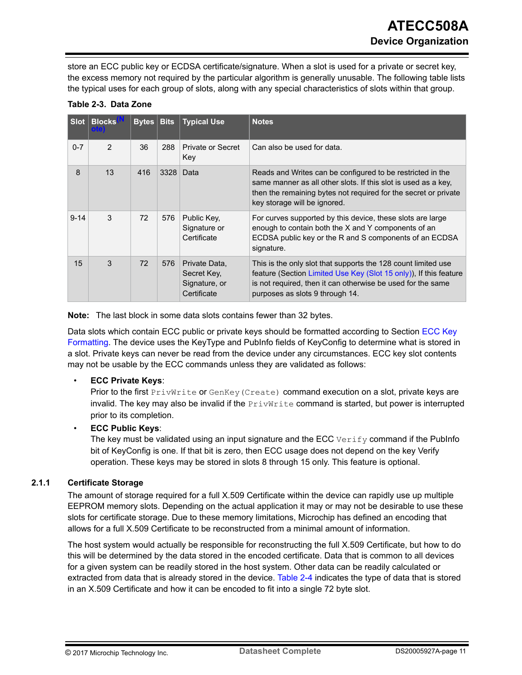<span id="page-10-0"></span>store an ECC public key or ECDSA certificate/signature. When a slot is used for a private or secret key, the excess memory not required by the particular algorithm is generally unusable. The following table lists the typical uses for each group of slots, along with any special characteristics of slots within that group.

| <b>Slot</b> | <b>Blocks</b>  | Bytes | <b>Bits</b> | <b>Typical Use</b>                                           | <b>Notes</b>                                                                                                                                                                                                                         |
|-------------|----------------|-------|-------------|--------------------------------------------------------------|--------------------------------------------------------------------------------------------------------------------------------------------------------------------------------------------------------------------------------------|
| $0 - 7$     | $\overline{2}$ | 36    | 288         | Private or Secret<br>Key                                     | Can also be used for data.                                                                                                                                                                                                           |
| 8           | 13             | 416   | 3328        | Data                                                         | Reads and Writes can be configured to be restricted in the<br>same manner as all other slots. If this slot is used as a key,<br>then the remaining bytes not required for the secret or private<br>key storage will be ignored.      |
| $9 - 14$    | 3              | 72    | 576         | Public Key,<br>Signature or<br>Certificate                   | For curves supported by this device, these slots are large<br>enough to contain both the X and Y components of an<br>ECDSA public key or the R and S components of an ECDSA<br>signature.                                            |
| 15          | 3              | 72    | 576         | Private Data,<br>Secret Key,<br>Signature, or<br>Certificate | This is the only slot that supports the 128 count limited use<br>feature (Section Limited Use Key (Slot 15 only)), If this feature<br>is not required, then it can otherwise be used for the same<br>purposes as slots 9 through 14. |

### **Table 2-3. Data Zone**

**Note:**  The last block in some data slots contains fewer than 32 bytes.

Data slots which contain ECC public or private keys should be formatted according to Section [ECC Key](#page-33-0) [Formatting](#page-33-0). The device uses the KeyType and PubInfo fields of KeyConfig to determine what is stored in a slot. Private keys can never be read from the device under any circumstances. ECC key slot contents may not be usable by the ECC commands unless they are validated as follows:

#### • **ECC Private Keys**:

Prior to the first PrivWrite or GenKey (Create) command execution on a slot, private keys are invalid. The key may also be invalid if the  $PrivWrite$  command is started, but power is interrupted prior to its completion.

#### • **ECC Public Keys**:

The key must be validated using an input signature and the ECC  $Verify$  command if the PubInfo bit of KeyConfig is one. If that bit is zero, then ECC usage does not depend on the key Verify operation. These keys may be stored in slots 8 through 15 only. This feature is optional.

#### **2.1.1 Certificate Storage**

The amount of storage required for a full X.509 Certificate within the device can rapidly use up multiple EEPROM memory slots. Depending on the actual application it may or may not be desirable to use these slots for certificate storage. Due to these memory limitations, Microchip has defined an encoding that allows for a full X.509 Certificate to be reconstructed from a minimal amount of information.

The host system would actually be responsible for reconstructing the full X.509 Certificate, but how to do this will be determined by the data stored in the encoded certificate. Data that is common to all devices for a given system can be readily stored in the host system. Other data can be readily calculated or extracted from data that is already stored in the device. [Table 2-4](#page-11-0) indicates the type of data that is stored in an X.509 Certificate and how it can be encoded to fit into a single 72 byte slot.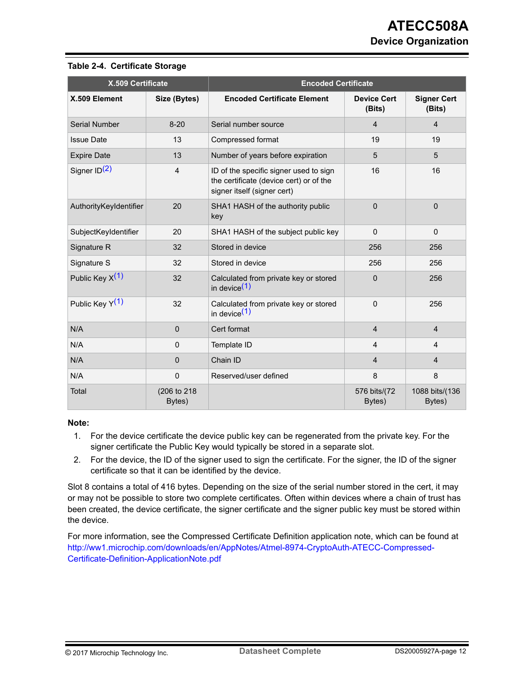| X.509 Certificate           |                        |                                                                                                                  | <b>Encoded Certificate</b>   |                              |  |  |  |
|-----------------------------|------------------------|------------------------------------------------------------------------------------------------------------------|------------------------------|------------------------------|--|--|--|
| X.509 Element               | Size (Bytes)           | <b>Encoded Certificate Element</b>                                                                               | <b>Device Cert</b><br>(Bits) | <b>Signer Cert</b><br>(Bits) |  |  |  |
| Serial Number               | $8 - 20$               | Serial number source                                                                                             | 4                            | $\overline{4}$               |  |  |  |
| <b>Issue Date</b>           | 13                     | Compressed format                                                                                                | 19                           | 19                           |  |  |  |
| <b>Expire Date</b>          | 13                     | Number of years before expiration                                                                                | 5                            | 5                            |  |  |  |
| Signer ID <sup>(2)</sup>    | 4                      | ID of the specific signer used to sign<br>the certificate (device cert) or of the<br>signer itself (signer cert) | 16                           | 16                           |  |  |  |
| AuthorityKeyIdentifier      | 20                     | SHA1 HASH of the authority public<br>key                                                                         | 0                            | $\mathbf{0}$                 |  |  |  |
| SubjectKeyIdentifier        | 20                     | SHA1 HASH of the subject public key                                                                              | $\Omega$                     | $\Omega$                     |  |  |  |
| Signature R                 | 32                     | Stored in device                                                                                                 | 256                          | 256                          |  |  |  |
| Signature S                 | 32                     | Stored in device                                                                                                 | 256                          | 256                          |  |  |  |
| Public Key $X(1)$           | 32                     | Calculated from private key or stored<br>in device $(1)$                                                         | 0                            | 256                          |  |  |  |
| Public Key Y <sup>(1)</sup> | 32                     | Calculated from private key or stored<br>in device <sup>(1)</sup>                                                | $\Omega$                     | 256                          |  |  |  |
| N/A                         | $\mathbf{0}$           | Cert format                                                                                                      | $\overline{4}$               | $\overline{4}$               |  |  |  |
| N/A                         | $\Omega$               | Template ID                                                                                                      | $\overline{4}$               | 4                            |  |  |  |
| N/A                         | $\Omega$               | Chain ID                                                                                                         | 4                            | $\overline{4}$               |  |  |  |
| N/A                         | $\mathbf{0}$           | Reserved/user defined                                                                                            | 8                            | 8                            |  |  |  |
| Total                       | (206 to 218)<br>Bytes) |                                                                                                                  | 576 bits/(72<br>Bytes)       | 1088 bits/(136<br>Bytes)     |  |  |  |

#### <span id="page-11-0"></span>**Table 2-4. Certificate Storage**

#### **Note:**

- 1. For the device certificate the device public key can be regenerated from the private key. For the signer certificate the Public Key would typically be stored in a separate slot.
- 2. For the device, the ID of the signer used to sign the certificate. For the signer, the ID of the signer certificate so that it can be identified by the device.

Slot 8 contains a total of 416 bytes. Depending on the size of the serial number stored in the cert, it may or may not be possible to store two complete certificates. Often within devices where a chain of trust has been created, the device certificate, the signer certificate and the signer public key must be stored within the device.

For more information, see the Compressed Certificate Definition application note, which can be found at [http://ww1.microchip.com/downloads/en/AppNotes/Atmel-8974-CryptoAuth-ATECC-Compressed-](http://ww1.microchip.com/downloads/en/AppNotes/Atmel-8974-CryptoAuth-ATECC-Compressed-Certificate-Definition-ApplicationNote.pdf)[Certificate-Definition-ApplicationNote.pdf](http://ww1.microchip.com/downloads/en/AppNotes/Atmel-8974-CryptoAuth-ATECC-Compressed-Certificate-Definition-ApplicationNote.pdf)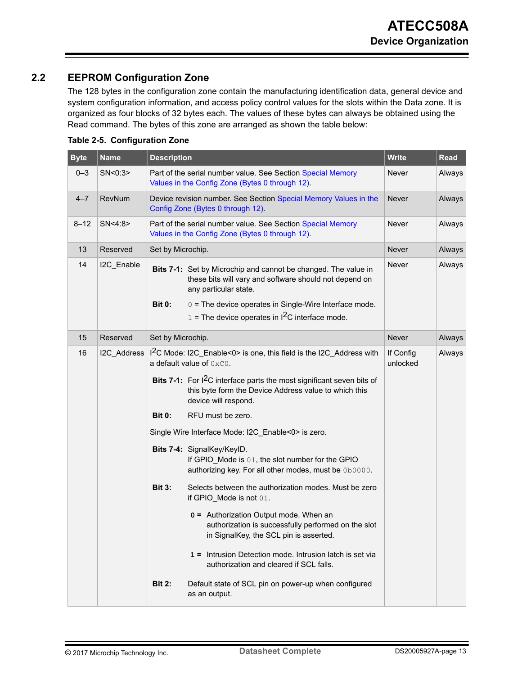## <span id="page-12-0"></span>**2.2 EEPROM Configuration Zone**

The 128 bytes in the configuration zone contain the manufacturing identification data, general device and system configuration information, and access policy control values for the slots within the Data zone. It is organized as four blocks of 32 bytes each. The values of these bytes can always be obtained using the Read command. The bytes of this zone are arranged as shown the table below:

| <b>Byte</b>                              | <b>Name</b>                                                                                                                             | <b>Description</b>                                                                                                                                                 |                                                                                                                                                                                                             | <b>Write</b> | <b>Read</b> |
|------------------------------------------|-----------------------------------------------------------------------------------------------------------------------------------------|--------------------------------------------------------------------------------------------------------------------------------------------------------------------|-------------------------------------------------------------------------------------------------------------------------------------------------------------------------------------------------------------|--------------|-------------|
| $0 - 3$                                  | SN<0:3>                                                                                                                                 |                                                                                                                                                                    | Part of the serial number value. See Section Special Memory<br>Values in the Config Zone (Bytes 0 through 12).                                                                                              | Never        | Always      |
| $4 - 7$                                  | RevNum                                                                                                                                  |                                                                                                                                                                    | Device revision number. See Section Special Memory Values in the<br>Config Zone (Bytes 0 through 12).                                                                                                       | Never        | Always      |
| $8 - 12$                                 | SN<4:8>                                                                                                                                 |                                                                                                                                                                    | Part of the serial number value. See Section Special Memory<br>Values in the Config Zone (Bytes 0 through 12).                                                                                              | Never        | Always      |
| 13                                       | Reserved                                                                                                                                | Set by Microchip.                                                                                                                                                  |                                                                                                                                                                                                             | <b>Never</b> | Always      |
| 14                                       | I2C_Enable                                                                                                                              | <b>Bit 0:</b>                                                                                                                                                      | Bits 7-1: Set by Microchip and cannot be changed. The value in<br>these bits will vary and software should not depend on<br>any particular state.<br>0 = The device operates in Single-Wire Interface mode. | Never        | Always      |
|                                          |                                                                                                                                         |                                                                                                                                                                    | $1 =$ The device operates in $12C$ interface mode.                                                                                                                                                          |              |             |
| 15                                       | Reserved                                                                                                                                | Set by Microchip.                                                                                                                                                  |                                                                                                                                                                                                             | <b>Never</b> | Always      |
| 16                                       | I2C_Address                                                                                                                             |                                                                                                                                                                    | I <sup>2</sup> C Mode: I2C Enable<0> is one, this field is the I2C Address with<br>a default value of $0 \times 0$ .                                                                                        |              | Always      |
|                                          |                                                                                                                                         | Bits 7-1: For I <sup>2</sup> C interface parts the most significant seven bits of<br>this byte form the Device Address value to which this<br>device will respond. |                                                                                                                                                                                                             |              |             |
|                                          |                                                                                                                                         | <b>Bit 0:</b>                                                                                                                                                      | RFU must be zero.                                                                                                                                                                                           |              |             |
|                                          |                                                                                                                                         |                                                                                                                                                                    | Single Wire Interface Mode: I2C_Enable<0> is zero.                                                                                                                                                          |              |             |
|                                          | Bits 7-4: SignalKey/KeylD.<br>If GPIO_Mode is 01, the slot number for the GPIO<br>authorizing key. For all other modes, must be 0b0000. |                                                                                                                                                                    |                                                                                                                                                                                                             |              |             |
| <b>Bit 3:</b><br>if GPIO Mode is not 01. |                                                                                                                                         | Selects between the authorization modes. Must be zero                                                                                                              |                                                                                                                                                                                                             |              |             |
|                                          |                                                                                                                                         |                                                                                                                                                                    | 0 = Authorization Output mode. When an<br>authorization is successfully performed on the slot<br>in SignalKey, the SCL pin is asserted.                                                                     |              |             |
|                                          |                                                                                                                                         |                                                                                                                                                                    | 1 = Intrusion Detection mode. Intrusion latch is set via<br>authorization and cleared if SCL falls.                                                                                                         |              |             |
|                                          |                                                                                                                                         | <b>Bit 2:</b>                                                                                                                                                      | Default state of SCL pin on power-up when configured<br>as an output.                                                                                                                                       |              |             |

#### **Table 2-5. Configuration Zone**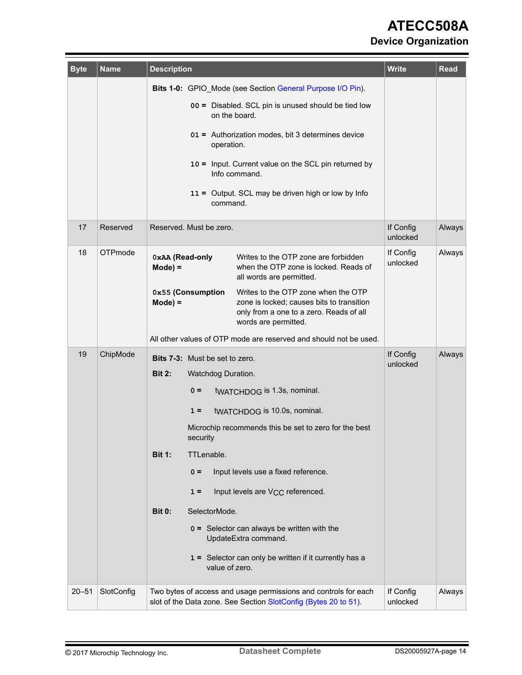# **ATECC508A Device Organization**

| <b>Byte</b> | <b>Name</b> | <b>Description</b>                                   |                                                                 |                                                                                                                                                     | <b>Write</b>          | <b>Read</b> |  |  |
|-------------|-------------|------------------------------------------------------|-----------------------------------------------------------------|-----------------------------------------------------------------------------------------------------------------------------------------------------|-----------------------|-------------|--|--|
|             |             |                                                      | Bits 1-0: GPIO_Mode (see Section General Purpose I/O Pin).      |                                                                                                                                                     |                       |             |  |  |
|             |             | 00 = Disabled. SCL pin is unused should be tied low  |                                                                 |                                                                                                                                                     |                       |             |  |  |
|             |             |                                                      | 01 = Authorization modes, bit 3 determines device<br>operation. |                                                                                                                                                     |                       |             |  |  |
|             |             | 10 = Input. Current value on the SCL pin returned by |                                                                 |                                                                                                                                                     |                       |             |  |  |
|             |             |                                                      | command.                                                        | 11 = Output. SCL may be driven high or low by Info                                                                                                  |                       |             |  |  |
| 17          | Reserved    | Reserved. Must be zero.                              |                                                                 |                                                                                                                                                     | If Config<br>unlocked | Always      |  |  |
| 18          | OTPmode     | 0xAA (Read-only<br>$Mode) =$                         |                                                                 | Writes to the OTP zone are forbidden<br>when the OTP zone is locked. Reads of<br>all words are permitted.                                           | If Config<br>unlocked | Always      |  |  |
|             |             | 0x55 (Consumption<br>$Mode) =$                       |                                                                 | Writes to the OTP zone when the OTP<br>zone is locked; causes bits to transition<br>only from a one to a zero. Reads of all<br>words are permitted. |                       |             |  |  |
|             |             |                                                      |                                                                 | All other values of OTP mode are reserved and should not be used.                                                                                   |                       |             |  |  |
| 19          | ChipMode    | <b>Bits 7-3:</b> Must be set to zero.                |                                                                 |                                                                                                                                                     | If Config             | Always      |  |  |
|             |             | <b>Bit 2:</b>                                        |                                                                 | Watchdog Duration.                                                                                                                                  | unlocked              |             |  |  |
|             |             | $0 =$                                                |                                                                 | twaTCHDOG is 1.3s, nominal.                                                                                                                         |                       |             |  |  |
|             |             | $1 =$                                                |                                                                 | tWATCHDOG is 10.0s, nominal.                                                                                                                        |                       |             |  |  |
|             |             | security                                             |                                                                 | Microchip recommends this be set to zero for the best                                                                                               |                       |             |  |  |
|             |             | <b>Bit 1:</b>                                        | TTLenable.                                                      |                                                                                                                                                     |                       |             |  |  |
|             |             | $0 =$                                                |                                                                 | Input levels use a fixed reference.                                                                                                                 |                       |             |  |  |
|             |             | $1 =$                                                |                                                                 | Input levels are V <sub>CC</sub> referenced.                                                                                                        |                       |             |  |  |
|             |             | <b>Bit 0:</b>                                        | SelectorMode.                                                   |                                                                                                                                                     |                       |             |  |  |
|             |             |                                                      |                                                                 | $0 =$ Selector can always be written with the<br>UpdateExtra command.                                                                               |                       |             |  |  |
|             |             |                                                      | value of zero.                                                  | 1 = Selector can only be written if it currently has a                                                                                              |                       |             |  |  |
| $20 - 51$   | SlotConfig  |                                                      |                                                                 | Two bytes of access and usage permissions and controls for each<br>slot of the Data zone. See Section SlotConfig (Bytes 20 to 51).                  | If Config<br>unlocked | Always      |  |  |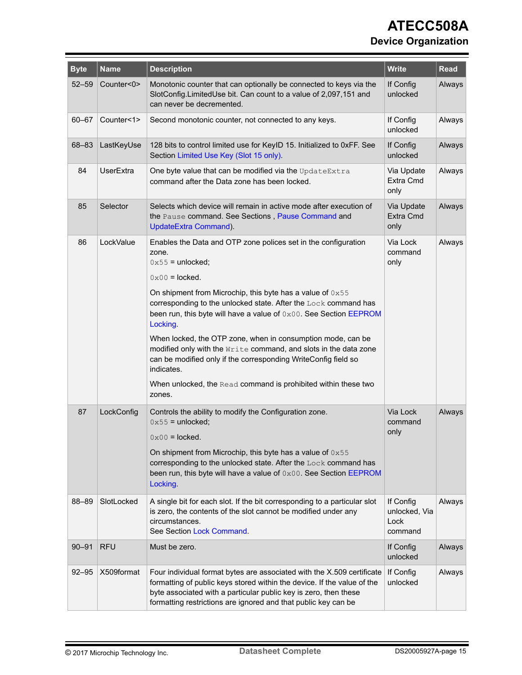# **ATECC508A Device Organization**

| <b>Byte</b> | <b>Name</b>      | <b>Description</b>                                                                                                                                                                                                                                                                      | <b>Write</b>                                  | Read   |
|-------------|------------------|-----------------------------------------------------------------------------------------------------------------------------------------------------------------------------------------------------------------------------------------------------------------------------------------|-----------------------------------------------|--------|
| $52 - 59$   | Counter<0>       | Monotonic counter that can optionally be connected to keys via the<br>SlotConfig.LimitedUse bit. Can count to a value of 2,097,151 and<br>can never be decremented.                                                                                                                     | If Config<br>unlocked                         | Always |
| $60 - 67$   | Counter<1>       | Second monotonic counter, not connected to any keys.                                                                                                                                                                                                                                    | If Config<br>unlocked                         | Always |
| 68-83       | LastKeyUse       | 128 bits to control limited use for KeyID 15. Initialized to 0xFF. See<br>Section Limited Use Key (Slot 15 only).                                                                                                                                                                       | If Config<br>unlocked                         | Always |
| 84          | <b>UserExtra</b> | One byte value that can be modified via the UpdateExtra<br>command after the Data zone has been locked.                                                                                                                                                                                 | Via Update<br>Extra Cmd<br>only               | Always |
| 85          | Selector         | Selects which device will remain in active mode after execution of<br>the Pause command. See Sections, Pause Command and<br>UpdateExtra Command).                                                                                                                                       | Via Update<br>Extra Cmd<br>only               | Always |
| 86          | LockValue        | Enables the Data and OTP zone polices set in the configuration<br>zone.<br>$0 \times 55$ = unlocked;                                                                                                                                                                                    | Via Lock<br>command<br>only                   | Always |
|             |                  | $0 \times 00 =$ locked.                                                                                                                                                                                                                                                                 |                                               |        |
|             |                  | On shipment from Microchip, this byte has a value of $0x55$<br>corresponding to the unlocked state. After the Lock command has<br>been run, this byte will have a value of 0x00. See Section EEPROM<br>Locking.                                                                         |                                               |        |
|             |                  | When locked, the OTP zone, when in consumption mode, can be<br>modified only with the Write command, and slots in the data zone<br>can be modified only if the corresponding WriteConfig field so<br>indicates.                                                                         |                                               |        |
|             |                  | When unlocked, the Read command is prohibited within these two<br>zones.                                                                                                                                                                                                                |                                               |        |
| 87          | LockConfig       | Controls the ability to modify the Configuration zone.<br>$0 \times 55$ = unlocked;                                                                                                                                                                                                     | Via Lock<br>command<br>only                   | Always |
|             |                  | $0 \times 00 =$ locked.<br>On shipment from Microchip, this byte has a value of 0x55                                                                                                                                                                                                    |                                               |        |
|             |                  | corresponding to the unlocked state. After the Lock command has<br>been run, this byte will have a value of 0x00. See Section EEPROM<br>Locking.                                                                                                                                        |                                               |        |
| 88-89       | SlotLocked       | A single bit for each slot. If the bit corresponding to a particular slot<br>is zero, the contents of the slot cannot be modified under any<br>circumstances.<br>See Section Lock Command.                                                                                              | If Config<br>unlocked, Via<br>Lock<br>command | Always |
| $90 - 91$   | <b>RFU</b>       | Must be zero.                                                                                                                                                                                                                                                                           | If Config<br>unlocked                         | Always |
| $92 - 95$   | X509format       | Four individual format bytes are associated with the X.509 certificate<br>formatting of public keys stored within the device. If the value of the<br>byte associated with a particular public key is zero, then these<br>formatting restrictions are ignored and that public key can be | If Config<br>unlocked                         | Always |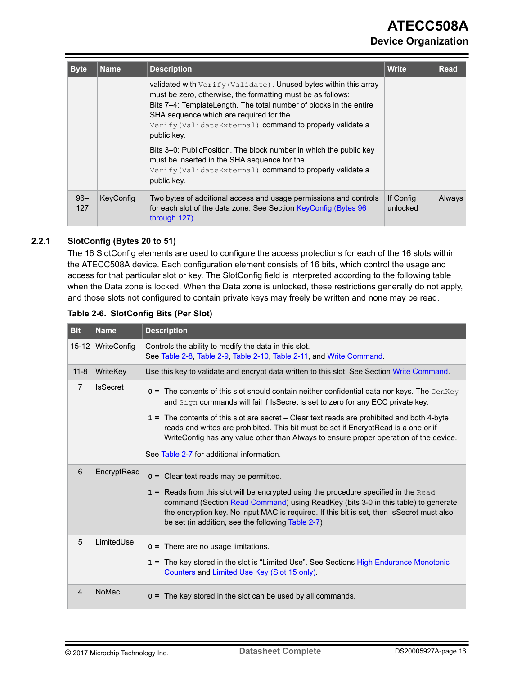# **ATECC508A Device Organization**

<span id="page-15-0"></span>

| <b>Byte</b>   | <b>Name</b> | <b>Description</b>                                                                                                                                                                                                                                                                                                          | <b>Write</b>          | <b>Read</b> |
|---------------|-------------|-----------------------------------------------------------------------------------------------------------------------------------------------------------------------------------------------------------------------------------------------------------------------------------------------------------------------------|-----------------------|-------------|
|               |             | validated with Verify (Validate). Unused bytes within this array<br>must be zero, otherwise, the formatting must be as follows:<br>Bits 7-4: TemplateLength. The total number of blocks in the entire<br>SHA sequence which are required for the<br>Verify (ValidateExternal) command to properly validate a<br>public key. |                       |             |
|               |             | Bits 3–0: PublicPosition. The block number in which the public key<br>must be inserted in the SHA sequence for the<br>Verify (ValidateExternal) command to properly validate a<br>public key.                                                                                                                               |                       |             |
| $96 -$<br>127 | KeyConfig   | Two bytes of additional access and usage permissions and controls<br>for each slot of the data zone. See Section KeyConfig (Bytes 96<br>through 127).                                                                                                                                                                       | If Config<br>unlocked | Always      |

#### **2.2.1 SlotConfig (Bytes 20 to 51)**

The 16 SlotConfig elements are used to configure the access protections for each of the 16 slots within the ATECC508A device. Each configuration element consists of 16 bits, which control the usage and access for that particular slot or key. The SlotConfig field is interpreted according to the following table when the Data zone is locked. When the Data zone is unlocked, these restrictions generally do not apply, and those slots not configured to contain private keys may freely be written and none may be read.

| <b>Bit</b>     | <b>Name</b>     | <b>Description</b>                                                                                                                                                                                                                                                                                                                                                                                                                                                                                                |
|----------------|-----------------|-------------------------------------------------------------------------------------------------------------------------------------------------------------------------------------------------------------------------------------------------------------------------------------------------------------------------------------------------------------------------------------------------------------------------------------------------------------------------------------------------------------------|
| $15 - 12$      | WriteConfig     | Controls the ability to modify the data in this slot.<br>See Table 2-8, Table 2-9, Table 2-10, Table 2-11, and Write Command.                                                                                                                                                                                                                                                                                                                                                                                     |
| $11 - 8$       | WriteKey        | Use this key to validate and encrypt data written to this slot. See Section Write Command.                                                                                                                                                                                                                                                                                                                                                                                                                        |
| $\overline{7}$ | <b>IsSecret</b> | $\sigma$ = The contents of this slot should contain neither confidential data nor keys. The GenKey<br>and Sign commands will fail if IsSecret is set to zero for any ECC private key.<br>1 = The contents of this slot are secret – Clear text reads are prohibited and both 4-byte<br>reads and writes are prohibited. This bit must be set if Encrypt Read is a one or if<br>WriteConfig has any value other than Always to ensure proper operation of the device.<br>See Table 2-7 for additional information. |
| 6              | EncryptRead     | Clear text reads may be permitted.<br>$0 =$<br>1 = Reads from this slot will be encrypted using the procedure specified in the Read<br>command (Section Read Command) using ReadKey (bits 3-0 in this table) to generate<br>the encryption key. No input MAC is required. If this bit is set, then IsSecret must also<br>be set (in addition, see the following Table 2-7)                                                                                                                                        |
| 5              | LimitedUse      | $0 =$ There are no usage limitations.<br>1 = The key stored in the slot is "Limited Use". See Sections High Endurance Monotonic<br>Counters and Limited Use Key (Slot 15 only).                                                                                                                                                                                                                                                                                                                                   |
| $\overline{4}$ | <b>NoMac</b>    | The key stored in the slot can be used by all commands.<br>$0 =$                                                                                                                                                                                                                                                                                                                                                                                                                                                  |

#### **Table 2-6. SlotConfig Bits (Per Slot)**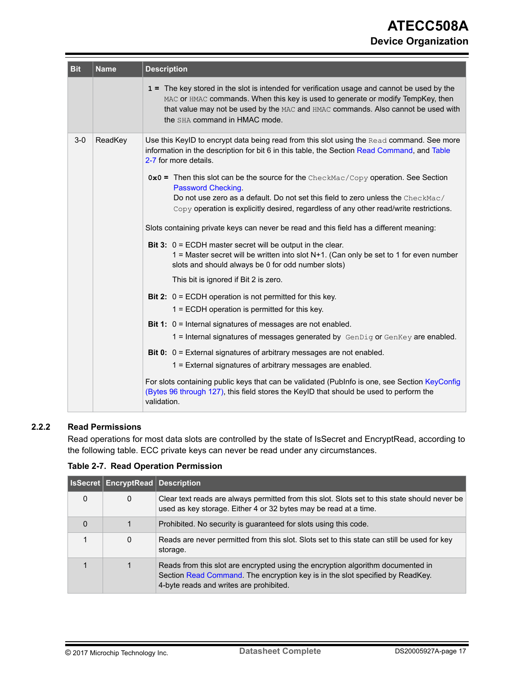<span id="page-16-0"></span>

| <b>Bit</b> | <b>Name</b> | <b>Description</b>                                                                                                                                                                                                                                                                                                                                                                                                                                                                                                                                                                                                                                                                                                                                                                                                                                                                                                                                                                                                                                                                                                                                                                                                                                                                                               |
|------------|-------------|------------------------------------------------------------------------------------------------------------------------------------------------------------------------------------------------------------------------------------------------------------------------------------------------------------------------------------------------------------------------------------------------------------------------------------------------------------------------------------------------------------------------------------------------------------------------------------------------------------------------------------------------------------------------------------------------------------------------------------------------------------------------------------------------------------------------------------------------------------------------------------------------------------------------------------------------------------------------------------------------------------------------------------------------------------------------------------------------------------------------------------------------------------------------------------------------------------------------------------------------------------------------------------------------------------------|
|            |             | 1 = The key stored in the slot is intended for verification usage and cannot be used by the<br>MAC or HMAC commands. When this key is used to generate or modify TempKey, then<br>that value may not be used by the MAC and HMAC commands. Also cannot be used with<br>the SHA command in HMAC mode.                                                                                                                                                                                                                                                                                                                                                                                                                                                                                                                                                                                                                                                                                                                                                                                                                                                                                                                                                                                                             |
| $3-0$      | ReadKey     | Use this KeylD to encrypt data being read from this slot using the Read command. See more<br>information in the description for bit 6 in this table, the Section Read Command, and Table<br>2-7 for more details.<br>$0 \times 0$ = Then this slot can be the source for the CheckMac/Copy operation. See Section<br>Password Checking.<br>Do not use zero as a default. Do not set this field to zero unless the CheckMac/<br>Copy operation is explicitly desired, regardless of any other read/write restrictions.<br>Slots containing private keys can never be read and this field has a different meaning:<br>Bit 3: $0 = ECDH$ master secret will be output in the clear.<br>1 = Master secret will be written into slot $N+1$ . (Can only be set to 1 for even number<br>slots and should always be 0 for odd number slots)<br>This bit is ignored if Bit 2 is zero.<br><b>Bit 2:</b> $0 = ECDH$ operation is not permitted for this key.<br>1 = ECDH operation is permitted for this key.<br><b>Bit 1:</b> $0 =$ Internal signatures of messages are not enabled.<br>1 = Internal signatures of messages generated by $GenDiq$ or $GenKey$ are enabled.<br><b>Bit 0:</b> $0 =$ External signatures of arbitrary messages are not enabled.<br>1 = External signatures of arbitrary messages are enabled. |
|            |             | For slots containing public keys that can be validated (Publnfo is one, see Section KeyConfig<br>(Bytes 96 through 127), this field stores the KeylD that should be used to perform the<br>validation.                                                                                                                                                                                                                                                                                                                                                                                                                                                                                                                                                                                                                                                                                                                                                                                                                                                                                                                                                                                                                                                                                                           |

### **2.2.2 Read Permissions**

Read operations for most data slots are controlled by the state of IsSecret and EncryptRead, according to the following table. ECC private keys can never be read under any circumstances.

**Table 2-7. Read Operation Permission**

|          | <b>ISSecret EncryptRead Description</b> |                                                                                                                                                                                                             |
|----------|-----------------------------------------|-------------------------------------------------------------------------------------------------------------------------------------------------------------------------------------------------------------|
| $\Omega$ | 0                                       | Clear text reads are always permitted from this slot. Slots set to this state should never be<br>used as key storage. Either 4 or 32 bytes may be read at a time.                                           |
| $\Omega$ |                                         | Prohibited. No security is guaranteed for slots using this code.                                                                                                                                            |
|          | 0                                       | Reads are never permitted from this slot. Slots set to this state can still be used for key<br>storage.                                                                                                     |
|          |                                         | Reads from this slot are encrypted using the encryption algorithm documented in<br>Section Read Command. The encryption key is in the slot specified by ReadKey.<br>4-byte reads and writes are prohibited. |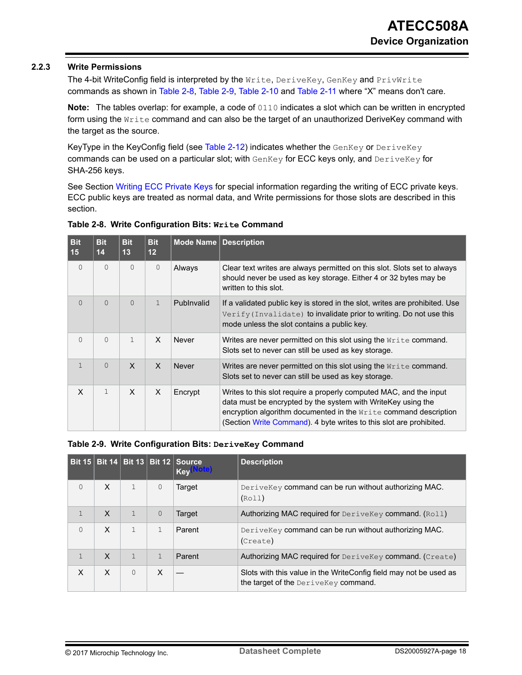#### <span id="page-17-0"></span>**2.2.3 Write Permissions**

The 4-bit WriteConfig field is interpreted by the Write, DeriveKey, GenKey and PrivWrite commands as shown in Table 2-8, Table 2-9, [Table 2-10](#page-18-0) and [Table 2-11](#page-18-0) where "X" means don't care.

**Note:** The tables overlap: for example, a code of 0110 indicates a slot which can be written in encrypted form using the  $W$ rite command and can also be the target of an unauthorized DeriveKey command with the target as the source.

KeyType in the KeyConfig field (see [Table 2-12](#page-19-0)) indicates whether the GenKey or DeriveKey commands can be used on a particular slot; with  $GenKey$  for ECC keys only, and  $DeriveKey$  for SHA-256 keys.

See Section [Writing ECC Private Keys](#page-18-0) for special information regarding the writing of ECC private keys. ECC public keys are treated as normal data, and Write permissions for those slots are described in this section.

| <b>Bit</b><br>15 | <b>Bit</b><br>14 | <b>Bit</b><br>13 | <b>Bit</b><br>12 | Mode Name    | <b>Description</b>                                                                                                                                                                                                                                                            |
|------------------|------------------|------------------|------------------|--------------|-------------------------------------------------------------------------------------------------------------------------------------------------------------------------------------------------------------------------------------------------------------------------------|
| $\Omega$         | $\mathbf{0}$     | 0                | $\mathbf{0}$     | Always       | Clear text writes are always permitted on this slot. Slots set to always<br>should never be used as key storage. Either 4 or 32 bytes may be<br>written to this slot.                                                                                                         |
| $\Omega$         | $\Omega$         | $\Omega$         | $\mathbf{1}$     | Publnyalid   | If a validated public key is stored in the slot, writes are prohibited. Use<br>$Verify(Invalidate)$ to invalidate) to invalidate prior to writing. Do not use this<br>mode unless the slot contains a public key.                                                             |
| $\Omega$         | $\Omega$         | $\mathbf{1}$     | $\times$         | Never        | Writes are never permitted on this slot using the $Write$ command.<br>Slots set to never can still be used as key storage.                                                                                                                                                    |
| $\mathbf{1}$     | $\Omega$         | $\mathsf{x}$     | $\mathsf{x}$     | <b>Never</b> | Writes are never permitted on this slot using the Write command.<br>Slots set to never can still be used as key storage.                                                                                                                                                      |
| X                | $\mathbf{1}$     | X                | $\times$         | Encrypt      | Writes to this slot require a properly computed MAC, and the input<br>data must be encrypted by the system with WriteKey using the<br>encryption algorithm documented in the Write command description<br>(Section Write Command). 4 byte writes to this slot are prohibited. |

#### **Table 2-8. Write Configuration Bits: Write Command**

**Table 2-9. Write Configuration Bits: DeriveKey Command**

|              |   |              |                | Bit 15   Bit 14   Bit 13   Bit 12   Source<br><b>Key</b> | <b>Description</b>                                                                                        |
|--------------|---|--------------|----------------|----------------------------------------------------------|-----------------------------------------------------------------------------------------------------------|
| $\Omega$     | X | 1            | $\mathbf{0}$   | Target                                                   | DeriveKey command can be run without authorizing MAC.<br>(Rol1)                                           |
|              | X | $\mathbf{1}$ | $\overline{0}$ | Target                                                   | Authorizing MAC required for DeriveKey command. (Roll)                                                    |
| $\Omega$     | X |              |                | Parent                                                   | DeriveKey command can be run without authorizing MAC.<br>(Create)                                         |
| $\mathbf{1}$ | X | 1            | $\mathbf{1}$   | Parent                                                   | Authorizing MAC required for DeriveKey command. (Create)                                                  |
| X            | X | $\Omega$     | X              |                                                          | Slots with this value in the WriteConfig field may not be used as<br>the target of the DeriveKey command. |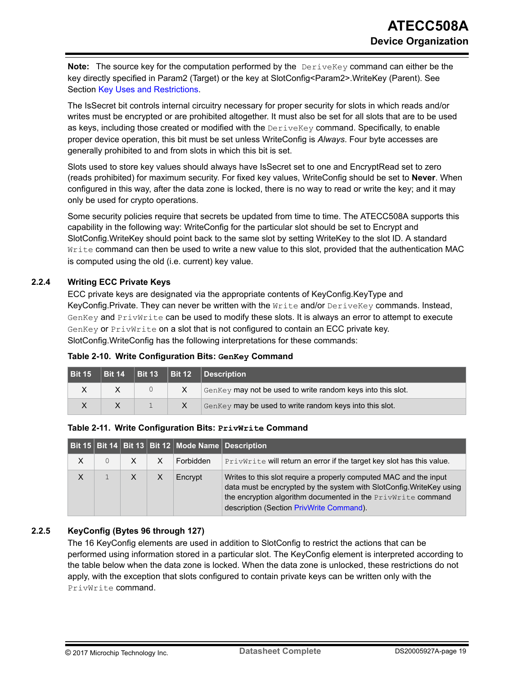<span id="page-18-0"></span>**Note:** The source key for the computation performed by the DeriveKey command can either be the key directly specified in Param2 (Target) or the key at SlotConfig<Param2>.WriteKey (Parent). See Section [Key Uses and Restrictions.](#page-28-0)

The IsSecret bit controls internal circuitry necessary for proper security for slots in which reads and/or writes must be encrypted or are prohibited altogether. It must also be set for all slots that are to be used as keys, including those created or modified with the  $DeriveKey$  command. Specifically, to enable proper device operation, this bit must be set unless WriteConfig is *Always*. Four byte accesses are generally prohibited to and from slots in which this bit is set.

Slots used to store key values should always have IsSecret set to one and EncryptRead set to zero (reads prohibited) for maximum security. For fixed key values, WriteConfig should be set to **Never**. When configured in this way, after the data zone is locked, there is no way to read or write the key; and it may only be used for crypto operations.

Some security policies require that secrets be updated from time to time. The ATECC508A supports this capability in the following way: WriteConfig for the particular slot should be set to Encrypt and SlotConfig.WriteKey should point back to the same slot by setting WriteKey to the slot ID. A standard  $W$ rite command can then be used to write a new value to this slot, provided that the authentication MAC is computed using the old (i.e. current) key value.

#### **2.2.4 Writing ECC Private Keys**

ECC private keys are designated via the appropriate contents of KeyConfig.KeyType and KeyConfig.Private. They can never be written with the  $Write$  and/or  $DeriveKey$  commands. Instead,  $GenKey$  and  $PrivWrite$  can be used to modify these slots. It is always an error to attempt to execute GenKey or PrivWrite on a slot that is not configured to contain an ECC private key. SlotConfig.WriteConfig has the following interpretations for these commands:

| <b>Bit 15</b> |  |              | Bit 14   Bit 13   Bit 12   Description                             |
|---------------|--|--------------|--------------------------------------------------------------------|
|               |  | $\mathsf{X}$ | $\Box$ GenKey may not be used to write random keys into this slot. |
|               |  |              | GenKey may be used to write random keys into this slot.            |

|  | Table 2-10. Write Configuration Bits: GenKey Command |  |
|--|------------------------------------------------------|--|
|--|------------------------------------------------------|--|

| Table 2-11. Write Configuration Bits: PrivWrite Command |  |
|---------------------------------------------------------|--|
|---------------------------------------------------------|--|

|          |         |   | Bit 15 Bit 14 Bit 13 Bit 12 Mode Name Description |                                                                                                                                                                                                                                                       |
|----------|---------|---|---------------------------------------------------|-------------------------------------------------------------------------------------------------------------------------------------------------------------------------------------------------------------------------------------------------------|
| X        | $\circ$ |   | Forbidden                                         | PrivWrite will return an error if the target key slot has this value.                                                                                                                                                                                 |
| $\times$ |         | X | Encrypt                                           | Writes to this slot require a properly computed MAC and the input<br>data must be encrypted by the system with SlotConfig. WriteKey using<br>the encryption algorithm documented in the PrivWrite command<br>description (Section PrivWrite Command). |

#### **2.2.5 KeyConfig (Bytes 96 through 127)**

The 16 KeyConfig elements are used in addition to SlotConfig to restrict the actions that can be performed using information stored in a particular slot. The KeyConfig element is interpreted according to the table below when the data zone is locked. When the data zone is unlocked, these restrictions do not apply, with the exception that slots configured to contain private keys can be written only with the PrivWrite command.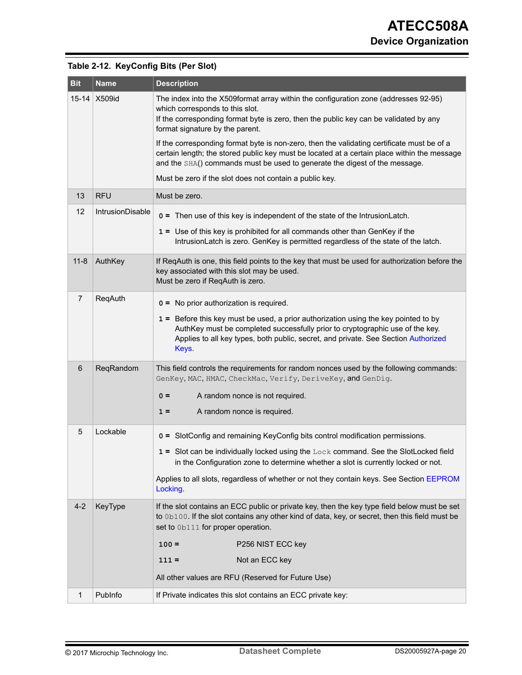| <b>Bit</b>     | <b>Name</b>      | <b>Description</b>                                                                                                                                                                                                                                                      |
|----------------|------------------|-------------------------------------------------------------------------------------------------------------------------------------------------------------------------------------------------------------------------------------------------------------------------|
| $15 - 14$      | <b>X509id</b>    | The index into the X509format array within the configuration zone (addresses 92-95)<br>which corresponds to this slot.<br>If the corresponding format byte is zero, then the public key can be validated by any<br>format signature by the parent.                      |
|                |                  | If the corresponding format byte is non-zero, then the validating certificate must be of a<br>certain length; the stored public key must be located at a certain place within the message<br>and the SHA() commands must be used to generate the digest of the message. |
|                |                  | Must be zero if the slot does not contain a public key.                                                                                                                                                                                                                 |
| 13             | <b>RFU</b>       | Must be zero.                                                                                                                                                                                                                                                           |
| 12             | IntrusionDisable | o = Then use of this key is independent of the state of the IntrusionLatch.                                                                                                                                                                                             |
|                |                  | 1 = Use of this key is prohibited for all commands other than GenKey if the<br>IntrusionLatch is zero. GenKey is permitted regardless of the state of the latch.                                                                                                        |
| $11 - 8$       | AuthKey          | If ReqAuth is one, this field points to the key that must be used for authorization before the<br>key associated with this slot may be used.<br>Must be zero if ReqAuth is zero.                                                                                        |
| $\overline{7}$ | ReqAuth          | $0 =$ No prior authorization is required.                                                                                                                                                                                                                               |
|                |                  | 1 = Before this key must be used, a prior authorization using the key pointed to by<br>AuthKey must be completed successfully prior to cryptographic use of the key.<br>Applies to all key types, both public, secret, and private. See Section Authorized<br>Keys.     |
| 6              | ReqRandom        | This field controls the requirements for random nonces used by the following commands:<br>GenKey, MAC, HMAC, CheckMac, Verify, DeriveKey, and GenDig.                                                                                                                   |
|                |                  | A random nonce is not required.<br>$0 =$                                                                                                                                                                                                                                |
|                |                  | A random nonce is required.<br>$1 =$                                                                                                                                                                                                                                    |
| 5              | Lockable         | o = SlotConfig and remaining KeyConfig bits control modification permissions.                                                                                                                                                                                           |
|                |                  | 1 = Slot can be individually locked using the Lock command. See the SlotLocked field<br>in the Configuration zone to determine whether a slot is currently locked or not.                                                                                               |
|                |                  | Applies to all slots, regardless of whether or not they contain keys. See Section EEPROM<br>Locking.                                                                                                                                                                    |
| $4 - 2$        | KeyType          | If the slot contains an ECC public or private key, then the key type field below must be set<br>to 0b100. If the slot contains any other kind of data, key, or secret, then this field must be<br>set to 0b111 for proper operation.                                    |
|                |                  | $100 =$<br>P256 NIST ECC key                                                                                                                                                                                                                                            |
|                |                  | Not an ECC key<br>$111 =$                                                                                                                                                                                                                                               |
|                |                  | All other values are RFU (Reserved for Future Use)                                                                                                                                                                                                                      |
| 1              | Publnfo          | If Private indicates this slot contains an ECC private key:                                                                                                                                                                                                             |

## <span id="page-19-0"></span>**Table 2-12. KeyConfig Bits (Per Slot)**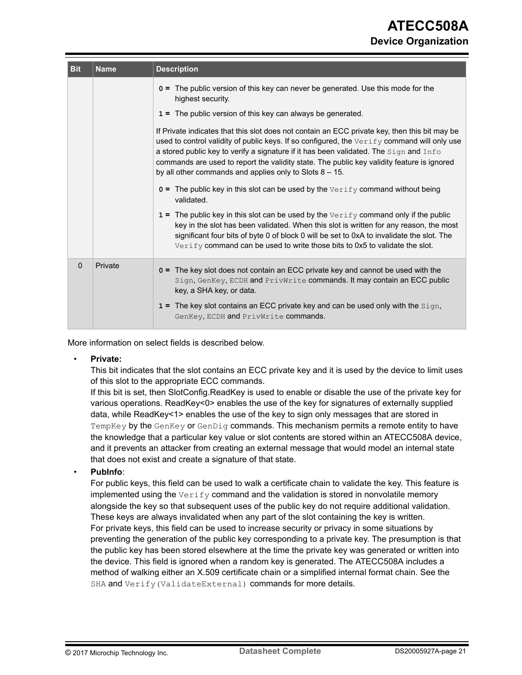| <b>Bit</b> | <b>Name</b> | <b>Description</b>                                                                                                                                                                                                                                                                                                                                                                                                                                |  |
|------------|-------------|---------------------------------------------------------------------------------------------------------------------------------------------------------------------------------------------------------------------------------------------------------------------------------------------------------------------------------------------------------------------------------------------------------------------------------------------------|--|
|            |             | o = The public version of this key can never be generated. Use this mode for the<br>highest security.                                                                                                                                                                                                                                                                                                                                             |  |
|            |             | 1 = The public version of this key can always be generated.                                                                                                                                                                                                                                                                                                                                                                                       |  |
|            |             | If Private indicates that this slot does not contain an ECC private key, then this bit may be<br>used to control validity of public keys. If so configured, the Verify command will only use<br>a stored public key to verify a signature if it has been validated. The Sign and Info<br>commands are used to report the validity state. The public key validity feature is ignored<br>by all other commands and applies only to Slots $8 - 15$ . |  |
|            |             | $o$ = The public key in this slot can be used by the $Verify$ command without being<br>validated.                                                                                                                                                                                                                                                                                                                                                 |  |
|            |             | $1 =$ The public key in this slot can be used by the $Verify$ command only if the public<br>key in the slot has been validated. When this slot is written for any reason, the most<br>significant four bits of byte 0 of block 0 will be set to 0xA to invalidate the slot. The<br>Verify command can be used to write those bits to 0x5 to validate the slot.                                                                                    |  |
| $\Omega$   | Private     | o = The key slot does not contain an ECC private key and cannot be used with the<br>Sign, GenKey, ECDH and PrivWrite commands. It may contain an ECC public<br>key, a SHA key, or data.<br>$1 =$ The key slot contains an ECC private key and can be used only with the $\text{Sign}$ ,                                                                                                                                                           |  |
|            |             | GenKey, ECDH and PrivWrite commands.                                                                                                                                                                                                                                                                                                                                                                                                              |  |

More information on select fields is described below.

#### • **Private:**

This bit indicates that the slot contains an ECC private key and it is used by the device to limit uses of this slot to the appropriate ECC commands.

If this bit is set, then SlotConfig.ReadKey is used to enable or disable the use of the private key for various operations. ReadKey<0> enables the use of the key for signatures of externally supplied data, while ReadKey<1> enables the use of the key to sign only messages that are stored in TempKey by the GenKey or GenDig commands. This mechanism permits a remote entity to have the knowledge that a particular key value or slot contents are stored within an ATECC508A device, and it prevents an attacker from creating an external message that would model an internal state that does not exist and create a signature of that state.

#### • **PubInfo**:

For public keys, this field can be used to walk a certificate chain to validate the key. This feature is implemented using the  $\text{Verify}$  command and the validation is stored in nonvolatile memory alongside the key so that subsequent uses of the public key do not require additional validation. These keys are always invalidated when any part of the slot containing the key is written. For private keys, this field can be used to increase security or privacy in some situations by preventing the generation of the public key corresponding to a private key. The presumption is that the public key has been stored elsewhere at the time the private key was generated or written into the device. This field is ignored when a random key is generated. The ATECC508A includes a method of walking either an X.509 certificate chain or a simplified internal format chain. See the SHA and Verify(ValidateExternal) commands for more details.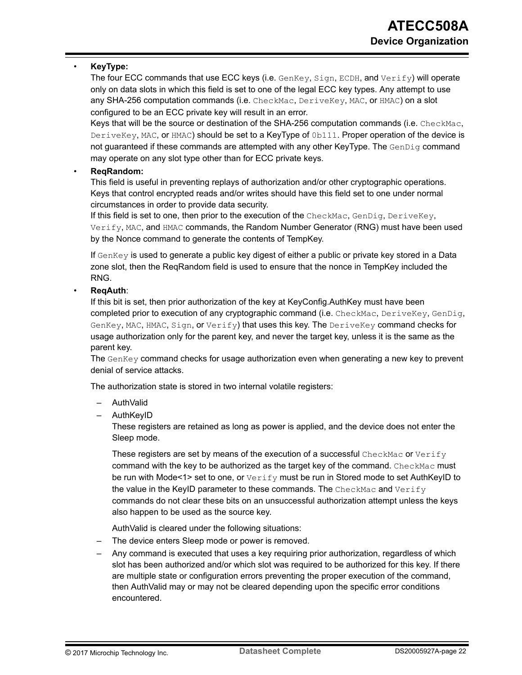#### • **KeyType:**

The four ECC commands that use ECC keys (i.e.  $GenKey$ ,  $Sign$ ,  $ECDH$ , and  $Verify$ ) will operate only on data slots in which this field is set to one of the legal ECC key types. Any attempt to use any SHA-256 computation commands (i.e. CheckMac, DeriveKey, MAC, or HMAC) on a slot configured to be an ECC private key will result in an error.

Keys that will be the source or destination of the SHA-256 computation commands (i.e. CheckMac, DeriveKey, MAC, or HMAC) should be set to a KeyType of 0b111. Proper operation of the device is not guaranteed if these commands are attempted with any other KeyType. The  $GenDiq$  command may operate on any slot type other than for ECC private keys.

#### • **ReqRandom:**

This field is useful in preventing replays of authorization and/or other cryptographic operations. Keys that control encrypted reads and/or writes should have this field set to one under normal circumstances in order to provide data security.

If this field is set to one, then prior to the execution of the CheckMac, GenDig, DeriveKey, Verify, MAC, and HMAC commands, the Random Number Generator (RNG) must have been used by the Nonce command to generate the contents of TempKey.

If  $GenKey$  is used to generate a public key digest of either a public or private key stored in a Data zone slot, then the ReqRandom field is used to ensure that the nonce in TempKey included the RNG.

#### • **ReqAuth**:

If this bit is set, then prior authorization of the key at KeyConfig.AuthKey must have been completed prior to execution of any cryptographic command (i.e. CheckMac, DeriveKey, GenDig,  $GenKey, MAC, HMAC, Sign, or Verify)$  that uses this key. The  $DeriveKey$  command checks for usage authorization only for the parent key, and never the target key, unless it is the same as the parent key.

The GenKey command checks for usage authorization even when generating a new key to prevent denial of service attacks.

The authorization state is stored in two internal volatile registers:

- AuthValid
- AuthKeyID

These registers are retained as long as power is applied, and the device does not enter the Sleep mode.

These registers are set by means of the execution of a successful CheckMac or Verify command with the key to be authorized as the target key of the command. CheckMac must be run with Mode<1> set to one, or  $Verify$  must be run in Stored mode to set AuthKeyID to the value in the KeyID parameter to these commands. The CheckMac and Verify commands do not clear these bits on an unsuccessful authorization attempt unless the keys also happen to be used as the source key.

AuthValid is cleared under the following situations:

- The device enters Sleep mode or power is removed.
- Any command is executed that uses a key requiring prior authorization, regardless of which slot has been authorized and/or which slot was required to be authorized for this key. If there are multiple state or configuration errors preventing the proper execution of the command, then AuthValid may or may not be cleared depending upon the specific error conditions encountered.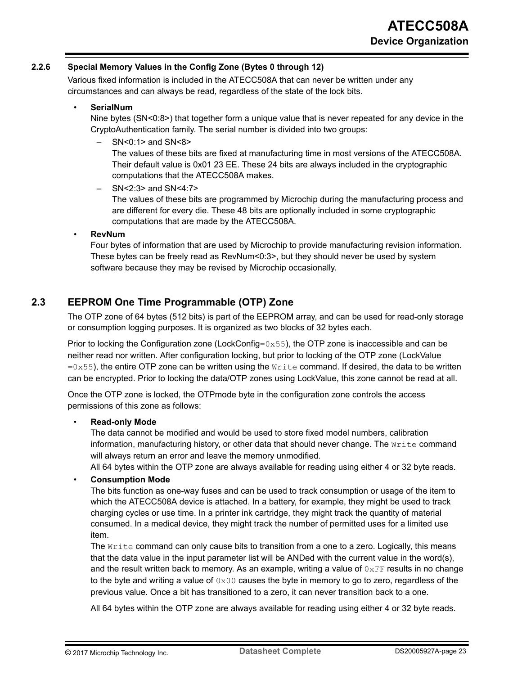#### <span id="page-22-0"></span>**2.2.6 Special Memory Values in the Config Zone (Bytes 0 through 12)**

Various fixed information is included in the ATECC508A that can never be written under any circumstances and can always be read, regardless of the state of the lock bits.

#### • **SerialNum**

Nine bytes (SN<0:8>) that together form a unique value that is never repeated for any device in the CryptoAuthentication family. The serial number is divided into two groups:

– SN<0:1> and SN<8>

The values of these bits are fixed at manufacturing time in most versions of the ATECC508A. Their default value is 0x01 23 EE. These 24 bits are always included in the cryptographic computations that the ATECC508A makes.

– SN<2:3> and SN<4:7>

The values of these bits are programmed by Microchip during the manufacturing process and are different for every die. These 48 bits are optionally included in some cryptographic computations that are made by the ATECC508A.

• **RevNum**

Four bytes of information that are used by Microchip to provide manufacturing revision information. These bytes can be freely read as RevNum<0:3>, but they should never be used by system software because they may be revised by Microchip occasionally.

## **2.3 EEPROM One Time Programmable (OTP) Zone**

The OTP zone of 64 bytes (512 bits) is part of the EEPROM array, and can be used for read-only storage or consumption logging purposes. It is organized as two blocks of 32 bytes each.

Prior to locking the Configuration zone (LockConfig= $0x55$ ), the OTP zone is inaccessible and can be neither read nor written. After configuration locking, but prior to locking of the OTP zone (LockValue  $=0x55$ ), the entire OTP zone can be written using the  $W$ rite command. If desired, the data to be written can be encrypted. Prior to locking the data/OTP zones using LockValue, this zone cannot be read at all.

Once the OTP zone is locked, the OTPmode byte in the configuration zone controls the access permissions of this zone as follows:

#### • **Read-only Mode**

The data cannot be modified and would be used to store fixed model numbers, calibration information, manufacturing history, or other data that should never change. The  $Write$  command will always return an error and leave the memory unmodified.

All 64 bytes within the OTP zone are always available for reading using either 4 or 32 byte reads.

#### • **Consumption Mode**

The bits function as one-way fuses and can be used to track consumption or usage of the item to which the ATECC508A device is attached. In a battery, for example, they might be used to track charging cycles or use time. In a printer ink cartridge, they might track the quantity of material consumed. In a medical device, they might track the number of permitted uses for a limited use item.

The  $Write$  command can only cause bits to transition from a one to a zero. Logically, this means that the data value in the input parameter list will be ANDed with the current value in the word(s), and the result written back to memory. As an example, writing a value of  $0 \times FF$  results in no change to the byte and writing a value of  $0 \times 00$  causes the byte in memory to go to zero, regardless of the previous value. Once a bit has transitioned to a zero, it can never transition back to a one.

All 64 bytes within the OTP zone are always available for reading using either 4 or 32 byte reads.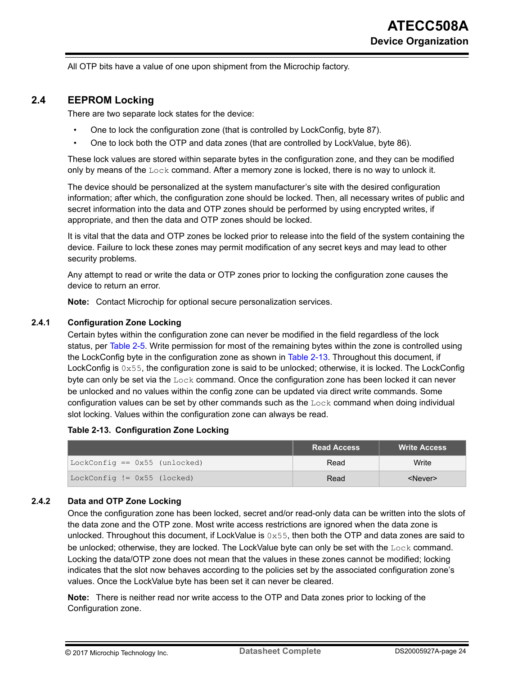<span id="page-23-0"></span>All OTP bits have a value of one upon shipment from the Microchip factory.

## **2.4 EEPROM Locking**

There are two separate lock states for the device:

- One to lock the configuration zone (that is controlled by LockConfig, byte 87).
- One to lock both the OTP and data zones (that are controlled by LockValue, byte 86).

These lock values are stored within separate bytes in the configuration zone, and they can be modified only by means of the  $_{\text{Lock}}$  command. After a memory zone is locked, there is no way to unlock it.

The device should be personalized at the system manufacturer's site with the desired configuration information; after which, the configuration zone should be locked. Then, all necessary writes of public and secret information into the data and OTP zones should be performed by using encrypted writes, if appropriate, and then the data and OTP zones should be locked.

It is vital that the data and OTP zones be locked prior to release into the field of the system containing the device. Failure to lock these zones may permit modification of any secret keys and may lead to other security problems.

Any attempt to read or write the data or OTP zones prior to locking the configuration zone causes the device to return an error.

**Note:**  Contact Microchip for optional secure personalization services.

#### **2.4.1 Configuration Zone Locking**

Certain bytes within the configuration zone can never be modified in the field regardless of the lock status, per [Table 2-5.](#page-12-0) Write permission for most of the remaining bytes within the zone is controlled using the LockConfig byte in the configuration zone as shown in Table 2-13. Throughout this document, if LockConfig is 0x55, the configuration zone is said to be unlocked; otherwise, it is locked. The LockConfig byte can only be set via the Lock command. Once the configuration zone has been locked it can never be unlocked and no values within the config zone can be updated via direct write commands. Some configuration values can be set by other commands such as the  $_{\text{Lock}}$  command when doing individual slot locking. Values within the configuration zone can always be read.

#### **Table 2-13. Configuration Zone Locking**

|                               | <b>Read Access</b> | <b>Write Access</b> |
|-------------------------------|--------------------|---------------------|
| LockConfig == 0x55 (unlocked) | Read               | Write               |
| LockConfig $!=$ 0x55 (locked) | Read               | <never></never>     |

#### **2.4.2 Data and OTP Zone Locking**

Once the configuration zone has been locked, secret and/or read-only data can be written into the slots of the data zone and the OTP zone. Most write access restrictions are ignored when the data zone is unlocked. Throughout this document, if LockValue is  $0 \times 55$ , then both the OTP and data zones are said to be unlocked; otherwise, they are locked. The LockValue byte can only be set with the Lock command. Locking the data/OTP zone does not mean that the values in these zones cannot be modified; locking indicates that the slot now behaves according to the policies set by the associated configuration zone's values. Once the LockValue byte has been set it can never be cleared.

**Note:**  There is neither read nor write access to the OTP and Data zones prior to locking of the Configuration zone.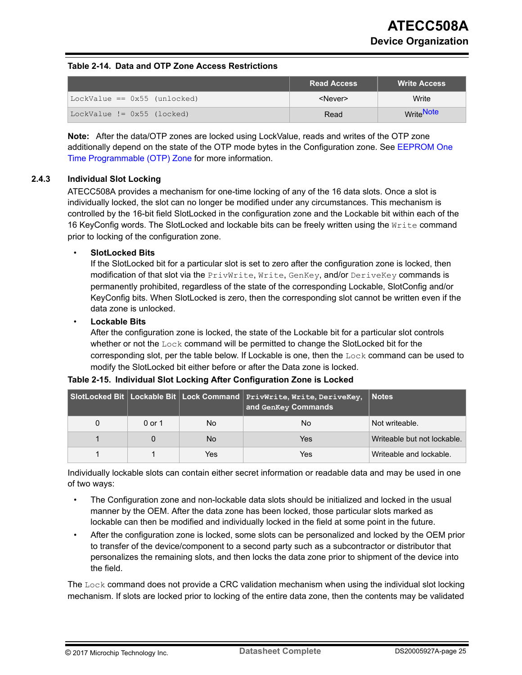#### <span id="page-24-0"></span>**Table 2-14. Data and OTP Zone Access Restrictions**

|                              | Read Access     | <b>Write Access</b> |
|------------------------------|-----------------|---------------------|
| LockValue == 0x55 (unlocked) | <never></never> | Write               |
| LockValue $!=$ 0x55 (locked) | Read            | WriteNote           |

**Note:**  After the data/OTP zones are locked using LockValue, reads and writes of the OTP zone additionally depend on the state of the OTP mode bytes in the Configuration zone. See [EEPROM One](#page-22-0) [Time Programmable \(OTP\) Zone](#page-22-0) for more information.

#### **2.4.3 Individual Slot Locking**

ATECC508A provides a mechanism for one-time locking of any of the 16 data slots. Once a slot is individually locked, the slot can no longer be modified under any circumstances. This mechanism is controlled by the 16-bit field SlotLocked in the configuration zone and the Lockable bit within each of the 16 KeyConfig words. The SlotLocked and lockable bits can be freely written using the Write command prior to locking of the configuration zone.

#### • **SlotLocked Bits**

If the SlotLocked bit for a particular slot is set to zero after the configuration zone is locked, then modification of that slot via the PrivWrite, Write, GenKey, and/or DeriveKey commands is permanently prohibited, regardless of the state of the corresponding Lockable, SlotConfig and/or KeyConfig bits. When SlotLocked is zero, then the corresponding slot cannot be written even if the data zone is unlocked.

#### • **Lockable Bits**

After the configuration zone is locked, the state of the Lockable bit for a particular slot controls whether or not the  $_{\text{Lock}}$  command will be permitted to change the SlotLocked bit for the corresponding slot, per the table below. If Lockable is one, then the  $_{\text{Lock}}$  command can be used to modify the SlotLocked bit either before or after the Data zone is locked.

|  |        |      | SlotLocked Bit Lockable Bit Lock Command PrivWrite, Write, DeriveKey, Notes<br>and GenKey Commands |                             |
|--|--------|------|----------------------------------------------------------------------------------------------------|-----------------------------|
|  | 0 or 1 | No.  | No                                                                                                 | Not writeable.              |
|  |        | No.  | Yes                                                                                                | Writeable but not lockable. |
|  |        | Yes: | Yes                                                                                                | Writeable and lockable.     |

#### **Table 2-15. Individual Slot Locking After Configuration Zone is Locked**

Individually lockable slots can contain either secret information or readable data and may be used in one of two ways:

- The Configuration zone and non-lockable data slots should be initialized and locked in the usual manner by the OEM. After the data zone has been locked, those particular slots marked as lockable can then be modified and individually locked in the field at some point in the future.
- After the configuration zone is locked, some slots can be personalized and locked by the OEM prior to transfer of the device/component to a second party such as a subcontractor or distributor that personalizes the remaining slots, and then locks the data zone prior to shipment of the device into the field.

The Lock command does not provide a CRC validation mechanism when using the individual slot locking mechanism. If slots are locked prior to locking of the entire data zone, then the contents may be validated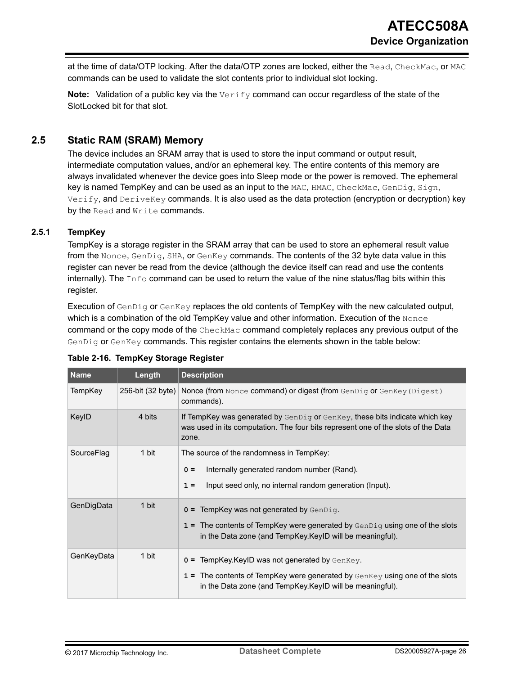<span id="page-25-0"></span>at the time of data/OTP locking. After the data/OTP zones are locked, either the Read, CheckMac, or MAC commands can be used to validate the slot contents prior to individual slot locking.

**Note:** Validation of a public key via the Verify command can occur regardless of the state of the SlotLocked bit for that slot.

## **2.5 Static RAM (SRAM) Memory**

The device includes an SRAM array that is used to store the input command or output result, intermediate computation values, and/or an ephemeral key. The entire contents of this memory are always invalidated whenever the device goes into Sleep mode or the power is removed. The ephemeral key is named TempKey and can be used as an input to the MAC, HMAC, CheckMac, GenDig, Sign, Verify, and DeriveKey commands. It is also used as the data protection (encryption or decryption) key by the Read and Write commands.

#### **2.5.1 TempKey**

TempKey is a storage register in the SRAM array that can be used to store an ephemeral result value from the Nonce, GenDig, SHA, or GenKey commands. The contents of the 32 byte data value in this register can never be read from the device (although the device itself can read and use the contents internally). The  $\text{Info}$  command can be used to return the value of the nine status/flag bits within this register.

Execution of GenDig or GenKey replaces the old contents of TempKey with the new calculated output, which is a combination of the old TempKey value and other information. Execution of the Nonce command or the copy mode of the CheckMac command completely replaces any previous output of the GenDig or GenKey commands. This register contains the elements shown in the table below:

| <b>Name</b>    | Length            | <b>Description</b>                                                                                                                                                             |  |
|----------------|-------------------|--------------------------------------------------------------------------------------------------------------------------------------------------------------------------------|--|
| <b>TempKey</b> | 256-bit (32 byte) | Nonce (from Nonce command) or digest (from GenDig or GenKey (Digest)<br>commands).                                                                                             |  |
| KeylD          | 4 bits            | If TempKey was generated by $GenDiq$ or $GenKey$ , these bits indicate which key<br>was used in its computation. The four bits represent one of the slots of the Data<br>zone. |  |
| SourceFlag     | 1 bit             | The source of the randomness in TempKey:                                                                                                                                       |  |
|                |                   | Internally generated random number (Rand).<br>$0 =$                                                                                                                            |  |
|                |                   | Input seed only, no internal random generation (Input).<br>$1 =$                                                                                                               |  |
| GenDigData     | 1 bit             | $0 =$ TempKey was not generated by GenDig.                                                                                                                                     |  |
|                |                   | $1 =$ The contents of TempKey were generated by $GenDiq$ using one of the slots<br>in the Data zone (and TempKey.KeyID will be meaningful).                                    |  |
| GenKeyData     | 1 bit             | 0 = TempKey.KeyID was not generated by GenKey.                                                                                                                                 |  |
|                |                   | $1 =$ The contents of TempKey were generated by $GenKey$ using one of the slots<br>in the Data zone (and TempKey.KeyID will be meaningful).                                    |  |

| Table 2-16. TempKey Storage Register |  |  |
|--------------------------------------|--|--|
|--------------------------------------|--|--|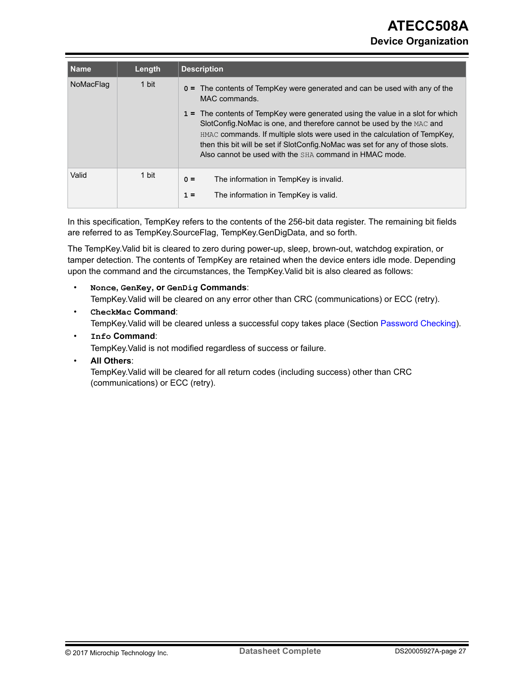| <b>Name</b> | Length | <b>Description</b>                                                                                                                                                                                                                                                                                                                                                               |
|-------------|--------|----------------------------------------------------------------------------------------------------------------------------------------------------------------------------------------------------------------------------------------------------------------------------------------------------------------------------------------------------------------------------------|
| NoMacFlag   | 1 bit  | o = The contents of TempKey were generated and can be used with any of the<br>MAC commands.                                                                                                                                                                                                                                                                                      |
|             |        | 1 = The contents of TempKey were generated using the value in a slot for which<br>SlotConfig. NoMac is one, and therefore cannot be used by the MAC and<br>HMAC commands. If multiple slots were used in the calculation of TempKey,<br>then this bit will be set if SlotConfig. NoMac was set for any of those slots.<br>Also cannot be used with the SHA command in HMAC mode. |
| Valid       | 1 bit  | The information in TempKey is invalid.<br>$0 =$<br>The information in TempKey is valid.<br>$1 =$                                                                                                                                                                                                                                                                                 |

In this specification, TempKey refers to the contents of the 256-bit data register. The remaining bit fields are referred to as TempKey.SourceFlag, TempKey.GenDigData, and so forth.

The TempKey.Valid bit is cleared to zero during power-up, sleep, brown-out, watchdog expiration, or tamper detection. The contents of TempKey are retained when the device enters idle mode. Depending upon the command and the circumstances, the TempKey.Valid bit is also cleared as follows:

## • **Nonce, GenKey, or GenDig Commands**: TempKey.Valid will be cleared on any error other than CRC (communications) or ECC (retry).

• **CheckMac Command**:

TempKey.Valid will be cleared unless a successful copy takes place (Section [Password Checking](#page-30-0)).

• **Info Command**:

TempKey.Valid is not modified regardless of success or failure.

• **All Others**:

TempKey.Valid will be cleared for all return codes (including success) other than CRC (communications) or ECC (retry).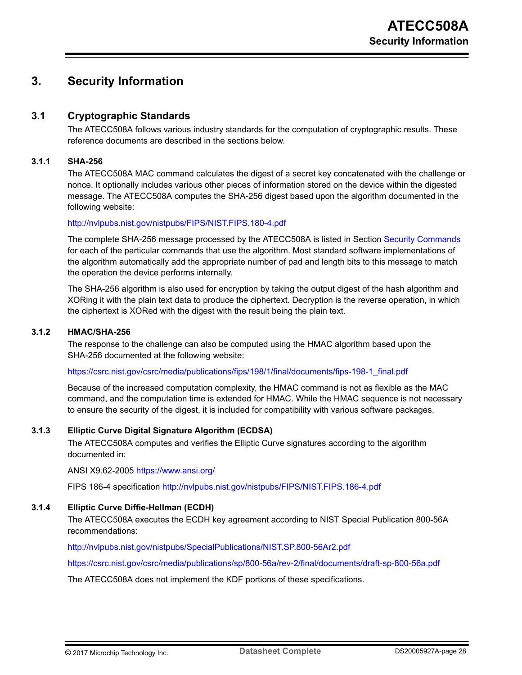## <span id="page-27-0"></span>**3. Security Information**

## **3.1 Cryptographic Standards**

The ATECC508A follows various industry standards for the computation of cryptographic results. These reference documents are described in the sections below.

#### **3.1.1 SHA-256**

The ATECC508A MAC command calculates the digest of a secret key concatenated with the challenge or nonce. It optionally includes various other pieces of information stored on the device within the digested message. The ATECC508A computes the SHA-256 digest based upon the algorithm documented in the following website:

#### <http://nvlpubs.nist.gov/nistpubs/FIPS/NIST.FIPS.180-4.pdf>

The complete SHA-256 message processed by the ATECC508A is listed in Section [Security Commands](#page-54-0) for each of the particular commands that use the algorithm. Most standard software implementations of the algorithm automatically add the appropriate number of pad and length bits to this message to match the operation the device performs internally.

The SHA-256 algorithm is also used for encryption by taking the output digest of the hash algorithm and XORing it with the plain text data to produce the ciphertext. Decryption is the reverse operation, in which the ciphertext is XORed with the digest with the result being the plain text.

#### **3.1.2 HMAC/SHA-256**

The response to the challenge can also be computed using the HMAC algorithm based upon the SHA-256 documented at the following website:

[https://csrc.nist.gov/csrc/media/publications/fips/198/1/final/documents/fips-198-1\\_final.pdf](https://csrc.nist.gov/csrc/media/publications/fips/198/1/final/documents/fips-198-1_final.pdf)

Because of the increased computation complexity, the HMAC command is not as flexible as the MAC command, and the computation time is extended for HMAC. While the HMAC sequence is not necessary to ensure the security of the digest, it is included for compatibility with various software packages.

#### **3.1.3 Elliptic Curve Digital Signature Algorithm (ECDSA)**

The ATECC508A computes and verifies the Elliptic Curve signatures according to the algorithm documented in:

ANSI X9.62-2005 <https://www.ansi.org/>

FIPS 186-4 specification <http://nvlpubs.nist.gov/nistpubs/FIPS/NIST.FIPS.186-4.pdf>

#### **3.1.4 Elliptic Curve Diffie-Hellman (ECDH)**

The ATECC508A executes the ECDH key agreement according to NIST Special Publication 800-56A recommendations:

<http://nvlpubs.nist.gov/nistpubs/SpecialPublications/NIST.SP.800-56Ar2.pdf>

<https://csrc.nist.gov/csrc/media/publications/sp/800-56a/rev-2/final/documents/draft-sp-800-56a.pdf>

The ATECC508A does not implement the KDF portions of these specifications.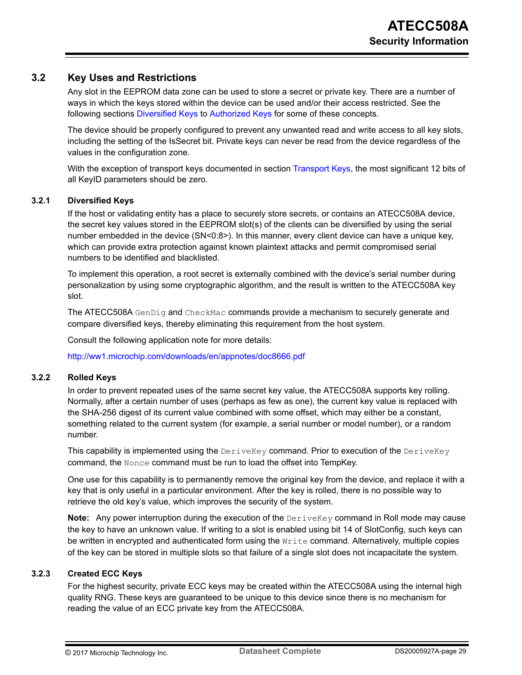### <span id="page-28-0"></span>**3.2 Key Uses and Restrictions**

Any slot in the EEPROM data zone can be used to store a secret or private key. There are a number of ways in which the keys stored within the device can be used and/or their access restricted. See the following sections Diversified Keys to [Authorized Keys](#page-31-0) for some of these concepts.

The device should be properly configured to prevent any unwanted read and write access to all key slots, including the setting of the IsSecret bit. Private keys can never be read from the device regardless of the values in the configuration zone.

With the exception of transport keys documented in section [Transport Keys](#page-31-0), the most significant 12 bits of all KeyID parameters should be zero.

#### **3.2.1 Diversified Keys**

If the host or validating entity has a place to securely store secrets, or contains an ATECC508A device, the secret key values stored in the EEPROM slot(s) of the clients can be diversified by using the serial number embedded in the device (SN<0:8>). In this manner, every client device can have a unique key, which can provide extra protection against known plaintext attacks and permit compromised serial numbers to be identified and blacklisted.

To implement this operation, a root secret is externally combined with the device's serial number during personalization by using some cryptographic algorithm, and the result is written to the ATECC508A key slot.

The ATECC508A GenDig and CheckMac commands provide a mechanism to securely generate and compare diversified keys, thereby eliminating this requirement from the host system.

Consult the following application note for more details:

<http://ww1.microchip.com/downloads/en/appnotes/doc8666.pdf>

#### **3.2.2 Rolled Keys**

In order to prevent repeated uses of the same secret key value, the ATECC508A supports key rolling. Normally, after a certain number of uses (perhaps as few as one), the current key value is replaced with the SHA-256 digest of its current value combined with some offset, which may either be a constant, something related to the current system (for example, a serial number or model number), or a random number.

This capability is implemented using the  $DeriveKey$  command. Prior to execution of the  $DeriveKey$ command, the Nonce command must be run to load the offset into TempKey.

One use for this capability is to permanently remove the original key from the device, and replace it with a key that is only useful in a particular environment. After the key is rolled, there is no possible way to retrieve the old key's value, which improves the security of the system.

**Note:** Any power interruption during the execution of the DeriveKey command in Roll mode may cause the key to have an unknown value. If writing to a slot is enabled using bit 14 of SlotConfig, such keys can be written in encrypted and authenticated form using the  $Write$  command. Alternatively, multiple copies of the key can be stored in multiple slots so that failure of a single slot does not incapacitate the system.

#### **3.2.3 Created ECC Keys**

For the highest security, private ECC keys may be created within the ATECC508A using the internal high quality RNG. These keys are guaranteed to be unique to this device since there is no mechanism for reading the value of an ECC private key from the ATECC508A.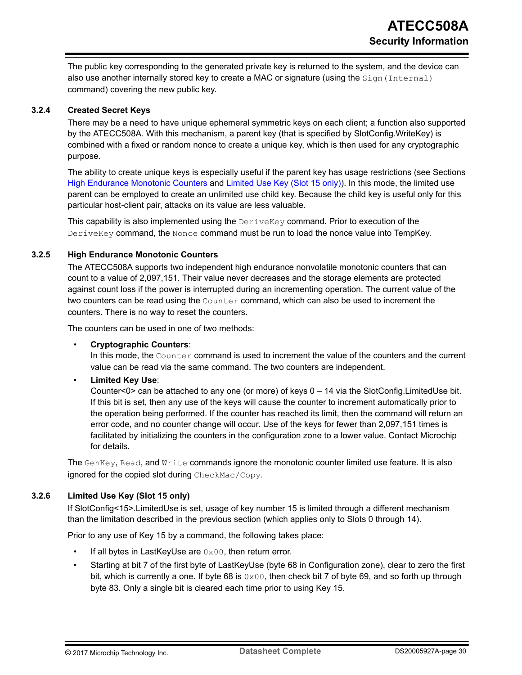<span id="page-29-0"></span>The public key corresponding to the generated private key is returned to the system, and the device can also use another internally stored key to create a MAC or signature (using the  $Sign(Internal)$ ) command) covering the new public key.

#### **3.2.4 Created Secret Keys**

There may be a need to have unique ephemeral symmetric keys on each client; a function also supported by the ATECC508A. With this mechanism, a parent key (that is specified by SlotConfig.WriteKey) is combined with a fixed or random nonce to create a unique key, which is then used for any cryptographic purpose.

The ability to create unique keys is especially useful if the parent key has usage restrictions (see Sections High Endurance Monotonic Counters and Limited Use Key (Slot 15 only)). In this mode, the limited use parent can be employed to create an unlimited use child key. Because the child key is useful only for this particular host-client pair, attacks on its value are less valuable.

This capability is also implemented using the  $DeriveKey$  command. Prior to execution of the DeriveKey command, the Nonce command must be run to load the nonce value into TempKey.

#### **3.2.5 High Endurance Monotonic Counters**

The ATECC508A supports two independent high endurance nonvolatile monotonic counters that can count to a value of 2,097,151. Their value never decreases and the storage elements are protected against count loss if the power is interrupted during an incrementing operation. The current value of the two counters can be read using the Counter command, which can also be used to increment the counters. There is no way to reset the counters.

The counters can be used in one of two methods:

#### • **Cryptographic Counters**:

In this mode, the Counter command is used to increment the value of the counters and the current value can be read via the same command. The two counters are independent.

#### • **Limited Key Use**:

Counter<0> can be attached to any one (or more) of keys 0 – 14 via the SlotConfig.LimitedUse bit. If this bit is set, then any use of the keys will cause the counter to increment automatically prior to the operation being performed. If the counter has reached its limit, then the command will return an error code, and no counter change will occur. Use of the keys for fewer than 2,097,151 times is facilitated by initializing the counters in the configuration zone to a lower value. Contact Microchip for details.

The GenKey, Read, and Write commands ignore the monotonic counter limited use feature. It is also ignored for the copied slot during CheckMac/Copy.

#### **3.2.6 Limited Use Key (Slot 15 only)**

If SlotConfig<15>.LimitedUse is set, usage of key number 15 is limited through a different mechanism than the limitation described in the previous section (which applies only to Slots 0 through 14).

Prior to any use of Key 15 by a command, the following takes place:

- If all bytes in LastKeyUse are  $0 \times 00$ , then return error.
- Starting at bit 7 of the first byte of LastKeyUse (byte 68 in Configuration zone), clear to zero the first bit, which is currently a one. If byte 68 is  $0 \times 00$ , then check bit 7 of byte 69, and so forth up through byte 83. Only a single bit is cleared each time prior to using Key 15.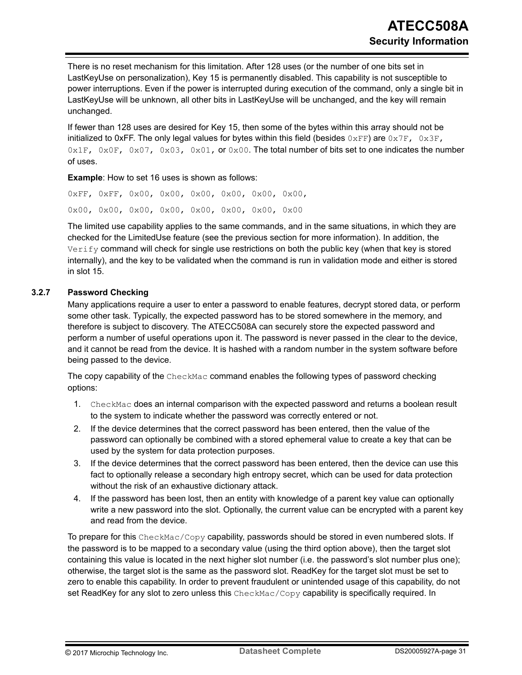<span id="page-30-0"></span>There is no reset mechanism for this limitation. After 128 uses (or the number of one bits set in LastKeyUse on personalization), Key 15 is permanently disabled. This capability is not susceptible to power interruptions. Even if the power is interrupted during execution of the command, only a single bit in LastKeyUse will be unknown, all other bits in LastKeyUse will be unchanged, and the key will remain unchanged.

If fewer than 128 uses are desired for Key 15, then some of the bytes within this array should not be initialized to 0xFF. The only legal values for bytes within this field (besides  $0 \times FF$ ) are  $0 \times 7F$ ,  $0 \times 3F$ ,  $0 \times 1$ F,  $0 \times 0$ F,  $0 \times 0$ 7,  $0 \times 03$ ,  $0 \times 01$ , or  $0 \times 00$ . The total number of bits set to one indicates the number of uses.

**Example**: How to set 16 uses is shown as follows:

0xFF, 0xFF, 0x00, 0x00, 0x00, 0x00, 0x00, 0x00, 0x00, 0x00, 0x00, 0x00, 0x00, 0x00, 0x00, 0x00

The limited use capability applies to the same commands, and in the same situations, in which they are checked for the LimitedUse feature (see the previous section for more information). In addition, the  $V$ e $r$ ify command will check for single use restrictions on both the public key (when that key is stored internally), and the key to be validated when the command is run in validation mode and either is stored in slot 15.

#### **3.2.7 Password Checking**

Many applications require a user to enter a password to enable features, decrypt stored data, or perform some other task. Typically, the expected password has to be stored somewhere in the memory, and therefore is subject to discovery. The ATECC508A can securely store the expected password and perform a number of useful operations upon it. The password is never passed in the clear to the device, and it cannot be read from the device. It is hashed with a random number in the system software before being passed to the device.

The copy capability of the CheckMac command enables the following types of password checking options:

- 1. CheckMac does an internal comparison with the expected password and returns a boolean result to the system to indicate whether the password was correctly entered or not.
- 2. If the device determines that the correct password has been entered, then the value of the password can optionally be combined with a stored ephemeral value to create a key that can be used by the system for data protection purposes.
- 3. If the device determines that the correct password has been entered, then the device can use this fact to optionally release a secondary high entropy secret, which can be used for data protection without the risk of an exhaustive dictionary attack.
- 4. If the password has been lost, then an entity with knowledge of a parent key value can optionally write a new password into the slot. Optionally, the current value can be encrypted with a parent key and read from the device.

To prepare for this  $\text{CheckMac/Copy capability},$  passwords should be stored in even numbered slots. If the password is to be mapped to a secondary value (using the third option above), then the target slot containing this value is located in the next higher slot number (i.e. the password's slot number plus one); otherwise, the target slot is the same as the password slot. ReadKey for the target slot must be set to zero to enable this capability. In order to prevent fraudulent or unintended usage of this capability, do not set ReadKey for any slot to zero unless this CheckMac/Copy capability is specifically required. In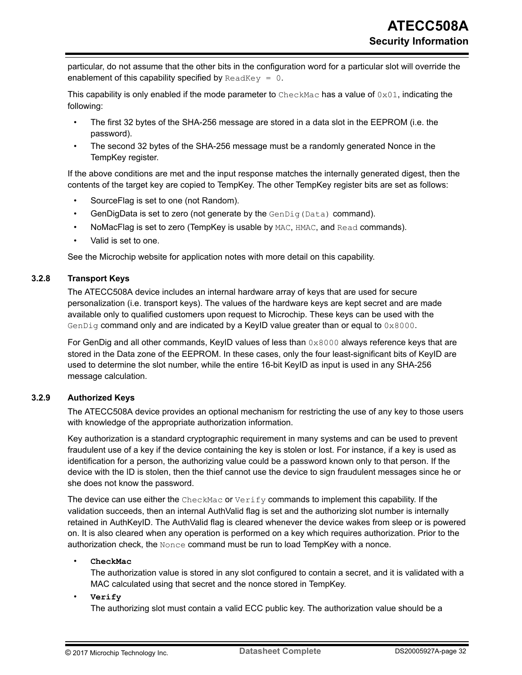<span id="page-31-0"></span>particular, do not assume that the other bits in the configuration word for a particular slot will override the enablement of this capability specified by  $\text{ReadKey} = 0$ .

This capability is only enabled if the mode parameter to  $\text{CheckMac}$  has a value of  $0 \times 01$ , indicating the following:

- The first 32 bytes of the SHA-256 message are stored in a data slot in the EEPROM (i.e. the password).
- The second 32 bytes of the SHA-256 message must be a randomly generated Nonce in the TempKey register.

If the above conditions are met and the input response matches the internally generated digest, then the contents of the target key are copied to TempKey. The other TempKey register bits are set as follows:

- SourceFlag is set to one (not Random).
- GenDigData is set to zero (not generate by the  $GenDiq(Data)$  command).
- NoMacFlag is set to zero (TempKey is usable by MAC, HMAC, and Read commands).
- Valid is set to one.

See the Microchip website for application notes with more detail on this capability.

#### **3.2.8 Transport Keys**

The ATECC508A device includes an internal hardware array of keys that are used for secure personalization (i.e. transport keys). The values of the hardware keys are kept secret and are made available only to qualified customers upon request to Microchip. These keys can be used with the GenDig command only and are indicated by a KeyID value greater than or equal to  $0 \times 8000$ .

For GenDig and all other commands, KeyID values of less than  $0 \times 8000$  always reference keys that are stored in the Data zone of the EEPROM. In these cases, only the four least-significant bits of KeyID are used to determine the slot number, while the entire 16-bit KeyID as input is used in any SHA-256 message calculation.

#### **3.2.9 Authorized Keys**

The ATECC508A device provides an optional mechanism for restricting the use of any key to those users with knowledge of the appropriate authorization information.

Key authorization is a standard cryptographic requirement in many systems and can be used to prevent fraudulent use of a key if the device containing the key is stolen or lost. For instance, if a key is used as identification for a person, the authorizing value could be a password known only to that person. If the device with the ID is stolen, then the thief cannot use the device to sign fraudulent messages since he or she does not know the password.

The device can use either the  $\text{CheckMac}$  or  $\text{Verify}$  commands to implement this capability. If the validation succeeds, then an internal AuthValid flag is set and the authorizing slot number is internally retained in AuthKeyID. The AuthValid flag is cleared whenever the device wakes from sleep or is powered on. It is also cleared when any operation is performed on a key which requires authorization. Prior to the authorization check, the  $\text{None}$  command must be run to load TempKey with a nonce.

#### • **CheckMac**

The authorization value is stored in any slot configured to contain a secret, and it is validated with a MAC calculated using that secret and the nonce stored in TempKey.

#### • **Verify**

The authorizing slot must contain a valid ECC public key. The authorization value should be a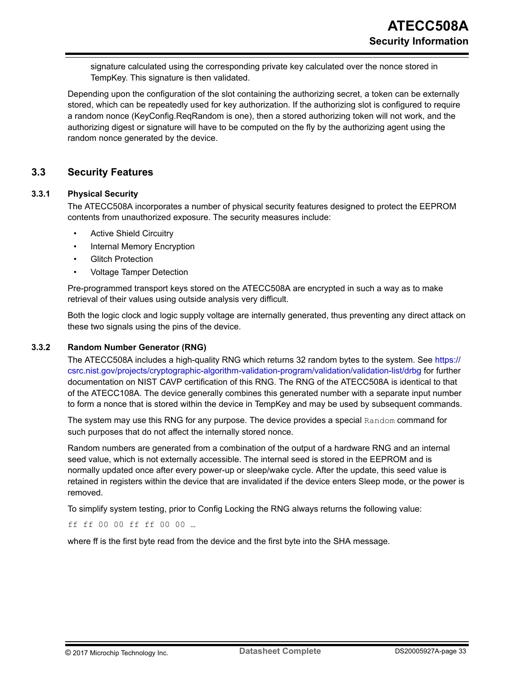<span id="page-32-0"></span>signature calculated using the corresponding private key calculated over the nonce stored in TempKey. This signature is then validated.

Depending upon the configuration of the slot containing the authorizing secret, a token can be externally stored, which can be repeatedly used for key authorization. If the authorizing slot is configured to require a random nonce (KeyConfig.ReqRandom is one), then a stored authorizing token will not work, and the authorizing digest or signature will have to be computed on the fly by the authorizing agent using the random nonce generated by the device.

#### **3.3 Security Features**

#### **3.3.1 Physical Security**

The ATECC508A incorporates a number of physical security features designed to protect the EEPROM contents from unauthorized exposure. The security measures include:

- **Active Shield Circuitry**
- Internal Memory Encryption
- **Glitch Protection**
- Voltage Tamper Detection

Pre-programmed transport keys stored on the ATECC508A are encrypted in such a way as to make retrieval of their values using outside analysis very difficult.

Both the logic clock and logic supply voltage are internally generated, thus preventing any direct attack on these two signals using the pins of the device.

#### **3.3.2 Random Number Generator (RNG)**

The ATECC508A includes a high-quality RNG which returns 32 random bytes to the system. See [https://](https://csrc.nist.gov/projects/cryptographic-algorithm-validation-program/validation/validation-list/drbg) [csrc.nist.gov/projects/cryptographic-algorithm-validation-program/validation/validation-list/drbg](https://csrc.nist.gov/projects/cryptographic-algorithm-validation-program/validation/validation-list/drbg) for further documentation on NIST CAVP certification of this RNG. The RNG of the ATECC508A is identical to that of the ATECC108A. The device generally combines this generated number with a separate input number to form a nonce that is stored within the device in TempKey and may be used by subsequent commands.

The system may use this RNG for any purpose. The device provides a special Random command for such purposes that do not affect the internally stored nonce.

Random numbers are generated from a combination of the output of a hardware RNG and an internal seed value, which is not externally accessible. The internal seed is stored in the EEPROM and is normally updated once after every power-up or sleep/wake cycle. After the update, this seed value is retained in registers within the device that are invalidated if the device enters Sleep mode, or the power is removed.

To simplify system testing, prior to Config Locking the RNG always returns the following value:

ff ff 00 00 ff ff 00 00 …

where ff is the first byte read from the device and the first byte into the SHA message.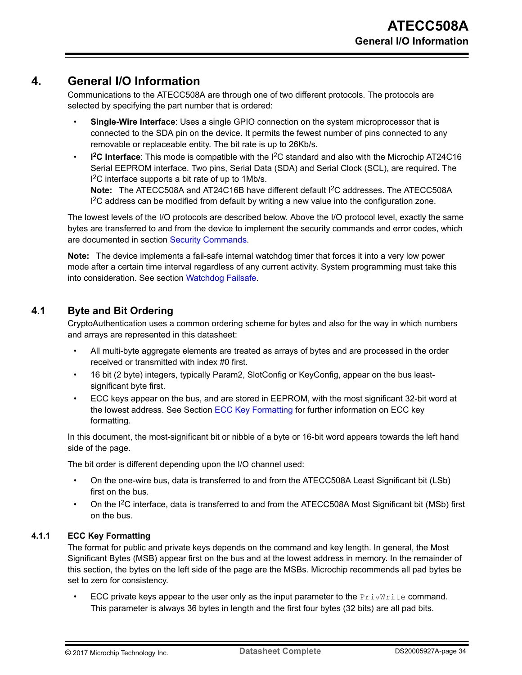## <span id="page-33-0"></span>**4. General I/O Information**

Communications to the ATECC508A are through one of two different protocols. The protocols are selected by specifying the part number that is ordered:

- **Single-Wire Interface**: Uses a single GPIO connection on the system microprocessor that is connected to the SDA pin on the device. It permits the fewest number of pins connected to any removable or replaceable entity. The bit rate is up to 26Kb/s.
- **I <sup>2</sup>C Interface**: This mode is compatible with the I2C standard and also with the Microchip AT24C16 Serial EEPROM interface. Two pins, Serial Data (SDA) and Serial Clock (SCL), are required. The I<sup>2</sup>C interface supports a bit rate of up to 1Mb/s.

**Note:**  The ATECC508A and AT24C16B have different default I2C addresses. The ATECC508A  $I<sup>2</sup>C$  address can be modified from default by writing a new value into the configuration zone.

The lowest levels of the I/O protocols are described below. Above the I/O protocol level, exactly the same bytes are transferred to and from the device to implement the security commands and error codes, which are documented in section [Security Commands](#page-54-0).

**Note:**  The device implements a fail-safe internal watchdog timer that forces it into a very low power mode after a certain time interval regardless of any current activity. System programming must take this into consideration. See section [Watchdog Failsafe.](#page-59-0)

## **4.1 Byte and Bit Ordering**

CryptoAuthentication uses a common ordering scheme for bytes and also for the way in which numbers and arrays are represented in this datasheet:

- All multi-byte aggregate elements are treated as arrays of bytes and are processed in the order received or transmitted with index #0 first.
- 16 bit (2 byte) integers, typically Param2, SlotConfig or KeyConfig, appear on the bus leastsignificant byte first.
- ECC keys appear on the bus, and are stored in EEPROM, with the most significant 32-bit word at the lowest address. See Section ECC Key Formatting for further information on ECC key formatting.

In this document, the most-significant bit or nibble of a byte or 16-bit word appears towards the left hand side of the page.

The bit order is different depending upon the I/O channel used:

- On the one-wire bus, data is transferred to and from the ATECC508A Least Significant bit (LSb) first on the bus.
- On the I2C interface, data is transferred to and from the ATECC508A Most Significant bit (MSb) first on the bus.

#### **4.1.1 ECC Key Formatting**

The format for public and private keys depends on the command and key length. In general, the Most Significant Bytes (MSB) appear first on the bus and at the lowest address in memory. In the remainder of this section, the bytes on the left side of the page are the MSBs. Microchip recommends all pad bytes be set to zero for consistency.

ECC private keys appear to the user only as the input parameter to the  $PrivWrite$  command. This parameter is always 36 bytes in length and the first four bytes (32 bits) are all pad bits.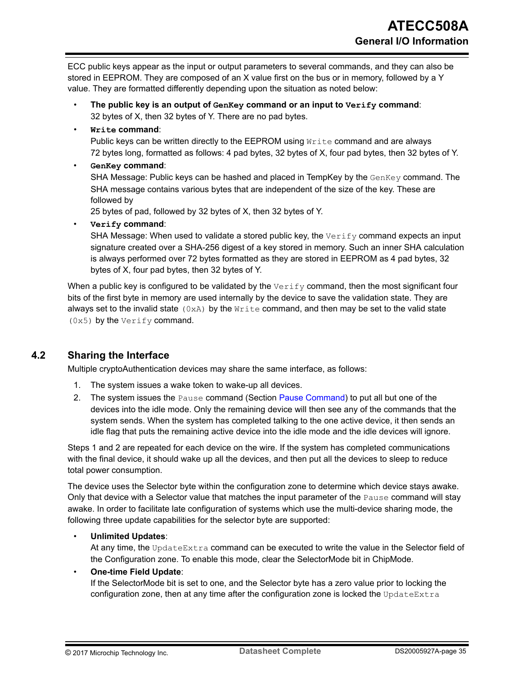<span id="page-34-0"></span>ECC public keys appear as the input or output parameters to several commands, and they can also be stored in EEPROM. They are composed of an X value first on the bus or in memory, followed by a Y value. They are formatted differently depending upon the situation as noted below:

- **The public key is an output of GenKey command or an input to Verify command**: 32 bytes of X, then 32 bytes of Y. There are no pad bytes.
- **Write command**:

Public keys can be written directly to the EEPROM using  $Write$  command and are always 72 bytes long, formatted as follows: 4 pad bytes, 32 bytes of X, four pad bytes, then 32 bytes of Y.

#### • **GenKey command**:

SHA Message: Public keys can be hashed and placed in TempKey by the GenKey command. The SHA message contains various bytes that are independent of the size of the key. These are followed by

25 bytes of pad, followed by 32 bytes of X, then 32 bytes of Y.

• **Verify command**:

SHA Message: When used to validate a stored public key, the  $Verify$  command expects an input signature created over a SHA-256 digest of a key stored in memory. Such an inner SHA calculation is always performed over 72 bytes formatted as they are stored in EEPROM as 4 pad bytes, 32 bytes of X, four pad bytes, then 32 bytes of Y.

When a public key is configured to be validated by the  $Verify$  command, then the most significant four bits of the first byte in memory are used internally by the device to save the validation state. They are always set to the invalid state  $(0xA)$  by the  $Write$  command, and then may be set to the valid state (0x5) by the Verify command.

## **4.2 Sharing the Interface**

Multiple cryptoAuthentication devices may share the same interface, as follows:

- 1. The system issues a wake token to wake-up all devices.
- 2. The system issues the Pause command (Section [Pause Command\)](#page-78-0) to put all but one of the devices into the idle mode. Only the remaining device will then see any of the commands that the system sends. When the system has completed talking to the one active device, it then sends an idle flag that puts the remaining active device into the idle mode and the idle devices will ignore.

Steps 1 and 2 are repeated for each device on the wire. If the system has completed communications with the final device, it should wake up all the devices, and then put all the devices to sleep to reduce total power consumption.

The device uses the Selector byte within the configuration zone to determine which device stays awake. Only that device with a Selector value that matches the input parameter of the Pause command will stay awake. In order to facilitate late configuration of systems which use the multi-device sharing mode, the following three update capabilities for the selector byte are supported:

#### • **Unlimited Updates**:

At any time, the UpdateExtra command can be executed to write the value in the Selector field of the Configuration zone. To enable this mode, clear the SelectorMode bit in ChipMode.

#### • **One-time Field Update**:

If the SelectorMode bit is set to one, and the Selector byte has a zero value prior to locking the configuration zone, then at any time after the configuration zone is locked the UpdateExtra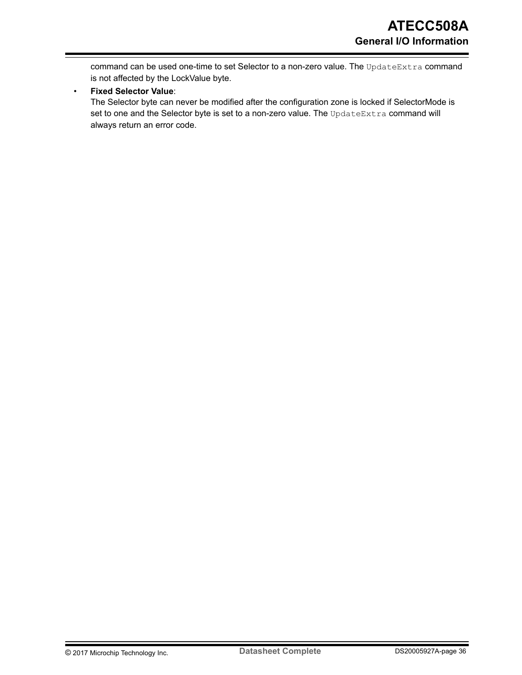command can be used one-time to set Selector to a non-zero value. The UpdateExtra command is not affected by the LockValue byte.

#### • **Fixed Selector Value**:

The Selector byte can never be modified after the configuration zone is locked if SelectorMode is set to one and the Selector byte is set to a non-zero value. The UpdateExtra command will always return an error code.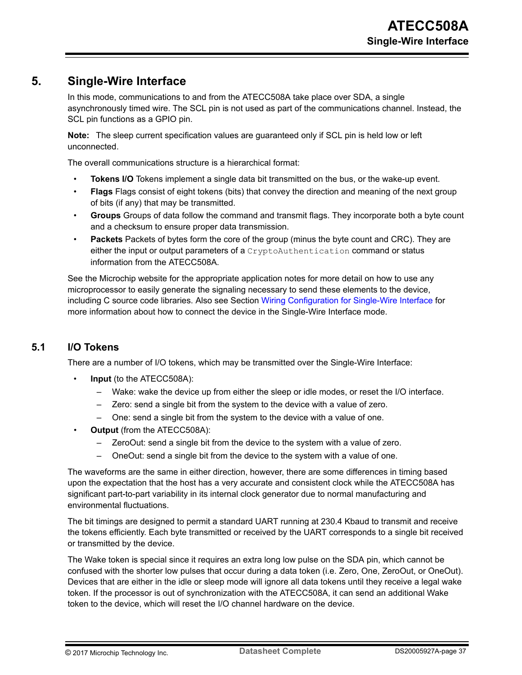# **5. Single-Wire Interface**

In this mode, communications to and from the ATECC508A take place over SDA, a single asynchronously timed wire. The SCL pin is not used as part of the communications channel. Instead, the SCL pin functions as a GPIO pin.

**Note:**  The sleep current specification values are guaranteed only if SCL pin is held low or left unconnected.

The overall communications structure is a hierarchical format:

- **Tokens I/O** Tokens implement a single data bit transmitted on the bus, or the wake-up event.
- **Flags** Flags consist of eight tokens (bits) that convey the direction and meaning of the next group of bits (if any) that may be transmitted.
- **Groups** Groups of data follow the command and transmit flags. They incorporate both a byte count and a checksum to ensure proper data transmission.
- **Packets** Packets of bytes form the core of the group (minus the byte count and CRC). They are either the input or output parameters of a CryptoAuthentication command or status information from the ATECC508A.

See the Microchip website for the appropriate application notes for more detail on how to use any microprocessor to easily generate the signaling necessary to send these elements to the device, including C source code libraries. Also see Section [Wiring Configuration for Single-Wire Interface](#page-93-0) for more information about how to connect the device in the Single-Wire Interface mode.

# **5.1 I/O Tokens**

There are a number of I/O tokens, which may be transmitted over the Single-Wire Interface:

- **Input** (to the ATECC508A):
	- Wake: wake the device up from either the sleep or idle modes, or reset the I/O interface.
	- Zero: send a single bit from the system to the device with a value of zero.
	- One: send a single bit from the system to the device with a value of one.
- **Output** (from the ATECC508A):
	- ZeroOut: send a single bit from the device to the system with a value of zero.
	- OneOut: send a single bit from the device to the system with a value of one.

The waveforms are the same in either direction, however, there are some differences in timing based upon the expectation that the host has a very accurate and consistent clock while the ATECC508A has significant part-to-part variability in its internal clock generator due to normal manufacturing and environmental fluctuations.

The bit timings are designed to permit a standard UART running at 230.4 Kbaud to transmit and receive the tokens efficiently. Each byte transmitted or received by the UART corresponds to a single bit received or transmitted by the device.

The Wake token is special since it requires an extra long low pulse on the SDA pin, which cannot be confused with the shorter low pulses that occur during a data token (i.e. Zero, One, ZeroOut, or OneOut). Devices that are either in the idle or sleep mode will ignore all data tokens until they receive a legal wake token. If the processor is out of synchronization with the ATECC508A, it can send an additional Wake token to the device, which will reset the I/O channel hardware on the device.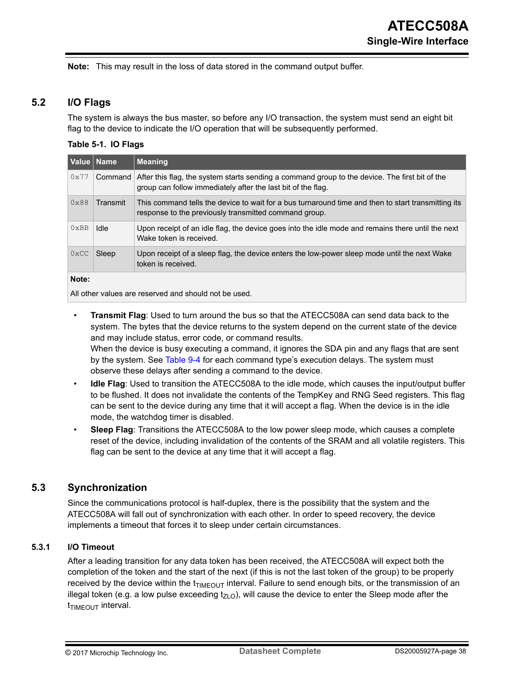<span id="page-37-0"></span>**Note:**  This may result in the loss of data stored in the command output buffer.

## **5.2 I/O Flags**

The system is always the bus master, so before any I/O transaction, the system must send an eight bit flag to the device to indicate the I/O operation that will be subsequently performed.

#### **Table 5-1. IO Flags**

| <b>Nalue ∣Name</b> |          | <b>Meaning</b>                                                                                                                                                 |
|--------------------|----------|----------------------------------------------------------------------------------------------------------------------------------------------------------------|
| 0x77               | Command  | After this flag, the system starts sending a command group to the device. The first bit of the<br>group can follow immediately after the last bit of the flag. |
| 0x88               | Transmit | This command tells the device to wait for a bus turnaround time and then to start transmitting its<br>response to the previously transmitted command group.    |
| 0xBB               | Idle     | Upon receipt of an idle flag, the device goes into the idle mode and remains there until the next<br>Wake token is received.                                   |
| $0 \times CC$      | Sleep    | Upon receipt of a sleep flag, the device enters the low-power sleep mode until the next Wake<br>token is received.                                             |
| Note:              |          |                                                                                                                                                                |

All other values are reserved and should not be used.

- **Transmit Flag**: Used to turn around the bus so that the ATECC508A can send data back to the system. The bytes that the device returns to the system depend on the current state of the device and may include status, error code, or command results. When the device is busy executing a command, it ignores the SDA pin and any flags that are sent by the system. See [Table 9-4](#page-56-0) for each command type's execution delays. The system must observe these delays after sending a command to the device.
- **Idle Flag**: Used to transition the ATECC508A to the idle mode, which causes the input/output buffer to be flushed. It does not invalidate the contents of the TempKey and RNG Seed registers. This flag can be sent to the device during any time that it will accept a flag. When the device is in the idle mode, the watchdog timer is disabled.
- **Sleep Flag**: Transitions the ATECC508A to the low power sleep mode, which causes a complete reset of the device, including invalidation of the contents of the SRAM and all volatile registers. This flag can be sent to the device at any time that it will accept a flag.

# **5.3 Synchronization**

Since the communications protocol is half-duplex, there is the possibility that the system and the ATECC508A will fall out of synchronization with each other. In order to speed recovery, the device implements a timeout that forces it to sleep under certain circumstances.

#### **5.3.1 I/O Timeout**

After a leading transition for any data token has been received, the ATECC508A will expect both the completion of the token and the start of the next (if this is not the last token of the group) to be properly received by the device within the  $t_{TIMEOUT}$  interval. Failure to send enough bits, or the transmission of an illegal token (e.g. a low pulse exceeding  $t_{ZLO}$ ), will cause the device to enter the Sleep mode after the  $t_{\text{TIMEOUT}}$  interval.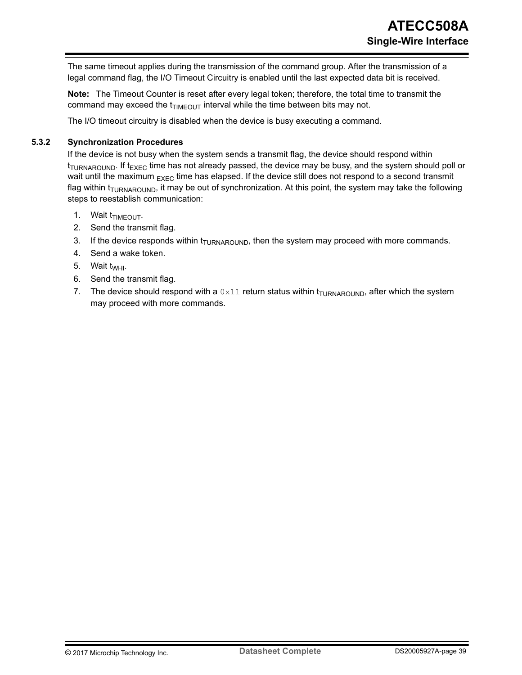The same timeout applies during the transmission of the command group. After the transmission of a legal command flag, the I/O Timeout Circuitry is enabled until the last expected data bit is received.

**Note:**  The Timeout Counter is reset after every legal token; therefore, the total time to transmit the command may exceed the  $t_{TIMEOUT}$  interval while the time between bits may not.

The I/O timeout circuitry is disabled when the device is busy executing a command.

#### **5.3.2 Synchronization Procedures**

If the device is not busy when the system sends a transmit flag, the device should respond within  $t_{\text{TIIRNAROLIND}}$  If  $t_{\text{EXFC}}$  time has not already passed, the device may be busy, and the system should poll or wait until the maximum  $_{EXEC}$  time has elapsed. If the device still does not respond to a second transmit flag within  $t_{TURNAROUND}$ , it may be out of synchronization. At this point, the system may take the following steps to reestablish communication:

- 1. Wait t<sub>TIMEOUT</sub>.
- 2. Send the transmit flag.
- 3. If the device responds within  $t_{\text{URNAROUND}}$ , then the system may proceed with more commands.
- 4. Send a wake token.
- 5. Wait  $t_{WHI}$ .
- 6. Send the transmit flag.
- 7. The device should respond with a  $0 \times 11$  return status within  $t_{\text{TURNAROUND}}$ , after which the system may proceed with more commands.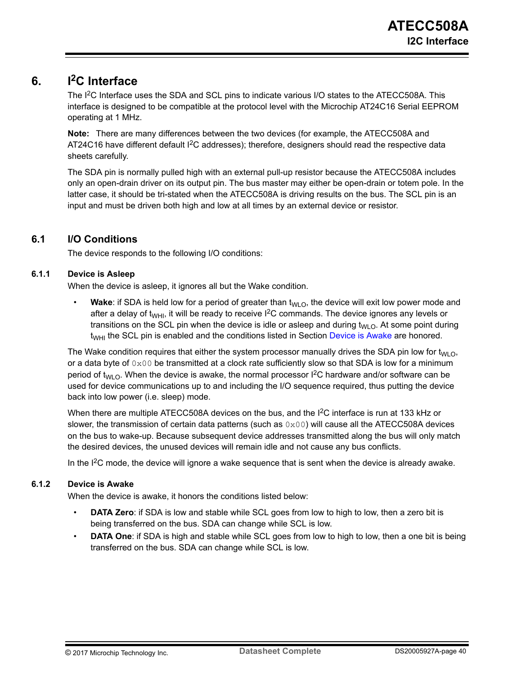# **6. I2C Interface**

The I<sup>2</sup>C Interface uses the SDA and SCL pins to indicate various I/O states to the ATECC508A. This interface is designed to be compatible at the protocol level with the Microchip AT24C16 Serial EEPROM operating at 1 MHz.

**Note:**  There are many differences between the two devices (for example, the ATECC508A and AT24C16 have different default I<sup>2</sup>C addresses); therefore, designers should read the respective data sheets carefully.

The SDA pin is normally pulled high with an external pull-up resistor because the ATECC508A includes only an open-drain driver on its output pin. The bus master may either be open-drain or totem pole. In the latter case, it should be tri-stated when the ATECC508A is driving results on the bus. The SCL pin is an input and must be driven both high and low at all times by an external device or resistor.

# **6.1 I/O Conditions**

The device responds to the following I/O conditions:

## **6.1.1 Device is Asleep**

When the device is asleep, it ignores all but the Wake condition.

**Wake:** if SDA is held low for a period of greater than  $t_{WLO}$ , the device will exit low power mode and after a delay of t<sub>WHI</sub>, it will be ready to receive  $1^2C$  commands. The device ignores any levels or transitions on the SCL pin when the device is idle or asleep and during  $t_{WLO}$ . At some point during  $t_{WHI}$  the SCL pin is enabled and the conditions listed in Section Device is Awake are honored.

The Wake condition requires that either the system processor manually drives the SDA pin low for  $t_{\text{WLO}}$ , or a data byte of  $0 \times 00$  be transmitted at a clock rate sufficiently slow so that SDA is low for a minimum period of t<sub>WLO</sub>. When the device is awake, the normal processor I<sup>2</sup>C hardware and/or software can be used for device communications up to and including the I/O sequence required, thus putting the device back into low power (i.e. sleep) mode.

When there are multiple ATECC508A devices on the bus, and the I<sup>2</sup>C interface is run at 133 kHz or slower, the transmission of certain data patterns (such as  $0 \times 00$ ) will cause all the ATECC508A devices on the bus to wake-up. Because subsequent device addresses transmitted along the bus will only match the desired devices, the unused devices will remain idle and not cause any bus conflicts.

In the  $I<sup>2</sup>C$  mode, the device will ignore a wake sequence that is sent when the device is already awake.

#### **6.1.2 Device is Awake**

When the device is awake, it honors the conditions listed below:

- **DATA Zero**: if SDA is low and stable while SCL goes from low to high to low, then a zero bit is being transferred on the bus. SDA can change while SCL is low.
- **DATA One**: if SDA is high and stable while SCL goes from low to high to low, then a one bit is being transferred on the bus. SDA can change while SCL is low.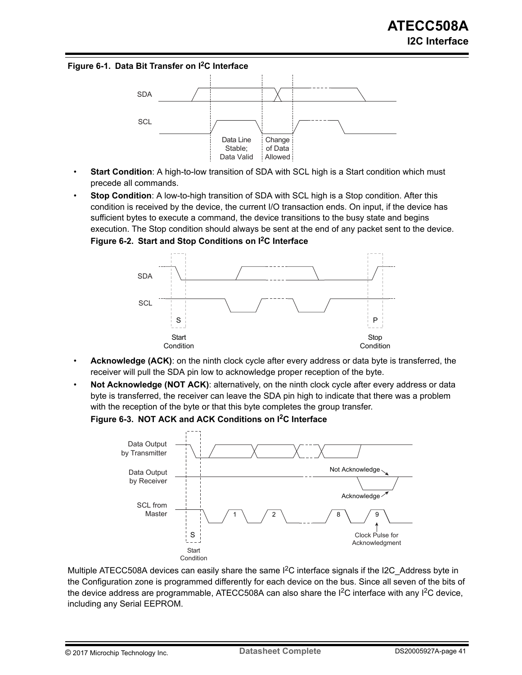#### **Figure 6-1. Data Bit Transfer on I2C Interface**



- **Start Condition**: A high-to-low transition of SDA with SCL high is a Start condition which must precede all commands.
- **Stop Condition**: A low-to-high transition of SDA with SCL high is a Stop condition. After this condition is received by the device, the current I/O transaction ends. On input, if the device has sufficient bytes to execute a command, the device transitions to the busy state and begins execution. The Stop condition should always be sent at the end of any packet sent to the device. **Figure 6-2. Start and Stop Conditions on I2C Interface**



- Acknowledge (ACK): on the ninth clock cycle after every address or data byte is transferred, the receiver will pull the SDA pin low to acknowledge proper reception of the byte.
- **Not Acknowledge (NOT ACK)**: alternatively, on the ninth clock cycle after every address or data byte is transferred, the receiver can leave the SDA pin high to indicate that there was a problem with the reception of the byte or that this byte completes the group transfer.

**Figure 6-3. NOT ACK and ACK Conditions on I2C Interface**



Multiple ATECC508A devices can easily share the same  $1<sup>2</sup>C$  interface signals if the I2C Address byte in the Configuration zone is programmed differently for each device on the bus. Since all seven of the bits of the device address are programmable, ATECC508A can also share the  $I<sup>2</sup>C$  interface with any  $I<sup>2</sup>C$  device, including any Serial EEPROM.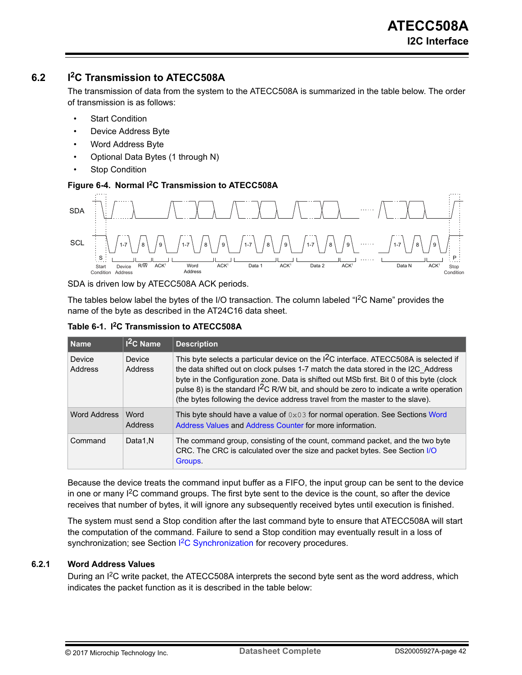# **6.2 I2C Transmission to ATECC508A**

The transmission of data from the system to the ATECC508A is summarized in the table below. The order of transmission is as follows:

- **Start Condition**
- Device Address Byte
- Word Address Byte
- Optional Data Bytes (1 through N)
- **Stop Condition**

#### **Figure 6-4. Normal I2C Transmission to ATECC508A**



SDA is driven low by ATECC508A ACK periods.

The tables below label the bytes of the I/O transaction. The column labeled "I<sup>2</sup>C Name" provides the name of the byte as described in the AT24C16 data sheet.

|  | Table 6-1. I <sup>2</sup> C Transmission to ATECC508A |  |  |
|--|-------------------------------------------------------|--|--|
|--|-------------------------------------------------------|--|--|

| Name              | $12C$ Name               | <b>Description</b>                                                                                                                                                                                                                                                                                                                                                                                                                                   |
|-------------------|--------------------------|------------------------------------------------------------------------------------------------------------------------------------------------------------------------------------------------------------------------------------------------------------------------------------------------------------------------------------------------------------------------------------------------------------------------------------------------------|
| Device<br>Address | <b>Device</b><br>Address | This byte selects a particular device on the $12C$ interface. ATECC508A is selected if<br>the data shifted out on clock pulses 1-7 match the data stored in the I2C Address<br>byte in the Configuration zone. Data is shifted out MSb first. Bit 0 of this byte (clock<br>pulse 8) is the standard $12C$ R/W bit, and should be zero to indicate a write operation<br>(the bytes following the device address travel from the master to the slave). |
| Word Address      | Word<br>Address          | This byte should have a value of $0 \times 03$ for normal operation. See Sections Word<br>Address Values and Address Counter for more information.                                                                                                                                                                                                                                                                                                   |
| Command           | Data1.N                  | The command group, consisting of the count, command packet, and the two byte<br>CRC. The CRC is calculated over the size and packet bytes. See Section I/O<br>Groups.                                                                                                                                                                                                                                                                                |

Because the device treats the command input buffer as a FIFO, the input group can be sent to the device in one or many  $1<sup>2</sup>C$  command groups. The first byte sent to the device is the count, so after the device receives that number of bytes, it will ignore any subsequently received bytes until execution is finished.

The system must send a Stop condition after the last command byte to ensure that ATECC508A will start the computation of the command. Failure to send a Stop condition may eventually result in a loss of synchronization; see Section <sup>2</sup>[C Synchronization](#page-44-0) for recovery procedures.

## **6.2.1 Word Address Values**

During an I<sup>2</sup>C write packet, the ATECC508A interprets the second byte sent as the word address, which indicates the packet function as it is described in the table below: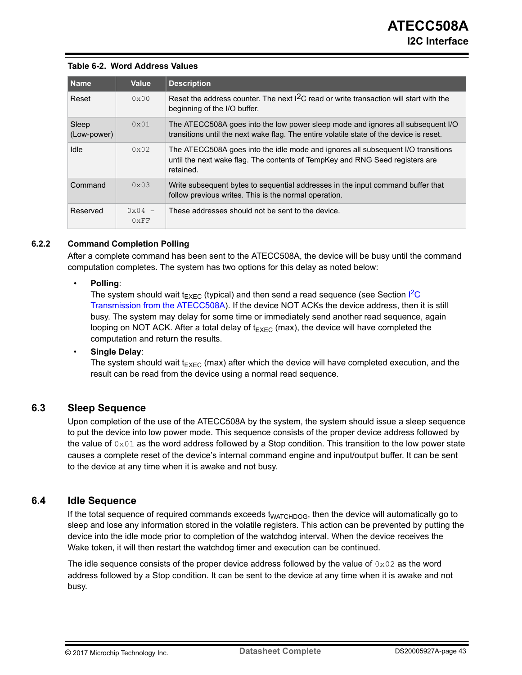#### <span id="page-42-0"></span>**Table 6-2. Word Address Values**

| <b>Name</b>          | <b>Value</b>                     | <b>Description</b>                                                                                                                                                            |
|----------------------|----------------------------------|-------------------------------------------------------------------------------------------------------------------------------------------------------------------------------|
| Reset                | $0 \times 00$                    | Reset the address counter. The next I <sup>2</sup> C read or write transaction will start with the<br>beginning of the I/O buffer.                                            |
| Sleep<br>(Low-power) | 0x01                             | The ATECC508A goes into the low power sleep mode and ignores all subsequent I/O<br>transitions until the next wake flag. The entire volatile state of the device is reset.    |
| Idle                 | $0 \times 02$                    | The ATECC508A goes into the idle mode and ignores all subsequent I/O transitions<br>until the next wake flag. The contents of TempKey and RNG Seed registers are<br>retained. |
| Command              | 0x03                             | Write subsequent bytes to sequential addresses in the input command buffer that<br>follow previous writes. This is the normal operation.                                      |
| Reserved             | $0 \times 04 -$<br>$0 \times FF$ | These addresses should not be sent to the device.                                                                                                                             |

## **6.2.2 Command Completion Polling**

After a complete command has been sent to the ATECC508A, the device will be busy until the command computation completes. The system has two options for this delay as noted below:

#### • **Polling**:

The system should wait  $t_{\text{EXEC}}$  $t_{\text{EXEC}}$  $t_{\text{EXEC}}$  (typical) and then send a read sequence (see Section l<sup>2</sup>C [Transmission from the ATECC508A](#page-43-0)). If the device NOT ACKs the device address, then it is still busy. The system may delay for some time or immediately send another read sequence, again looping on NOT ACK. After a total delay of  $t_{EXEC}$  (max), the device will have completed the computation and return the results.

#### • **Single Delay**:

The system should wait  $t_{EXEC}$  (max) after which the device will have completed execution, and the result can be read from the device using a normal read sequence.

## **6.3 Sleep Sequence**

Upon completion of the use of the ATECC508A by the system, the system should issue a sleep sequence to put the device into low power mode. This sequence consists of the proper device address followed by the value of  $0 \times 01$  as the word address followed by a Stop condition. This transition to the low power state causes a complete reset of the device's internal command engine and input/output buffer. It can be sent to the device at any time when it is awake and not busy.

## **6.4 Idle Sequence**

If the total sequence of required commands exceeds t<sub>WATCHDOG</sub>, then the device will automatically go to sleep and lose any information stored in the volatile registers. This action can be prevented by putting the device into the idle mode prior to completion of the watchdog interval. When the device receives the Wake token, it will then restart the watchdog timer and execution can be continued.

The idle sequence consists of the proper device address followed by the value of  $0\times02$  as the word address followed by a Stop condition. It can be sent to the device at any time when it is awake and not busy.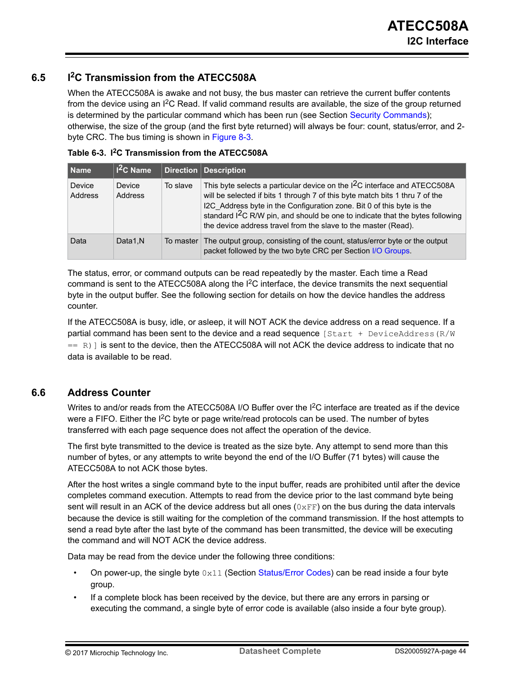# <span id="page-43-0"></span>**6.5 I2C Transmission from the ATECC508A**

When the ATECC508A is awake and not busy, the bus master can retrieve the current buffer contents from the device using an  $I^2C$  Read. If valid command results are available, the size of the group returned is determined by the particular command which has been run (see Section [Security Commands\)](#page-54-0); otherwise, the size of the group (and the first byte returned) will always be four: count, status/error, and 2 byte CRC. The bus timing is shown in [Figure 8-3](#page-51-0).

| Name              | $12C$ Name        |           | Direction Description                                                                                                                                                                                                                                                                                                                                                                                         |
|-------------------|-------------------|-----------|---------------------------------------------------------------------------------------------------------------------------------------------------------------------------------------------------------------------------------------------------------------------------------------------------------------------------------------------------------------------------------------------------------------|
| Device<br>Address | Device<br>Address | To slave  | This byte selects a particular device on the I <sup>2</sup> C interface and ATECC508A<br>will be selected if bits 1 through 7 of this byte match bits 1 thru 7 of the<br>I2C Address byte in the Configuration zone. Bit 0 of this byte is the<br>standard I <sup>2</sup> C R/W pin, and should be one to indicate that the bytes following<br>the device address travel from the slave to the master (Read). |
| Data              | Data1.N           | To master | The output group, consisting of the count, status/error byte or the output<br>packet followed by the two byte CRC per Section I/O Groups.                                                                                                                                                                                                                                                                     |

**Table 6-3. I2C Transmission from the ATECC508A**

The status, error, or command outputs can be read repeatedly by the master. Each time a Read command is sent to the ATECC508A along the  $I^2C$  interface, the device transmits the next sequential byte in the output buffer. See the following section for details on how the device handles the address counter.

If the ATECC508A is busy, idle, or asleep, it will NOT ACK the device address on a read sequence. If a partial command has been sent to the device and a read sequence  $[Start + DeviceAddress(R/W)]$  $=$  R) is sent to the device, then the ATECC508A will not ACK the device address to indicate that no data is available to be read.

# **6.6 Address Counter**

Writes to and/or reads from the ATECC508A I/O Buffer over the I<sup>2</sup>C interface are treated as if the device were a FIFO. Either the I<sup>2</sup>C byte or page write/read protocols can be used. The number of bytes transferred with each page sequence does not affect the operation of the device.

The first byte transmitted to the device is treated as the size byte. Any attempt to send more than this number of bytes, or any attempts to write beyond the end of the I/O Buffer (71 bytes) will cause the ATECC508A to not ACK those bytes.

After the host writes a single command byte to the input buffer, reads are prohibited until after the device completes command execution. Attempts to read from the device prior to the last command byte being sent will result in an ACK of the device address but all ones  $(0 \times FF)$  on the bus during the data intervals because the device is still waiting for the completion of the command transmission. If the host attempts to send a read byte after the last byte of the command has been transmitted, the device will be executing the command and will NOT ACK the device address.

Data may be read from the device under the following three conditions:

- On power-up, the single byte  $0 \times 11$  (Section [Status/Error Codes](#page-55-0)) can be read inside a four byte group.
- If a complete block has been received by the device, but there are any errors in parsing or executing the command, a single byte of error code is available (also inside a four byte group).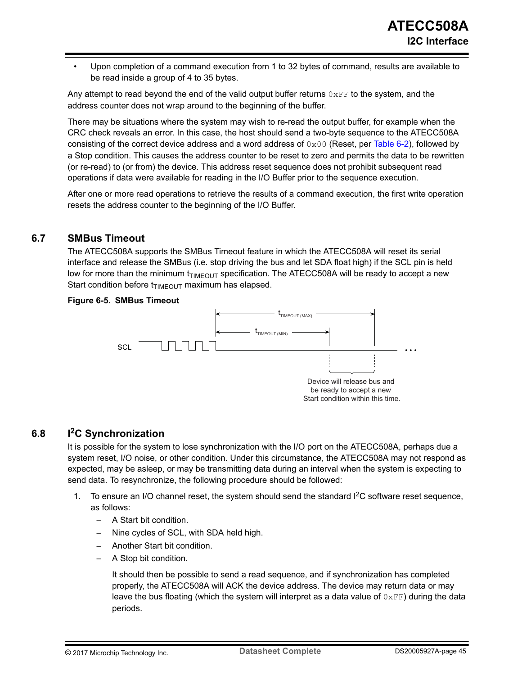<span id="page-44-0"></span>• Upon completion of a command execution from 1 to 32 bytes of command, results are available to be read inside a group of 4 to 35 bytes.

Any attempt to read beyond the end of the valid output buffer returns  $0 \times FF$  to the system, and the address counter does not wrap around to the beginning of the buffer.

There may be situations where the system may wish to re-read the output buffer, for example when the CRC check reveals an error. In this case, the host should send a two-byte sequence to the ATECC508A consisting of the correct device address and a word address of  $0 \times 00$  (Reset, per [Table 6-2\)](#page-42-0), followed by a Stop condition. This causes the address counter to be reset to zero and permits the data to be rewritten (or re-read) to (or from) the device. This address reset sequence does not prohibit subsequent read operations if data were available for reading in the I/O Buffer prior to the sequence execution.

After one or more read operations to retrieve the results of a command execution, the first write operation resets the address counter to the beginning of the I/O Buffer.

## **6.7 SMBus Timeout**

The ATECC508A supports the SMBus Timeout feature in which the ATECC508A will reset its serial interface and release the SMBus (i.e. stop driving the bus and let SDA float high) if the SCL pin is held low for more than the minimum  $t_{TIMEOUT}$  specification. The ATECC508A will be ready to accept a new Start condition before  $t_{TIMEOUT}$  maximum has elapsed.

#### **Figure 6-5. SMBus Timeout**



## **6.8 I2C Synchronization**

It is possible for the system to lose synchronization with the I/O port on the ATECC508A, perhaps due a system reset, I/O noise, or other condition. Under this circumstance, the ATECC508A may not respond as expected, may be asleep, or may be transmitting data during an interval when the system is expecting to send data. To resynchronize, the following procedure should be followed:

- 1. To ensure an I/O channel reset, the system should send the standard I2C software reset sequence, as follows:
	- A Start bit condition.
	- Nine cycles of SCL, with SDA held high.
	- Another Start bit condition.
	- A Stop bit condition.

It should then be possible to send a read sequence, and if synchronization has completed properly, the ATECC508A will ACK the device address. The device may return data or may leave the bus floating (which the system will interpret as a data value of  $0 \times FF$ ) during the data periods.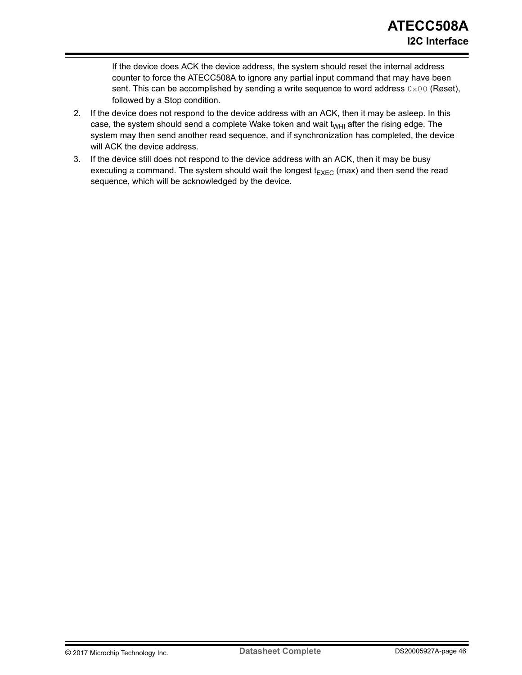If the device does ACK the device address, the system should reset the internal address counter to force the ATECC508A to ignore any partial input command that may have been sent. This can be accomplished by sending a write sequence to word address  $0 \times 00$  (Reset), followed by a Stop condition.

- 2. If the device does not respond to the device address with an ACK, then it may be asleep. In this case, the system should send a complete Wake token and wait  $t_{WHI}$  after the rising edge. The system may then send another read sequence, and if synchronization has completed, the device will ACK the device address.
- 3. If the device still does not respond to the device address with an ACK, then it may be busy executing a command. The system should wait the longest  $t_{E XEC}$  (max) and then send the read sequence, which will be acknowledged by the device.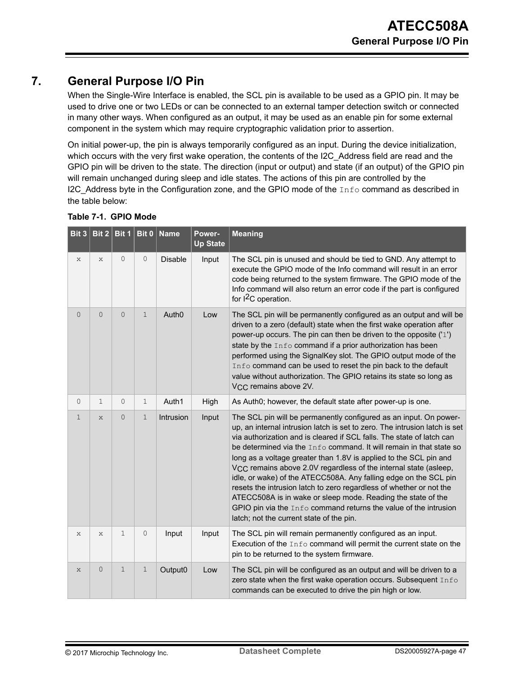# **7. General Purpose I/O Pin**

When the Single-Wire Interface is enabled, the SCL pin is available to be used as a GPIO pin. It may be used to drive one or two LEDs or can be connected to an external tamper detection switch or connected in many other ways. When configured as an output, it may be used as an enable pin for some external component in the system which may require cryptographic validation prior to assertion.

On initial power-up, the pin is always temporarily configured as an input. During the device initialization, which occurs with the very first wake operation, the contents of the I2C Address field are read and the GPIO pin will be driven to the state. The direction (input or output) and state (if an output) of the GPIO pin will remain unchanged during sleep and idle states. The actions of this pin are controlled by the I2C Address byte in the Configuration zone, and the GPIO mode of the  $Info$  command as described in the table below:

| Bit 3          | Bit $2$ Bit 1  |                | Bit $0$      | <b>Name</b>       | Power-<br><b>Up State</b> | <b>Meaning</b>                                                                                                                                                                                                                                                                                                                                                                                                                                                                                                                                                                                                                                                                                                                                                                  |
|----------------|----------------|----------------|--------------|-------------------|---------------------------|---------------------------------------------------------------------------------------------------------------------------------------------------------------------------------------------------------------------------------------------------------------------------------------------------------------------------------------------------------------------------------------------------------------------------------------------------------------------------------------------------------------------------------------------------------------------------------------------------------------------------------------------------------------------------------------------------------------------------------------------------------------------------------|
| X              | X              | $\mathbf{0}$   | $\circ$      | <b>Disable</b>    | Input                     | The SCL pin is unused and should be tied to GND. Any attempt to<br>execute the GPIO mode of the Info command will result in an error<br>code being returned to the system firmware. The GPIO mode of the<br>Info command will also return an error code if the part is configured<br>for $1^2C$ operation.                                                                                                                                                                                                                                                                                                                                                                                                                                                                      |
| $\overline{0}$ | $\overline{0}$ | $\overline{0}$ | 1            | Auth <sub>0</sub> | Low                       | The SCL pin will be permanently configured as an output and will be<br>driven to a zero (default) state when the first wake operation after<br>power-up occurs. The pin can then be driven to the opposite ('1')<br>state by the Info command if a prior authorization has been<br>performed using the SignalKey slot. The GPIO output mode of the<br>Info command can be used to reset the pin back to the default<br>value without authorization. The GPIO retains its state so long as<br>V <sub>CC</sub> remains above 2V.                                                                                                                                                                                                                                                  |
| 0              | $\mathbf 1$    | $\overline{0}$ | $\mathbf{1}$ | Auth1             | High                      | As Auth0; however, the default state after power-up is one.                                                                                                                                                                                                                                                                                                                                                                                                                                                                                                                                                                                                                                                                                                                     |
| $\mathbf{1}$   | $\mathsf{x}$   | $\overline{0}$ | $\mathbf{1}$ | Intrusion         | Input                     | The SCL pin will be permanently configured as an input. On power-<br>up, an internal intrusion latch is set to zero. The intrusion latch is set<br>via authorization and is cleared if SCL falls. The state of latch can<br>be determined via the Info command. It will remain in that state so<br>long as a voltage greater than 1.8V is applied to the SCL pin and<br>V <sub>CC</sub> remains above 2.0V regardless of the internal state (asleep,<br>idle, or wake) of the ATECC508A. Any falling edge on the SCL pin<br>resets the intrusion latch to zero regardless of whether or not the<br>ATECC508A is in wake or sleep mode. Reading the state of the<br>GPIO pin via the Info command returns the value of the intrusion<br>latch; not the current state of the pin. |
| X              | X              | $\mathbf 1$    | $\circ$      | Input             | Input                     | The SCL pin will remain permanently configured as an input.<br>Execution of the Info command will permit the current state on the<br>pin to be returned to the system firmware.                                                                                                                                                                                                                                                                                                                                                                                                                                                                                                                                                                                                 |
| $\mathbf{x}$   | 0              | $\mathbf{1}$   | $\mathbf 1$  | Output0           | Low                       | The SCL pin will be configured as an output and will be driven to a<br>zero state when the first wake operation occurs. Subsequent Info<br>commands can be executed to drive the pin high or low.                                                                                                                                                                                                                                                                                                                                                                                                                                                                                                                                                                               |

## **Table 7-1. GPIO Mode**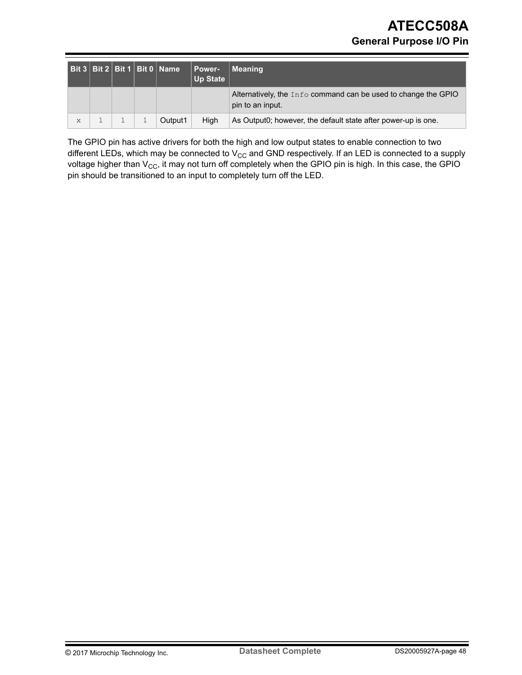|   |  | Bit 3   Bit 2   Bit 1   Bit 0   Name | Power-<br><b>Up State</b> | <b>Meaning</b>                                                                       |
|---|--|--------------------------------------|---------------------------|--------------------------------------------------------------------------------------|
|   |  |                                      |                           | Alternatively, the $Info$ command can be used to change the GPIO<br>pin to an input. |
| X |  | Output1                              | High                      | As Output0; however, the default state after power-up is one.                        |

The GPIO pin has active drivers for both the high and low output states to enable connection to two different LEDs, which may be connected to  $V_{CC}$  and GND respectively. If an LED is connected to a supply voltage higher than  $V_{CC}$ , it may not turn off completely when the GPIO pin is high. In this case, the GPIO pin should be transitioned to an input to completely turn off the LED.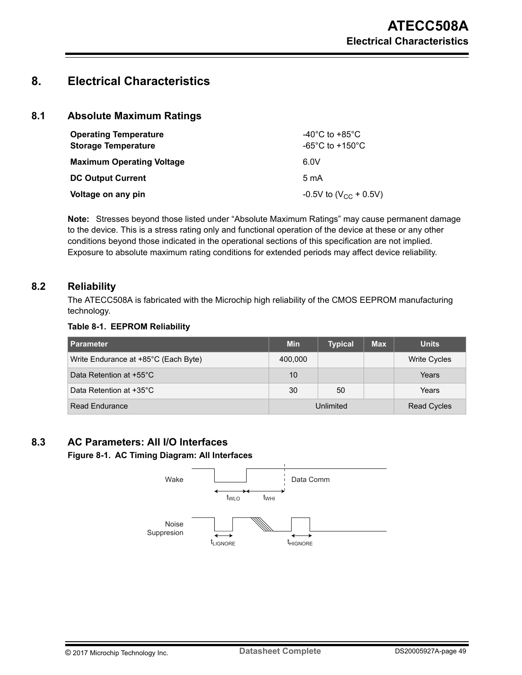# **8. Electrical Characteristics**

## **8.1 Absolute Maximum Ratings**

| <b>Operating Temperature</b><br><b>Storage Temperature</b> | -40 $^{\circ}$ C to +85 $^{\circ}$ C<br>-65 $^{\circ}$ C to +150 $^{\circ}$ C |
|------------------------------------------------------------|-------------------------------------------------------------------------------|
| <b>Maximum Operating Voltage</b>                           | 6.0V                                                                          |
| <b>DC Output Current</b>                                   | $5 \text{ mA}$                                                                |
| Voltage on any pin                                         | -0.5V to $(V_{CC}$ + 0.5V)                                                    |

**Note:**  Stresses beyond those listed under "Absolute Maximum Ratings" may cause permanent damage to the device. This is a stress rating only and functional operation of the device at these or any other conditions beyond those indicated in the operational sections of this specification are not implied. Exposure to absolute maximum rating conditions for extended periods may affect device reliability.

## **8.2 Reliability**

The ATECC508A is fabricated with the Microchip high reliability of the CMOS EEPROM manufacturing technology.

#### **Table 8-1. EEPROM Reliability**

| <b>Parameter</b>                     | <b>Min</b> | <b>Typical</b> | <b>Max</b> | <b>Units</b>       |
|--------------------------------------|------------|----------------|------------|--------------------|
| Write Endurance at +85°C (Each Byte) | 400,000    |                |            | Write Cycles       |
| Data Retention at +55°C              | 10         |                |            | Years              |
| Data Retention at +35°C              | 30         | 50             |            | Years              |
| <b>Read Endurance</b>                | Unlimited  |                |            | <b>Read Cycles</b> |

# **8.3 AC Parameters: All I/O Interfaces**

## **Figure 8-1. AC Timing Diagram: All Interfaces**

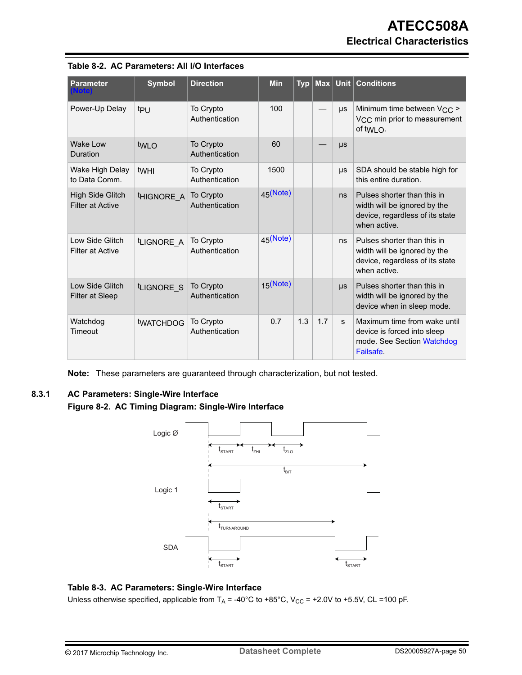| <b>Parameter</b>                                   | <b>Symbol</b>     | <b>Direction</b>            | <b>Min</b>  | $Typ \mid$ |     |              | Max Unit Conditions                                                                                            |
|----------------------------------------------------|-------------------|-----------------------------|-------------|------------|-----|--------------|----------------------------------------------------------------------------------------------------------------|
| Power-Up Delay                                     | t <sub>PU</sub>   | To Crypto<br>Authentication | 100         |            |     | μs           | Minimum time between V <sub>CC</sub> ><br>V <sub>CC</sub> min prior to measurement<br>of twi $\Omega$ .        |
| Wake I ow<br>Duration                              | twi o             | To Crypto<br>Authentication | 60          |            |     | $\mu s$      |                                                                                                                |
| Wake High Delay<br>to Data Comm.                   | twHI              | To Crypto<br>Authentication | 1500        |            |     | μs           | SDA should be stable high for<br>this entire duration.                                                         |
| <b>High Side Glitch</b><br><b>Filter at Active</b> | <b>HIGNORE A</b>  | To Crypto<br>Authentication | $45$ (Note) |            |     | ns           | Pulses shorter than this in<br>width will be ignored by the<br>device, regardless of its state<br>when active. |
| Low Side Glitch<br><b>Filter at Active</b>         | tLIGNORE_A        | To Crypto<br>Authentication | $45$ (Note) |            |     | ns           | Pulses shorter than this in<br>width will be ignored by the<br>device, regardless of its state<br>when active. |
| Low Side Glitch<br><b>Filter at Sleep</b>          | <b>ILIGNORE S</b> | To Crypto<br>Authentication | $15$ (Note) |            |     | $\mu s$      | Pulses shorter than this in<br>width will be ignored by the<br>device when in sleep mode.                      |
| Watchdog<br>Timeout                                | <b>tWATCHDOG</b>  | To Crypto<br>Authentication | 0.7         | 1.3        | 1.7 | <sub>S</sub> | Maximum time from wake until<br>device is forced into sleep<br>mode. See Section Watchdog<br>Failsafe.         |

|  | Table 8-2. AC Parameters: All I/O Interfaces |  |  |
|--|----------------------------------------------|--|--|
|--|----------------------------------------------|--|--|

**Note:**  These parameters are guaranteed through characterization, but not tested.

## **8.3.1 AC Parameters: Single-Wire Interface**

**Figure 8-2. AC Timing Diagram: Single-Wire Interface**



### **Table 8-3. AC Parameters: Single-Wire Interface**

Unless otherwise specified, applicable from  $T_A$  = -40°C to +85°C, V<sub>CC</sub> = +2.0V to +5.5V, CL =100 pF.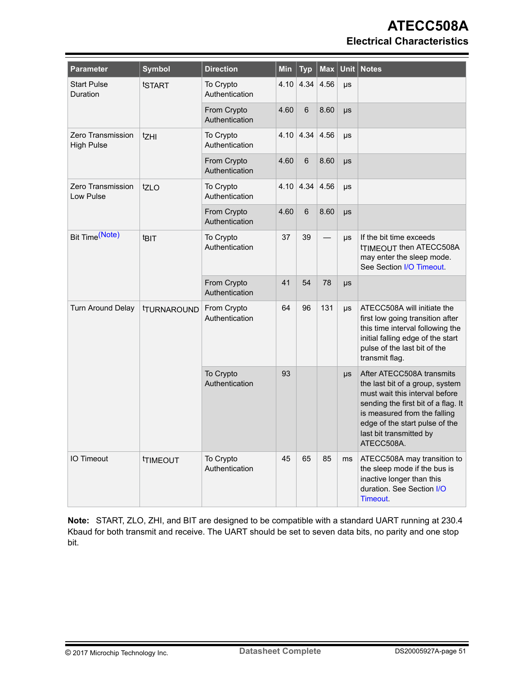# **ATECC508A Electrical Characteristics**

| <b>Parameter</b>                       | <b>Symbol</b>             | <b>Direction</b>              | Min  | <b>Typ</b>                 | <b>Max</b> | <b>Unit</b> | <b>Notes</b>                                                                                                                                                                                                                                     |
|----------------------------------------|---------------------------|-------------------------------|------|----------------------------|------------|-------------|--------------------------------------------------------------------------------------------------------------------------------------------------------------------------------------------------------------------------------------------------|
| <b>Start Pulse</b><br>Duration         | tSTART                    | To Crypto<br>Authentication   |      | $4.10 \mid 4.34 \mid 4.56$ |            | $\mu s$     |                                                                                                                                                                                                                                                  |
|                                        |                           | From Crypto<br>Authentication | 4.60 | $6\phantom{1}$             | 8.60       | $\mu s$     |                                                                                                                                                                                                                                                  |
| Zero Transmission<br><b>High Pulse</b> | tzhi                      | To Crypto<br>Authentication   |      | $4.10$ 4.34 4.56           |            | $\mu s$     |                                                                                                                                                                                                                                                  |
|                                        |                           | From Crypto<br>Authentication | 4.60 | $6\phantom{1}$             | 8.60       | μs          |                                                                                                                                                                                                                                                  |
| Zero Transmission<br>Low Pulse         | tzLO                      | To Crypto<br>Authentication   | 4.10 | 4.34                       | 4.56       | $\mu s$     |                                                                                                                                                                                                                                                  |
|                                        |                           | From Crypto<br>Authentication | 4.60 | $6\phantom{1}6$            | 8.60       | $\mu s$     |                                                                                                                                                                                                                                                  |
| Bit Time(Note)                         | t <sub>BIT</sub>          | To Crypto<br>Authentication   | 37   | 39                         |            | $\mu s$     | If the bit time exceeds<br><b>TIMEOUT then ATECC508A</b><br>may enter the sleep mode.<br>See Section I/O Timeout.                                                                                                                                |
|                                        |                           | From Crypto<br>Authentication | 41   | 54                         | 78         | $\mu s$     |                                                                                                                                                                                                                                                  |
| Turn Around Delay                      | <b><i>ITURNAROUND</i></b> | From Crypto<br>Authentication | 64   | 96                         | 131        | $\mu s$     | ATECC508A will initiate the<br>first low going transition after<br>this time interval following the<br>initial falling edge of the start<br>pulse of the last bit of the<br>transmit flag.                                                       |
|                                        |                           | To Crypto<br>Authentication   | 93   |                            |            | $\mu s$     | After ATECC508A transmits<br>the last bit of a group, system<br>must wait this interval before<br>sending the first bit of a flag. It<br>is measured from the falling<br>edge of the start pulse of the<br>last bit transmitted by<br>ATECC508A. |
| <b>IO Timeout</b>                      | <b>TIMEOUT</b>            | To Crypto<br>Authentication   | 45   | 65                         | 85         | ms          | ATECC508A may transition to<br>the sleep mode if the bus is<br>inactive longer than this<br>duration. See Section I/O<br>Timeout.                                                                                                                |

**Note:**  START, ZLO, ZHI, and BIT are designed to be compatible with a standard UART running at 230.4 Kbaud for both transmit and receive. The UART should be set to seven data bits, no parity and one stop bit.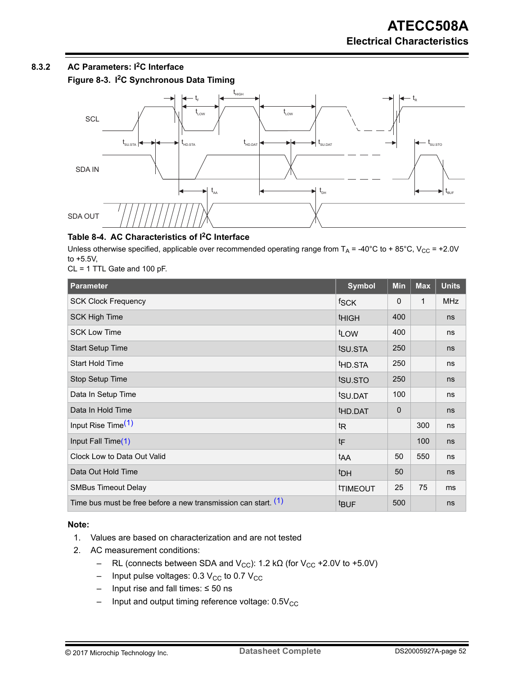# <span id="page-51-0"></span>**8.3.2 AC Parameters: I2C Interface**

**Figure 8-3. I2C Synchronous Data Timing**



## **Table 8-4. AC Characteristics of I2C Interface**

Unless otherwise specified, applicable over recommended operating range from  $T_A$  = -40°C to + 85°C, V<sub>CC</sub> = +2.0V to +5.5V,

CL = 1 TTL Gate and 100 pF.

| <b>Parameter</b>                                                 | <b>Symbol</b>        | Min      | <b>Max</b> | <b>Units</b> |
|------------------------------------------------------------------|----------------------|----------|------------|--------------|
| <b>SCK Clock Frequency</b>                                       | fSCK                 | $\Omega$ | 1          | <b>MHz</b>   |
| <b>SCK High Time</b>                                             | <b>THIGH</b>         | 400      |            | ns           |
| <b>SCK Low Time</b>                                              | t <sub>LOW</sub>     | 400      |            | ns           |
| <b>Start Setup Time</b>                                          | tsu.sta              | 250      |            | ns           |
| <b>Start Hold Time</b>                                           | t <sub>HD</sub> .STA | 250      |            | ns           |
| Stop Setup Time                                                  | tsu.sto              | 250      |            | ns           |
| Data In Setup Time                                               | t <sub>SU.DAT</sub>  | 100      |            | ns           |
| Data In Hold Time                                                | thd.dat              | 0        |            | ns           |
| Input Rise Time <sup>(1)</sup>                                   | t <sub>R</sub>       |          | 300        | ns           |
| Input Fall Time(1)                                               | tF                   |          | 100        | ns           |
| Clock Low to Data Out Valid                                      | t <sub>AA</sub>      | 50       | 550        | ns           |
| Data Out Hold Time                                               | <sup>t</sup> DH      | 50       |            | ns           |
| <b>SMBus Timeout Delay</b>                                       | <b>TIMEOUT</b>       | 25       | 75         | ms           |
| Time bus must be free before a new transmission can start. $(1)$ | <b>tBUF</b>          | 500      |            | ns           |

## **Note:**

- 1. Values are based on characterization and are not tested
- 2. AC measurement conditions:
	- RL (connects between SDA and V<sub>CC</sub>): 1.2 kΩ (for V<sub>CC</sub> +2.0V to +5.0V)
	- Input pulse voltages: 0.3  $V_{CC}$  to 0.7  $V_{CC}$
	- Input rise and fall times: ≤ 50 ns
	- $-$  Input and output timing reference voltage:  $0.5V_{CC}$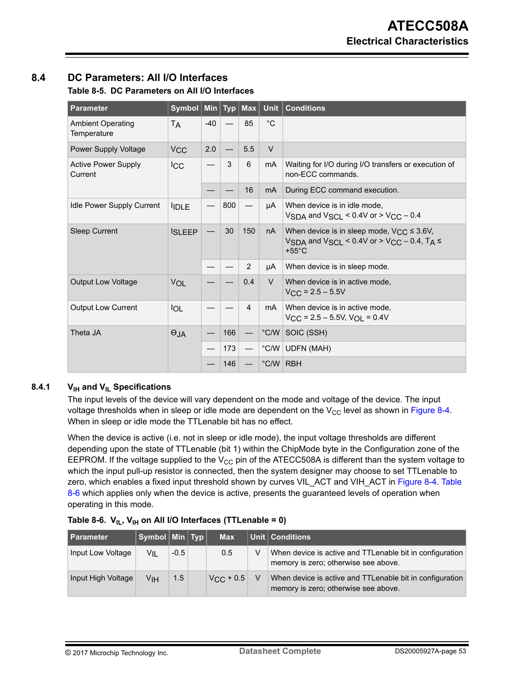# **8.4 DC Parameters: All I/O Interfaces**

## **Table 8-5. DC Parameters on All I/O Interfaces**

| <b>Parameter</b>                        | Symbol          | <b>Min</b> | <b>Typ</b> | Max            | <b>Unit</b>    | <b>Conditions</b>                                                                                                         |
|-----------------------------------------|-----------------|------------|------------|----------------|----------------|---------------------------------------------------------------------------------------------------------------------------|
| <b>Ambient Operating</b><br>Temperature | T <sub>A</sub>  | $-40$      |            | 85             | $^{\circ}C$    |                                                                                                                           |
| Power Supply Voltage                    | V <sub>CC</sub> | 2.0        |            | 5.5            | $\vee$         |                                                                                                                           |
| <b>Active Power Supply</b><br>Current   | <b>ICC</b>      |            | 3          | 6              | mA             | Waiting for I/O during I/O transfers or execution of<br>non-ECC commands.                                                 |
|                                         |                 |            |            | 16             | m <sub>A</sub> | During ECC command execution.                                                                                             |
| <b>Idle Power Supply Current</b>        | <b>IDLE</b>     |            | 800        |                | μA             | When device is in idle mode,<br>VSDA and VSCI < $0.4V$ or > VCC - 0.4                                                     |
| <b>Sleep Current</b>                    | <b>ISLEEP</b>   |            | 30         | 150            | nA             | When device is in sleep mode, $V_{CC} \leq 3.6V$ ,<br>VSDA and VSCL < $0.4V$ or > VCC - 0.4, TA $\leq$<br>+55 $\degree$ C |
|                                         |                 |            |            | $\mathbf{2}$   | μA             | When device is in sleep mode.                                                                                             |
| <b>Output Low Voltage</b>               | VOL             |            |            | 0.4            | $\vee$         | When device is in active mode,<br>$V_{CC}$ = 2.5 – 5.5V                                                                   |
| <b>Output Low Current</b>               | <b>IOL</b>      |            |            | $\overline{4}$ | m <sub>A</sub> | When device is in active mode,<br>$V_{\text{CC}}$ = 2.5 – 5.5V, $V_{\text{OL}}$ = 0.4V                                    |
| Theta JA                                | $\Theta$ JA     |            | 166        |                | $^{\circ}$ C/W | SOIC (SSH)                                                                                                                |
|                                         |                 |            | 173        |                |                | °C/W UDFN (MAH)                                                                                                           |
|                                         |                 |            | 146        |                | °C/W RBH       |                                                                                                                           |

## **8.4.1 VIH and VIL Specifications**

The input levels of the device will vary dependent on the mode and voltage of the device. The input voltage thresholds when in sleep or idle mode are dependent on the  $V_{CC}$  level as shown in [Figure 8-4.](#page-53-0) When in sleep or idle mode the TTLenable bit has no effect.

When the device is active (i.e. not in sleep or idle mode), the input voltage thresholds are different depending upon the state of TTLenable (bit 1) within the ChipMode byte in the Configuration zone of the EEPROM. If the voltage supplied to the  $V_{CC}$  pin of the ATECC508A is different than the system voltage to which the input pull-up resistor is connected, then the system designer may choose to set TTLenable to zero, which enables a fixed input threshold shown by curves VIL\_ACT and VIH\_ACT in [Figure 8-4](#page-53-0). Table 8-6 which applies only when the device is active, presents the guaranteed levels of operation when operating in this mode.

| l Parameter        | Symbol $\vert$ Min $\vert$ Typ $\vert$ |        | <b>Max</b>         | Unit   Conditions                                                                                |
|--------------------|----------------------------------------|--------|--------------------|--------------------------------------------------------------------------------------------------|
| Input Low Voltage  | VIL                                    | $-0.5$ | 0.5                | When device is active and TTLenable bit in configuration<br>memory is zero; otherwise see above. |
| Input High Voltage | Vін                                    | 1.5    | $V_{\rm CC}$ + 0.5 | When device is active and TTLenable bit in configuration<br>memory is zero; otherwise see above. |

|  |  |  |  | Table 8-6. $V_{IL}$ , $V_{IH}$ on All I/O Interfaces (TTLenable = 0) |
|--|--|--|--|----------------------------------------------------------------------|
|--|--|--|--|----------------------------------------------------------------------|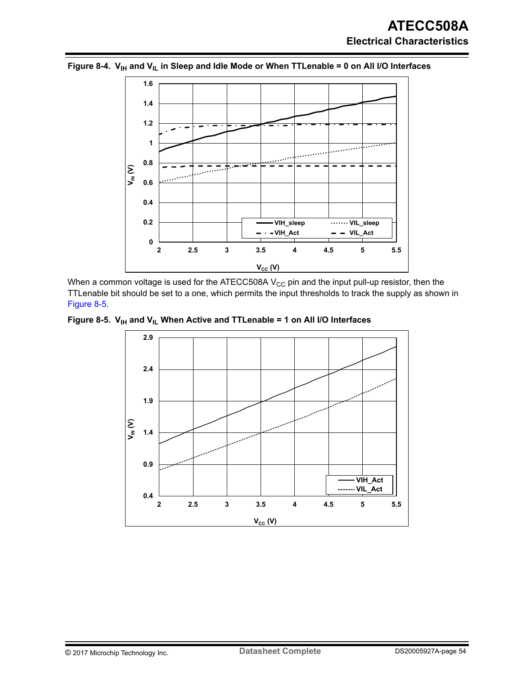

<span id="page-53-0"></span>Figure 8-4. V<sub>IH</sub> and V<sub>IL</sub> in Sleep and Idle Mode or When TTLenable = 0 on All I/O Interfaces

When a common voltage is used for the ATECC508A  $V_{CC}$  pin and the input pull-up resistor, then the TTLenable bit should be set to a one, which permits the input thresholds to track the supply as shown in Figure 8-5.

Figure 8-5. V<sub>IH</sub> and V<sub>IL</sub> When Active and TTLenable = 1 on All I/O Interfaces

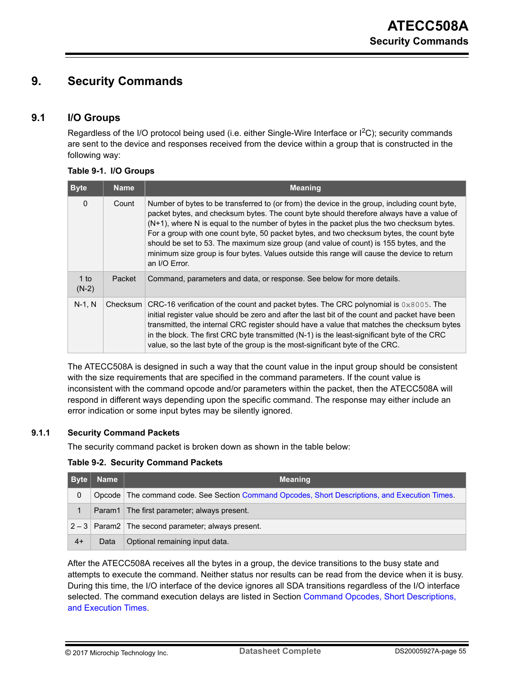# <span id="page-54-0"></span>**9. Security Commands**

## **9.1 I/O Groups**

Regardless of the I/O protocol being used (i.e. either Single-Wire Interface or I<sup>2</sup>C); security commands are sent to the device and responses received from the device within a group that is constructed in the following way:

|  |  |  | Table 9-1. I/O Groups |
|--|--|--|-----------------------|
|--|--|--|-----------------------|

| <b>Byte</b>       | <b>Name</b> | <b>Meaning</b>                                                                                                                                                                                                                                                                                                                                                                                                                                                                                                                                                                                  |
|-------------------|-------------|-------------------------------------------------------------------------------------------------------------------------------------------------------------------------------------------------------------------------------------------------------------------------------------------------------------------------------------------------------------------------------------------------------------------------------------------------------------------------------------------------------------------------------------------------------------------------------------------------|
| $\mathbf{0}$      | Count       | Number of bytes to be transferred to (or from) the device in the group, including count byte,<br>packet bytes, and checksum bytes. The count byte should therefore always have a value of<br>$(N+1)$ , where N is equal to the number of bytes in the packet plus the two checksum bytes.<br>For a group with one count byte, 50 packet bytes, and two checksum bytes, the count byte<br>should be set to 53. The maximum size group (and value of count) is 155 bytes, and the<br>minimum size group is four bytes. Values outside this range will cause the device to return<br>an I/O Error. |
| $1$ to<br>$(N-2)$ | Packet      | Command, parameters and data, or response. See below for more details.                                                                                                                                                                                                                                                                                                                                                                                                                                                                                                                          |
| $N-1$ , $N$       | Checksum    | CRC-16 verification of the count and packet bytes. The CRC polynomial is $0 \times 8005$ . The<br>initial register value should be zero and after the last bit of the count and packet have been<br>transmitted, the internal CRC register should have a value that matches the checksum bytes<br>in the block. The first CRC byte transmitted (N-1) is the least-significant byte of the CRC<br>value, so the last byte of the group is the most-significant byte of the CRC.                                                                                                                  |

The ATECC508A is designed in such a way that the count value in the input group should be consistent with the size requirements that are specified in the command parameters. If the count value is inconsistent with the command opcode and/or parameters within the packet, then the ATECC508A will respond in different ways depending upon the specific command. The response may either include an error indication or some input bytes may be silently ignored.

### **9.1.1 Security Command Packets**

The security command packet is broken down as shown in the table below:

#### **Table 9-2. Security Command Packets**

| <b>Byte</b> | <b>Name</b> | <b>Meaning</b>                                                                                   |
|-------------|-------------|--------------------------------------------------------------------------------------------------|
| 0           |             | Opcode   The command code. See Section Command Opcodes, Short Descriptions, and Execution Times. |
| 1           |             | Param1 The first parameter; always present.                                                      |
|             |             | $2 - 3$ Param2 The second parameter; always present.                                             |
| $4+$        | Data        | Optional remaining input data.                                                                   |

After the ATECC508A receives all the bytes in a group, the device transitions to the busy state and attempts to execute the command. Neither status nor results can be read from the device when it is busy. During this time, the I/O interface of the device ignores all SDA transitions regardless of the I/O interface selected. The command execution delays are listed in Section [Command Opcodes, Short Descriptions,](#page-56-0) [and Execution Times](#page-56-0).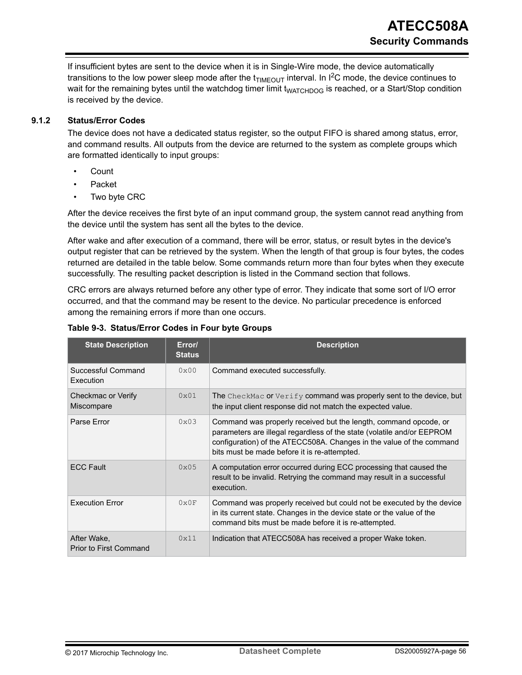<span id="page-55-0"></span>If insufficient bytes are sent to the device when it is in Single-Wire mode, the device automatically transitions to the low power sleep mode after the  $t_{\text{TIMEOUT}}$  interval. In I<sup>2</sup>C mode, the device continues to wait for the remaining bytes until the watchdog timer limit t<sub>WATCHDOG</sub> is reached, or a Start/Stop condition is received by the device.

## **9.1.2 Status/Error Codes**

The device does not have a dedicated status register, so the output FIFO is shared among status, error, and command results. All outputs from the device are returned to the system as complete groups which are formatted identically to input groups:

- Count
- Packet
- Two byte CRC

After the device receives the first byte of an input command group, the system cannot read anything from the device until the system has sent all the bytes to the device.

After wake and after execution of a command, there will be error, status, or result bytes in the device's output register that can be retrieved by the system. When the length of that group is four bytes, the codes returned are detailed in the table below. Some commands return more than four bytes when they execute successfully. The resulting packet description is listed in the Command section that follows.

CRC errors are always returned before any other type of error. They indicate that some sort of I/O error occurred, and that the command may be resent to the device. No particular precedence is enforced among the remaining errors if more than one occurs.

| <b>State Description</b>              | Error/<br><b>Status</b> | <b>Description</b>                                                                                                                                                                                                                                                 |
|---------------------------------------|-------------------------|--------------------------------------------------------------------------------------------------------------------------------------------------------------------------------------------------------------------------------------------------------------------|
| Successful Command<br>Execution       | $0 \times 00$           | Command executed successfully.                                                                                                                                                                                                                                     |
| Checkmac or Verify<br>Miscompare      | $0 \times 01$           | The CheckMac or Verify command was properly sent to the device, but<br>the input client response did not match the expected value.                                                                                                                                 |
| Parse Error                           | $0 \times 0.3$          | Command was properly received but the length, command opcode, or<br>parameters are illegal regardless of the state (volatile and/or EEPROM<br>configuration) of the ATECC508A. Changes in the value of the command<br>bits must be made before it is re-attempted. |
| <b>ECC Fault</b>                      | $0 \times 0.5$          | A computation error occurred during ECC processing that caused the<br>result to be invalid. Retrying the command may result in a successful<br>execution.                                                                                                          |
| <b>Execution Error</b>                | $0 \times 0 F$          | Command was properly received but could not be executed by the device<br>in its current state. Changes in the device state or the value of the<br>command bits must be made before it is re-attempted.                                                             |
| After Wake,<br>Prior to First Command | 0x11                    | Indication that ATECC508A has received a proper Wake token.                                                                                                                                                                                                        |

## **Table 9-3. Status/Error Codes in Four byte Groups**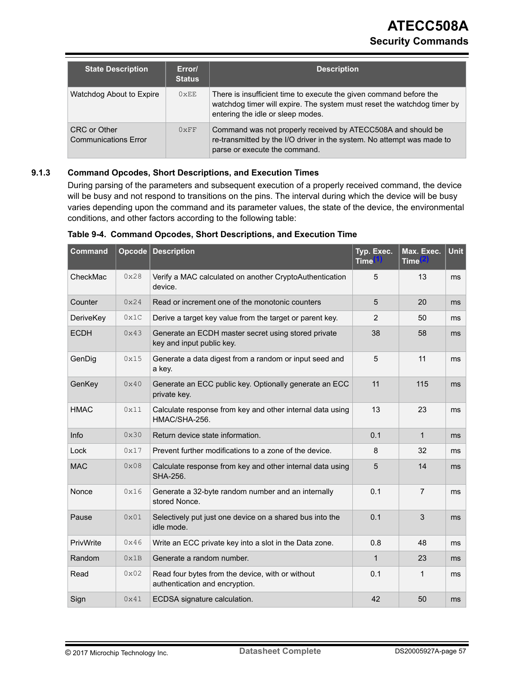<span id="page-56-0"></span>

| <b>State Description</b>                    | Error/<br><b>Status</b> | <b>Description</b>                                                                                                                                                                 |
|---------------------------------------------|-------------------------|------------------------------------------------------------------------------------------------------------------------------------------------------------------------------------|
| Watchdog About to Expire                    | $0 \times EE$           | There is insufficient time to execute the given command before the<br>watchdog timer will expire. The system must reset the watchdog timer by<br>entering the idle or sleep modes. |
| CRC or Other<br><b>Communications Error</b> | $0 \times FF$           | Command was not properly received by ATECC508A and should be<br>re-transmitted by the I/O driver in the system. No attempt was made to<br>parse or execute the command.            |

#### **9.1.3 Command Opcodes, Short Descriptions, and Execution Times**

During parsing of the parameters and subsequent execution of a properly received command, the device will be busy and not respond to transitions on the pins. The interval during which the device will be busy varies depending upon the command and its parameter values, the state of the device, the environmental conditions, and other factors according to the following table:

| <b>Command</b> | Opcode | <b>Description</b>                                                                 | Typ. Exec.<br><b>Time</b> | Max. Exec.<br><b>Time</b> | <b>Unit</b>    |
|----------------|--------|------------------------------------------------------------------------------------|---------------------------|---------------------------|----------------|
| CheckMac       | 0x28   | Verify a MAC calculated on another CryptoAuthentication<br>device.                 | 5                         | 13                        | ms             |
| Counter        | 0x24   | Read or increment one of the monotonic counters                                    | 5                         | 20                        | ms             |
| DeriveKey      | 0x1C   | Derive a target key value from the target or parent key.                           | $\overline{2}$            | 50                        | ms             |
| <b>ECDH</b>    | 0x43   | Generate an ECDH master secret using stored private<br>key and input public key.   | 38                        | 58                        | m <sub>s</sub> |
| GenDig         | 0x15   | Generate a data digest from a random or input seed and<br>a key.                   | 5                         | 11                        | ms             |
| GenKey         | 0x40   | Generate an ECC public key. Optionally generate an ECC<br>private key.             | 11                        | 115                       | ms             |
| <b>HMAC</b>    | 0x11   | Calculate response from key and other internal data using<br>HMAC/SHA-256.         | 13                        | 23                        | ms             |
| <b>Info</b>    | 0x30   | Return device state information.                                                   | 0.1                       | 1                         | ms             |
| Lock           | 0x17   | Prevent further modifications to a zone of the device.                             | 8                         | 32                        | ms             |
| <b>MAC</b>     | 0x08   | Calculate response from key and other internal data using<br>SHA-256.              | 5                         | 14                        | ms             |
| Nonce          | 0x16   | Generate a 32-byte random number and an internally<br>stored Nonce.                | 0.1                       | 7                         | ms             |
| Pause          | 0x01   | Selectively put just one device on a shared bus into the<br>idle mode.             | 0.1                       | 3                         | m <sub>s</sub> |
| PrivWrite      | 0x46   | Write an ECC private key into a slot in the Data zone.                             | 0.8                       | 48                        | m <sub>s</sub> |
| Random         | 0x1B   | Generate a random number.                                                          | $\mathbf{1}$              | 23                        | ms             |
| Read           | 0x02   | Read four bytes from the device, with or without<br>authentication and encryption. | 0.1                       | 1                         | ms             |
| Sign           | 0x41   | ECDSA signature calculation.                                                       | 42                        | 50                        | ms             |

|  |  |  |  | Table 9-4. Command Opcodes, Short Descriptions, and Execution Time |  |  |  |
|--|--|--|--|--------------------------------------------------------------------|--|--|--|
|--|--|--|--|--------------------------------------------------------------------|--|--|--|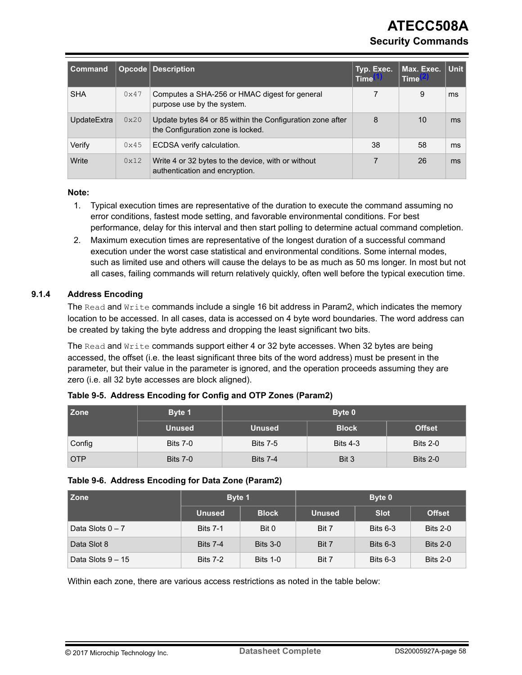# **ATECC508A Security Commands**

<span id="page-57-0"></span>

| <b>Command</b> |      | <b>Opcode   Description</b>                                                                    | Typ. Exec.<br><b>Time</b> | Max. Exec.<br><b>Time</b> | <b>Unit</b> |
|----------------|------|------------------------------------------------------------------------------------------------|---------------------------|---------------------------|-------------|
| <b>SHA</b>     | 0x47 | Computes a SHA-256 or HMAC digest for general<br>purpose use by the system.                    |                           | 9                         | ms          |
| UpdateExtra    | 0x20 | Update bytes 84 or 85 within the Configuration zone after<br>the Configuration zone is locked. | 8                         | 10                        | ms          |
| Verify         | 0x45 | ECDSA verify calculation.                                                                      | 38                        | 58                        | ms          |
| Write          | 0x12 | Write 4 or 32 bytes to the device, with or without<br>authentication and encryption.           |                           | 26                        | ms          |

#### **Note:**

- 1. Typical execution times are representative of the duration to execute the command assuming no error conditions, fastest mode setting, and favorable environmental conditions. For best performance, delay for this interval and then start polling to determine actual command completion.
- 2. Maximum execution times are representative of the longest duration of a successful command execution under the worst case statistical and environmental conditions. Some internal modes, such as limited use and others will cause the delays to be as much as 50 ms longer. In most but not all cases, failing commands will return relatively quickly, often well before the typical execution time.

## **9.1.4 Address Encoding**

The Read and Write commands include a single 16 bit address in Param2, which indicates the memory location to be accessed. In all cases, data is accessed on 4 byte word boundaries. The word address can be created by taking the byte address and dropping the least significant two bits.

The Read and Write commands support either 4 or 32 byte accesses. When 32 bytes are being accessed, the offset (i.e. the least significant three bits of the word address) must be present in the parameter, but their value in the parameter is ignored, and the operation proceeds assuming they are zero (i.e. all 32 byte accesses are block aligned).

| l Zone     | Byte 1          | Byte 0          |                 |                 |  |
|------------|-----------------|-----------------|-----------------|-----------------|--|
|            | <b>Unused</b>   | <b>Unused</b>   | <b>Block</b>    | <b>Offset</b>   |  |
| Config     | <b>Bits 7-0</b> | <b>Bits 7-5</b> | <b>Bits 4-3</b> | <b>Bits 2-0</b> |  |
| <b>OTP</b> | <b>Bits 7-0</b> | <b>Bits 7-4</b> | Bit 3           | <b>Bits 2-0</b> |  |

#### **Table 9-5. Address Encoding for Config and OTP Zones (Param2)**

#### **Table 9-6. Address Encoding for Data Zone (Param2)**

| <b>Zone</b>        | Byte 1          |                 |               | Byte 0      |                 |  |
|--------------------|-----------------|-----------------|---------------|-------------|-----------------|--|
|                    | <b>Unused</b>   | <b>Block</b>    | <b>Unused</b> | <b>Slot</b> | <b>Offset</b>   |  |
| Data Slots $0 - 7$ | <b>Bits 7-1</b> | Bit 0           | Bit 7         | Bits $6-3$  | <b>Bits 2-0</b> |  |
| Data Slot 8        | <b>Bits 7-4</b> | <b>Bits 3-0</b> | Bit 7         | Bits $6-3$  | <b>Bits 2-0</b> |  |
| Data Slots 9 - 15  | <b>Bits 7-2</b> | <b>Bits 1-0</b> | Bit 7         | Bits $6-3$  | <b>Bits 2-0</b> |  |

Within each zone, there are various access restrictions as noted in the table below: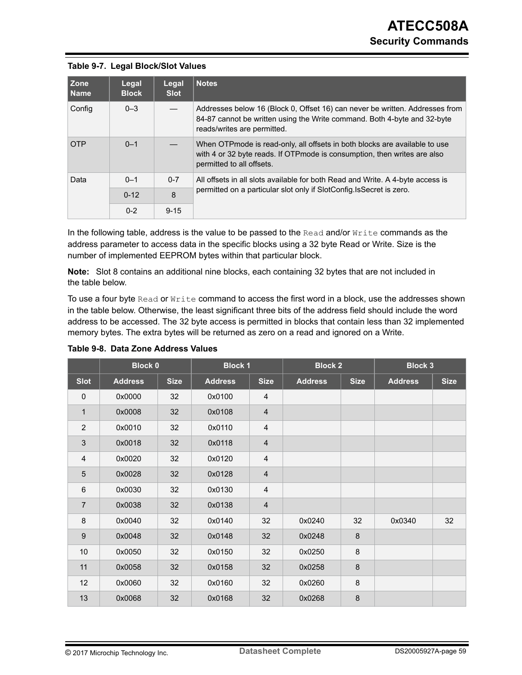|  | Table 9-7. Legal Block/Slot Values |  |
|--|------------------------------------|--|
|--|------------------------------------|--|

| l Zone<br>l Name | Legal<br><b>Block</b>                                                 | Legal<br><b>Slot</b> | <b>Notes</b>                                                                                                                                                                            |
|------------------|-----------------------------------------------------------------------|----------------------|-----------------------------------------------------------------------------------------------------------------------------------------------------------------------------------------|
| Config           | $0 - 3$                                                               |                      | Addresses below 16 (Block 0, Offset 16) can never be written. Addresses from<br>84-87 cannot be written using the Write command. Both 4-byte and 32-byte<br>reads/writes are permitted. |
| <b>OTP</b>       | $0 - 1$                                                               |                      | When OTPmode is read-only, all offsets in both blocks are available to use<br>with 4 or 32 byte reads. If OTP mode is consumption, then writes are also<br>permitted to all offsets.    |
| Data             | $0 - 1$                                                               | $0 - 7$              | All offsets in all slots available for both Read and Write. A 4-byte access is                                                                                                          |
| 8<br>$0 - 12$    | permitted on a particular slot only if SlotConfig. Is Secret is zero. |                      |                                                                                                                                                                                         |
|                  | $0 - 2$                                                               | $9 - 15$             |                                                                                                                                                                                         |

In the following table, address is the value to be passed to the Read and/or Write commands as the address parameter to access data in the specific blocks using a 32 byte Read or Write. Size is the number of implemented EEPROM bytes within that particular block.

**Note:**  Slot 8 contains an additional nine blocks, each containing 32 bytes that are not included in the table below.

To use a four byte Read or Write command to access the first word in a block, use the addresses shown in the table below. Otherwise, the least significant three bits of the address field should include the word address to be accessed. The 32 byte access is permitted in blocks that contain less than 32 implemented memory bytes. The extra bytes will be returned as zero on a read and ignored on a Write.

|                  | <b>Block 0</b> |             | <b>Block 1</b> |                         | <b>Block 2</b> |             | <b>Block 3</b> |             |
|------------------|----------------|-------------|----------------|-------------------------|----------------|-------------|----------------|-------------|
| <b>Slot</b>      | <b>Address</b> | <b>Size</b> | <b>Address</b> | <b>Size</b>             | <b>Address</b> | <b>Size</b> | <b>Address</b> | <b>Size</b> |
| $\pmb{0}$        | 0x0000         | 32          | 0x0100         | 4                       |                |             |                |             |
| $\mathbf{1}$     | 0x0008         | 32          | 0x0108         | $\overline{4}$          |                |             |                |             |
| $\overline{2}$   | 0x0010         | 32          | 0x0110         | 4                       |                |             |                |             |
| $\mathfrak{S}$   | 0x0018         | 32          | 0x0118         | $\overline{\mathbf{4}}$ |                |             |                |             |
| $\overline{4}$   | 0x0020         | 32          | 0x0120         | 4                       |                |             |                |             |
| 5                | 0x0028         | 32          | 0x0128         | $\overline{\mathbf{4}}$ |                |             |                |             |
| $\,6\,$          | 0x0030         | 32          | 0x0130         | 4                       |                |             |                |             |
| $\overline{7}$   | 0x0038         | 32          | 0x0138         | $\overline{\mathbf{4}}$ |                |             |                |             |
| 8                | 0x0040         | 32          | 0x0140         | 32                      | 0x0240         | 32          | 0x0340         | 32          |
| $\boldsymbol{9}$ | 0x0048         | 32          | 0x0148         | 32                      | 0x0248         | $\bf 8$     |                |             |
| 10               | 0x0050         | 32          | 0x0150         | 32                      | 0x0250         | $\bf 8$     |                |             |
| 11               | 0x0058         | 32          | 0x0158         | 32                      | 0x0258         | $\bf 8$     |                |             |
| 12               | 0x0060         | 32          | 0x0160         | 32                      | 0x0260         | $\bf 8$     |                |             |
| 13               | 0x0068         | 32          | 0x0168         | 32                      | 0x0268         | $\bf 8$     |                |             |

**Table 9-8. Data Zone Address Values**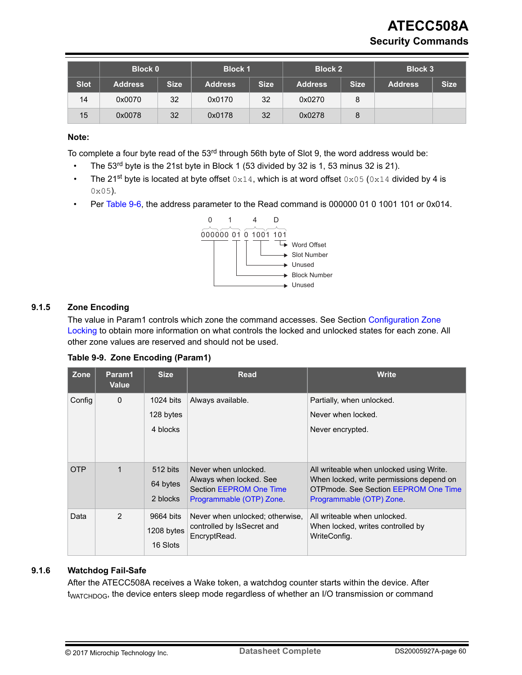# **ATECC508A Security Commands**

<span id="page-59-0"></span>

|             | <b>Block 0</b> |             | <b>Block 1</b> |             | <b>Block 2</b> |             | <b>Block 3</b> |             |
|-------------|----------------|-------------|----------------|-------------|----------------|-------------|----------------|-------------|
| <b>Slot</b> | <b>Address</b> | <b>Size</b> | <b>Address</b> | <b>Size</b> | <b>Address</b> | <b>Size</b> | <b>Address</b> | <b>Size</b> |
| 14          | 0x0070         | 32          | 0x0170         | 32          | 0x0270         | 8           |                |             |
| 15          | 0x0078         | 32          | 0x0178         | 32          | 0x0278         | 8           |                |             |

#### **Note:**

To complete a four byte read of the 53<sup>rd</sup> through 56th byte of Slot 9, the word address would be:

- The  $53<sup>rd</sup>$  byte is the 21st byte in Block 1 (53 divided by 32 is 1, 53 minus 32 is 21).
- The 21<sup>st</sup> byte is located at byte offset  $0 \times 14$ , which is at word offset  $0 \times 05$  ( $0 \times 14$  divided by 4 is 0x05).
- Per [Table 9-6,](#page-57-0) the address parameter to the Read command is 000000 01 0 1001 101 or 0x014.



#### **9.1.5 Zone Encoding**

The value in Param1 controls which zone the command accesses. See Section [Configuration Zone](#page-23-0) [Locking](#page-23-0) to obtain more information on what controls the locked and unlocked states for each zone. All other zone values are reserved and should not be used.

|  |  | Table 9-9. Zone Encoding (Param1) |  |
|--|--|-----------------------------------|--|
|--|--|-----------------------------------|--|

| Zone       | Param1<br><b>Value</b> | <b>Size</b>                         | <b>Read</b>                                                                                            | <b>Write</b>                                                                                                                                             |
|------------|------------------------|-------------------------------------|--------------------------------------------------------------------------------------------------------|----------------------------------------------------------------------------------------------------------------------------------------------------------|
| Config     | $\mathbf{0}$           | $1024$ bits                         | Always available.                                                                                      | Partially, when unlocked.                                                                                                                                |
|            |                        | 128 bytes                           |                                                                                                        | Never when locked.                                                                                                                                       |
|            |                        | 4 blocks                            |                                                                                                        | Never encrypted.                                                                                                                                         |
| <b>OTP</b> | $\mathbf 1$            | 512 bits<br>64 bytes<br>2 blocks    | Never when unlocked.<br>Always when locked. See<br>Section EEPROM One Time<br>Programmable (OTP) Zone. | All writeable when unlocked using Write.<br>When locked, write permissions depend on<br>OTPmode. See Section EEPROM One Time<br>Programmable (OTP) Zone. |
| Data       | 2                      | 9664 bits<br>1208 bytes<br>16 Slots | Never when unlocked; otherwise,<br>controlled by IsSecret and<br>EncryptRead.                          | All writeable when unlocked.<br>When locked, writes controlled by<br>WriteConfig.                                                                        |

## **9.1.6 Watchdog Fail-Safe**

After the ATECC508A receives a Wake token, a watchdog counter starts within the device. After t<sub>WATCHDOG</sub>, the device enters sleep mode regardless of whether an I/O transmission or command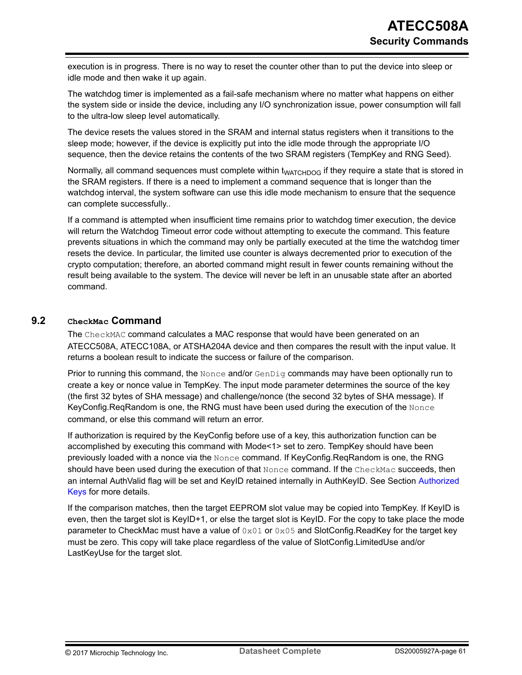execution is in progress. There is no way to reset the counter other than to put the device into sleep or idle mode and then wake it up again.

The watchdog timer is implemented as a fail-safe mechanism where no matter what happens on either the system side or inside the device, including any I/O synchronization issue, power consumption will fall to the ultra-low sleep level automatically.

The device resets the values stored in the SRAM and internal status registers when it transitions to the sleep mode; however, if the device is explicitly put into the idle mode through the appropriate I/O sequence, then the device retains the contents of the two SRAM registers (TempKey and RNG Seed).

Normally, all command sequences must complete within t<sub>WATCHDOG</sub> if they require a state that is stored in the SRAM registers. If there is a need to implement a command sequence that is longer than the watchdog interval, the system software can use this idle mode mechanism to ensure that the sequence can complete successfully..

If a command is attempted when insufficient time remains prior to watchdog timer execution, the device will return the Watchdog Timeout error code without attempting to execute the command. This feature prevents situations in which the command may only be partially executed at the time the watchdog timer resets the device. In particular, the limited use counter is always decremented prior to execution of the crypto computation; therefore, an aborted command might result in fewer counts remaining without the result being available to the system. The device will never be left in an unusable state after an aborted command.

## **9.2 CheckMac Command**

The CheckMAC command calculates a MAC response that would have been generated on an ATECC508A, ATECC108A, or ATSHA204A device and then compares the result with the input value. It returns a boolean result to indicate the success or failure of the comparison.

Prior to running this command, the  $\text{None}$  and/or  $\text{GenDiq}$  commands may have been optionally run to create a key or nonce value in TempKey. The input mode parameter determines the source of the key (the first 32 bytes of SHA message) and challenge/nonce (the second 32 bytes of SHA message). If KeyConfig.ReqRandom is one, the RNG must have been used during the execution of the Nonce command, or else this command will return an error.

If authorization is required by the KeyConfig before use of a key, this authorization function can be accomplished by executing this command with Mode<1> set to zero. TempKey should have been previously loaded with a nonce via the Nonce command. If KeyConfig.ReqRandom is one, the RNG should have been used during the execution of that Nonce command. If the CheckMac succeeds, then an internal AuthValid flag will be set and KeyID retained internally in AuthKeyID. See Section [Authorized](#page-31-0) [Keys](#page-31-0) for more details.

If the comparison matches, then the target EEPROM slot value may be copied into TempKey. If KeyID is even, then the target slot is KeyID+1, or else the target slot is KeyID. For the copy to take place the mode parameter to CheckMac must have a value of  $0 \times 01$  or  $0 \times 05$  and SlotConfig. ReadKey for the target key must be zero. This copy will take place regardless of the value of SlotConfig.LimitedUse and/or LastKeyUse for the target slot.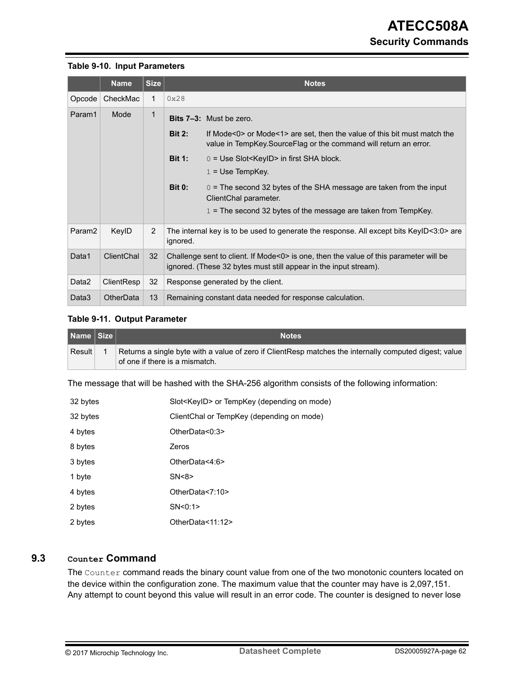#### **Table 9-10. Input Parameters**

|                    | <b>Name</b> | <b>Size</b>    | <b>Notes</b>                                                                                                                                              |                                                                                                                                                |  |
|--------------------|-------------|----------------|-----------------------------------------------------------------------------------------------------------------------------------------------------------|------------------------------------------------------------------------------------------------------------------------------------------------|--|
| Opcode             | CheckMac    | 1              | 0x28                                                                                                                                                      |                                                                                                                                                |  |
| Param1             | Mode        | 1              |                                                                                                                                                           | <b>Bits 7-3:</b> Must be zero.                                                                                                                 |  |
|                    |             |                | <b>Bit 2:</b>                                                                                                                                             | If Mode<0> or Mode<1> are set, then the value of this bit must match the<br>value in TempKey. Source Flag or the command will return an error. |  |
|                    |             |                | <b>Bit 1:</b>                                                                                                                                             | $0 = Use Slot < KeyID > in first SHA block.$                                                                                                   |  |
|                    |             |                |                                                                                                                                                           | $1 = Use TempKey.$                                                                                                                             |  |
|                    |             |                | <b>Bit 0:</b>                                                                                                                                             | $0 =$ The second 32 bytes of the SHA message are taken from the input<br>ClientChal parameter.                                                 |  |
|                    |             |                |                                                                                                                                                           | $1 =$ The second 32 bytes of the message are taken from TempKey.                                                                               |  |
| Param <sub>2</sub> | KeylD       | $\overline{2}$ | ignored.                                                                                                                                                  | The internal key is to be used to generate the response. All except bits KeyID<3:0> are                                                        |  |
| Data1              | ClientChal  | 32             | Challenge sent to client. If Mode<0> is one, then the value of this parameter will be<br>ignored. (These 32 bytes must still appear in the input stream). |                                                                                                                                                |  |
| Data2              | ClientResp  | 32             | Response generated by the client.                                                                                                                         |                                                                                                                                                |  |
| Data3              | OtherData   | 13             |                                                                                                                                                           | Remaining constant data needed for response calculation.                                                                                       |  |

#### **Table 9-11. Output Parameter**

| Name Size | <b>Notes</b>                                                                                                                             |
|-----------|------------------------------------------------------------------------------------------------------------------------------------------|
| Result    | Returns a single byte with a value of zero if ClientResp matches the internally computed digest; value<br>of one if there is a mismatch. |

The message that will be hashed with the SHA-256 algorithm consists of the following information:

| 32 bytes | Slot <keyid> or TempKey (depending on mode)</keyid> |
|----------|-----------------------------------------------------|
| 32 bytes | ClientChal or TempKey (depending on mode)           |
| 4 bytes  | OtherData<0:3>                                      |
| 8 bytes  | Zeros                                               |
| 3 bytes  | OtherData<4:6>                                      |
| 1 byte   | SN < 8                                              |
| 4 bytes  | OtherData<7:10>                                     |
| 2 bytes  | SN < 0:1                                            |
| 2 bytes  | OtherData<11:12>                                    |

## **9.3 Counter Command**

The Counter command reads the binary count value from one of the two monotonic counters located on the device within the configuration zone. The maximum value that the counter may have is 2,097,151. Any attempt to count beyond this value will result in an error code. The counter is designed to never lose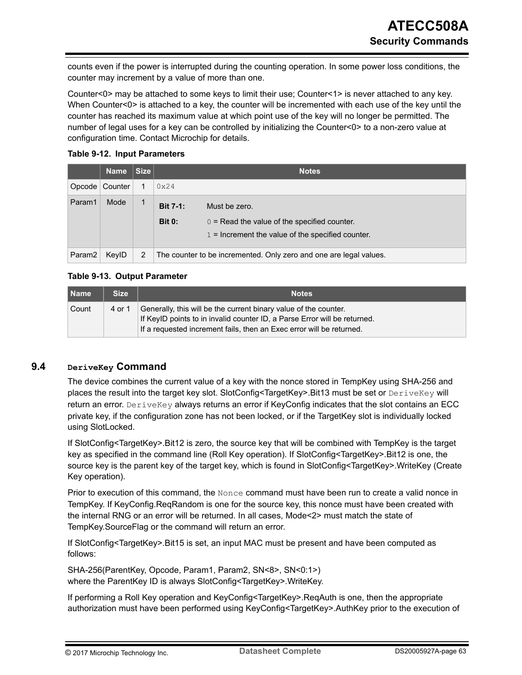counts even if the power is interrupted during the counting operation. In some power loss conditions, the counter may increment by a value of more than one.

Counter<0> may be attached to some keys to limit their use; Counter<1> is never attached to any key. When Counter<0> is attached to a key, the counter will be incremented with each use of the key until the counter has reached its maximum value at which point use of the key will no longer be permitted. The number of legal uses for a key can be controlled by initializing the Counter<0> to a non-zero value at configuration time. Contact Microchip for details.

#### **Table 9-12. Input Parameters**

|                    | <b>Name</b> | Size |                                  | <b>Notes</b>                                                                                                           |
|--------------------|-------------|------|----------------------------------|------------------------------------------------------------------------------------------------------------------------|
| $O$ pcode          | Counter     |      | 0x24                             |                                                                                                                        |
| Param1             | Mode        | 1    | <b>Bit 7-1:</b><br><b>Bit 0:</b> | Must be zero.<br>$0 =$ Read the value of the specified counter.<br>$1 =$ Increment the value of the specified counter. |
| Param <sub>2</sub> | KeylD       | 2    |                                  | The counter to be incremented. Only zero and one are legal values.                                                     |

## **Table 9-13. Output Parameter**

| <b>Name</b> | <b>Size</b> | <b>Notes</b>                                                                                                                                                                                                          |
|-------------|-------------|-----------------------------------------------------------------------------------------------------------------------------------------------------------------------------------------------------------------------|
| Count       | 4 or 1      | Generally, this will be the current binary value of the counter.<br>If KeylD points to in invalid counter ID, a Parse Error will be returned.<br>If a requested increment fails, then an Exec error will be returned. |

## **9.4 DeriveKey Command**

The device combines the current value of a key with the nonce stored in TempKey using SHA-256 and places the result into the target key slot. SlotConfig<TargetKey>.Bit13 must be set or DeriveKey will return an error. DeriveKey always returns an error if KeyConfig indicates that the slot contains an ECC private key, if the configuration zone has not been locked, or if the TargetKey slot is individually locked using SlotLocked.

If SlotConfig<TargetKey>.Bit12 is zero, the source key that will be combined with TempKey is the target key as specified in the command line (Roll Key operation). If SlotConfig<TargetKey>.Bit12 is one, the source key is the parent key of the target key, which is found in SlotConfig<TargetKey>.WriteKey (Create Key operation).

Prior to execution of this command, the Nonce command must have been run to create a valid nonce in TempKey. If KeyConfig.ReqRandom is one for the source key, this nonce must have been created with the internal RNG or an error will be returned. In all cases, Mode<2> must match the state of TempKey.SourceFlag or the command will return an error.

If SlotConfig<TargetKey>.Bit15 is set, an input MAC must be present and have been computed as follows:

SHA-256(ParentKey, Opcode, Param1, Param2, SN<8>, SN<0:1>) where the ParentKey ID is always SlotConfig<TargetKey>.WriteKey.

If performing a Roll Key operation and KeyConfig<TargetKey>.ReqAuth is one, then the appropriate authorization must have been performed using KeyConfig<TargetKey>.AuthKey prior to the execution of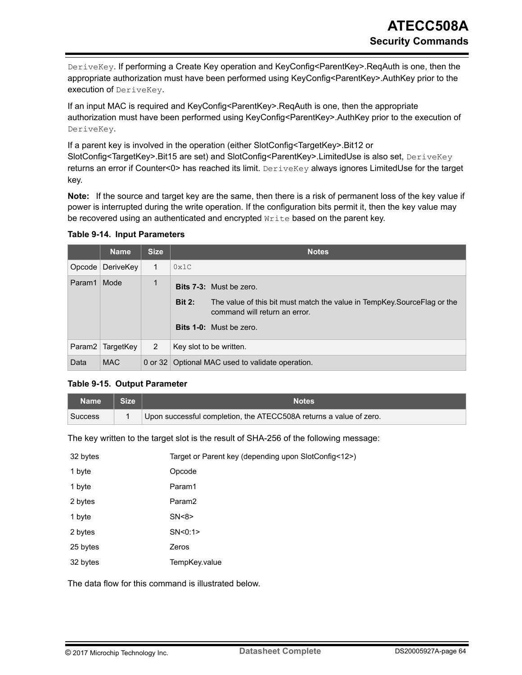DeriveKey. If performing a Create Key operation and KeyConfig<ParentKey>.ReqAuth is one, then the appropriate authorization must have been performed using KeyConfig<ParentKey>.AuthKey prior to the execution of DeriveKey.

If an input MAC is required and KeyConfig<ParentKey>.ReqAuth is one, then the appropriate authorization must have been performed using KeyConfig<ParentKey>.AuthKey prior to the execution of DeriveKey.

If a parent key is involved in the operation (either SlotConfig<TargetKey>.Bit12 or SlotConfig<TargetKey>.Bit15 are set) and SlotConfig<ParentKey>.LimitedUse is also set, DeriveKey returns an error if Counter<0> has reached its limit. Deximetery always ignores LimitedUse for the target key.

**Note:**  If the source and target key are the same, then there is a risk of permanent loss of the key value if power is interrupted during the write operation. If the configuration bits permit it, then the key value may be recovered using an authenticated and encrypted Write based on the parent key.

| <b>Table 9-14. Input Parameters</b> |  |
|-------------------------------------|--|
|-------------------------------------|--|

|                    | <b>Name</b> | <b>Size</b>  | <b>Notes</b>                                                                                                                |
|--------------------|-------------|--------------|-----------------------------------------------------------------------------------------------------------------------------|
| Opcode             | DeriveKey   | $\mathbf{1}$ | 0x1C                                                                                                                        |
| Param1             | Mode        | 1            | <b>Bits 7-3:</b> Must be zero.                                                                                              |
|                    |             |              | <b>Bit 2:</b><br>The value of this bit must match the value in TempKey. Source Flag or the<br>command will return an error. |
|                    |             |              | <b>Bits 1-0:</b> Must be zero.                                                                                              |
| Param <sub>2</sub> | TargetKey   | 2            | Key slot to be written.                                                                                                     |
| Data               | <b>MAC</b>  |              | 0 or 32 Optional MAC used to validate operation.                                                                            |

#### **Table 9-15. Output Parameter**

| Name '         | <b>Size</b> | Notes                                                              |
|----------------|-------------|--------------------------------------------------------------------|
| <b>Success</b> |             | Upon successful completion, the ATECC508A returns a value of zero. |

The key written to the target slot is the result of SHA-256 of the following message:

| 32 bytes | Target or Parent key (depending upon SlotConfig<12>) |
|----------|------------------------------------------------------|
| 1 byte   | Opcode                                               |
| 1 byte   | Param1                                               |
| 2 bytes  | Param <sub>2</sub>                                   |
| 1 byte   | SN < 8                                               |
| 2 bytes  | SN < 0:1                                             |
| 25 bytes | Zeros                                                |
| 32 bytes | TempKey.value                                        |

The data flow for this command is illustrated below.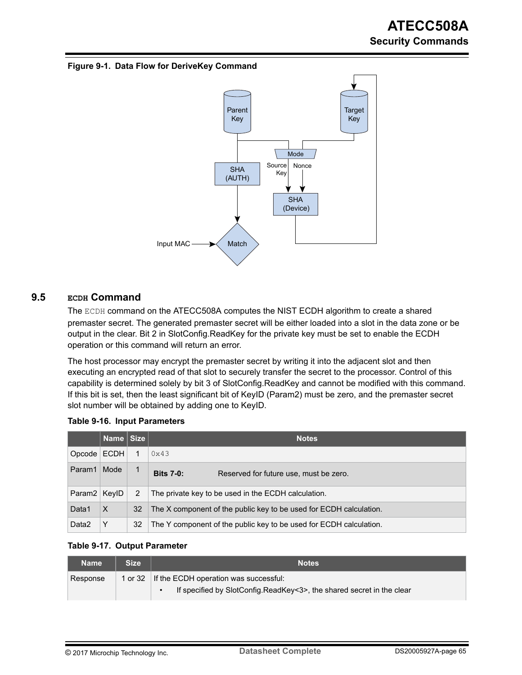#### **Figure 9-1. Data Flow for DeriveKey Command**



# **9.5 ECDH Command**

The ECDH command on the ATECC508A computes the NIST ECDH algorithm to create a shared premaster secret. The generated premaster secret will be either loaded into a slot in the data zone or be output in the clear. Bit 2 in SlotConfig.ReadKey for the private key must be set to enable the ECDH operation or this command will return an error.

The host processor may encrypt the premaster secret by writing it into the adjacent slot and then executing an encrypted read of that slot to securely transfer the secret to the processor. Control of this capability is determined solely by bit 3 of SlotConfig.ReadKey and cannot be modified with this command. If this bit is set, then the least significant bit of KeyID (Param2) must be zero, and the premaster secret slot number will be obtained by adding one to KeyID.

|  |  | <b>Table 9-16. Input Parameters</b> |
|--|--|-------------------------------------|
|--|--|-------------------------------------|

|                    | Name Size |    | <b>Notes</b>                                                       |
|--------------------|-----------|----|--------------------------------------------------------------------|
| $O$ pcode          | ECDH      |    | 0x43                                                               |
| Param1             | Mode      |    | <b>Bits 7-0:</b><br>Reserved for future use, must be zero.         |
| Param <sub>2</sub> | KevID     | 2  | The private key to be used in the ECDH calculation.                |
| Data1              | $\times$  | 32 | The X component of the public key to be used for ECDH calculation. |
| Data2              | Y         | 32 | The Y component of the public key to be used for ECDH calculation. |

#### **Table 9-17. Output Parameter**

| <b>Name</b> | Size | <b>Notes</b>                                                          |
|-------------|------|-----------------------------------------------------------------------|
| Response    |      | 1 or 32 If the ECDH operation was successful:                         |
|             |      | If specified by SlotConfig.ReadKey<3>, the shared secret in the clear |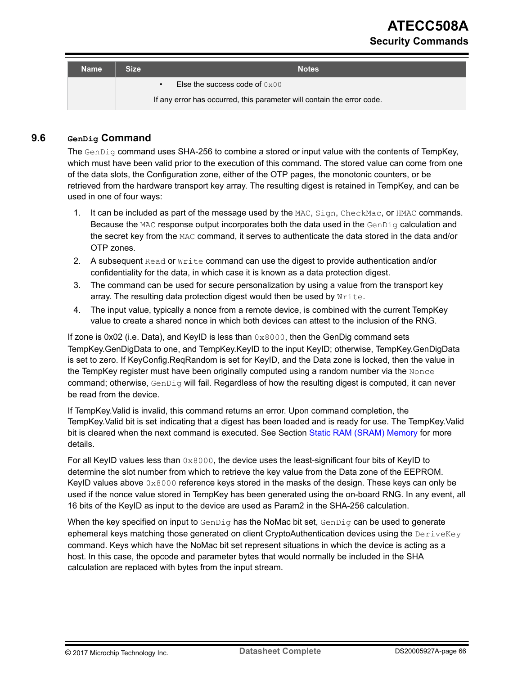| Name | <b>Size</b> | <b>Notes</b>                                                           |  |
|------|-------------|------------------------------------------------------------------------|--|
|      |             | Else the success code of $0x00$<br>$\bullet$                           |  |
|      |             | If any error has occurred, this parameter will contain the error code. |  |

# **9.6 GenDig Command**

The GenDig command uses SHA-256 to combine a stored or input value with the contents of TempKey, which must have been valid prior to the execution of this command. The stored value can come from one of the data slots, the Configuration zone, either of the OTP pages, the monotonic counters, or be retrieved from the hardware transport key array. The resulting digest is retained in TempKey, and can be used in one of four ways:

- 1. It can be included as part of the message used by the MAC, Sign, CheckMac, or HMAC commands. Because the MAC response output incorporates both the data used in the GenDig calculation and the secret key from the MAC command, it serves to authenticate the data stored in the data and/or OTP zones.
- 2. A subsequent Read or Write command can use the digest to provide authentication and/or confidentiality for the data, in which case it is known as a data protection digest.
- 3. The command can be used for secure personalization by using a value from the transport key array. The resulting data protection digest would then be used by Write.
- 4. The input value, typically a nonce from a remote device, is combined with the current TempKey value to create a shared nonce in which both devices can attest to the inclusion of the RNG.

If zone is 0x02 (i.e. Data), and KeyID is less than  $0 \times 8000$ , then the GenDig command sets TempKey.GenDigData to one, and TempKey.KeyID to the input KeyID; otherwise, TempKey.GenDigData is set to zero. If KeyConfig.ReqRandom is set for KeyID, and the Data zone is locked, then the value in the TempKey register must have been originally computed using a random number via the Nonce command; otherwise, GenDig will fail. Regardless of how the resulting digest is computed, it can never be read from the device.

If TempKey.Valid is invalid, this command returns an error. Upon command completion, the TempKey.Valid bit is set indicating that a digest has been loaded and is ready for use. The TempKey.Valid bit is cleared when the next command is executed. See Section [Static RAM \(SRAM\) Memory](#page-25-0) for more details.

For all KeyID values less than  $0 \times 8000$ , the device uses the least-significant four bits of KeyID to determine the slot number from which to retrieve the key value from the Data zone of the EEPROM. KeyID values above  $0 \times 8000$  reference keys stored in the masks of the design. These keys can only be used if the nonce value stored in TempKey has been generated using the on-board RNG. In any event, all 16 bits of the KeyID as input to the device are used as Param2 in the SHA-256 calculation.

When the key specified on input to  $GenDiq$  has the NoMac bit set,  $GenDiq$  can be used to generate ephemeral keys matching those generated on client CryptoAuthentication devices using the DeriveKey command. Keys which have the NoMac bit set represent situations in which the device is acting as a host. In this case, the opcode and parameter bytes that would normally be included in the SHA calculation are replaced with bytes from the input stream.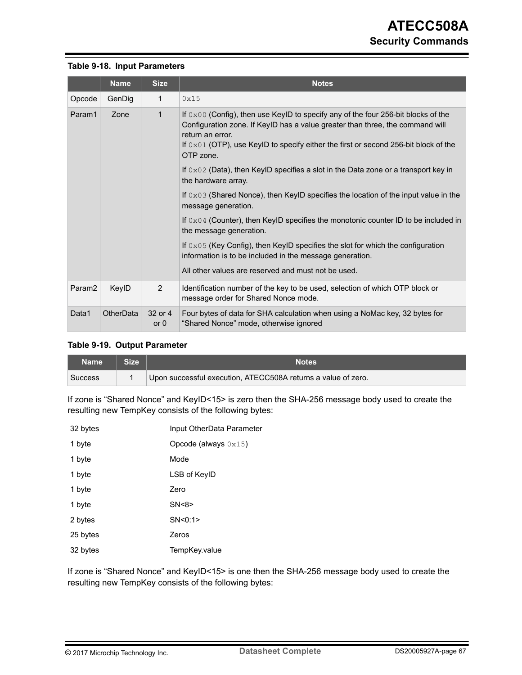#### **Table 9-18. Input Parameters**

|                    | <b>Name</b> | <b>Size</b>       | <b>Notes</b>                                                                                                                                                                                                                                                                                                 |
|--------------------|-------------|-------------------|--------------------------------------------------------------------------------------------------------------------------------------------------------------------------------------------------------------------------------------------------------------------------------------------------------------|
| Opcode             | GenDig      | 1                 | 0x15                                                                                                                                                                                                                                                                                                         |
| Param1             | Zone        | $\mathbf{1}$      | If $0 \times 00$ (Config), then use KeylD to specify any of the four 256-bit blocks of the<br>Configuration zone. If KeyID has a value greater than three, the command will<br>return an error.<br>If $0 \times 01$ (OTP), use KeylD to specify either the first or second 256-bit block of the<br>OTP zone. |
|                    |             |                   | If $0 \times 02$ (Data), then KeylD specifies a slot in the Data zone or a transport key in<br>the hardware array.                                                                                                                                                                                           |
|                    |             |                   | If $0 \times 03$ (Shared Nonce), then KeylD specifies the location of the input value in the<br>message generation.                                                                                                                                                                                          |
|                    |             |                   | If $0 \times 04$ (Counter), then KeylD specifies the monotonic counter ID to be included in<br>the message generation.                                                                                                                                                                                       |
|                    |             |                   | If $0 \times 05$ (Key Config), then KeylD specifies the slot for which the configuration<br>information is to be included in the message generation.                                                                                                                                                         |
|                    |             |                   | All other values are reserved and must not be used.                                                                                                                                                                                                                                                          |
| Param <sub>2</sub> | KeylD       | 2                 | Identification number of the key to be used, selection of which OTP block or<br>message order for Shared Nonce mode.                                                                                                                                                                                         |
| Data1              | OtherData   | 32 or 4<br>or $0$ | Four bytes of data for SHA calculation when using a NoMac key, 32 bytes for<br>"Shared Nonce" mode, otherwise ignored                                                                                                                                                                                        |

#### **Table 9-19. Output Parameter**

| 'Name   | <b>Size</b> | <b>Notes</b>                                                  |
|---------|-------------|---------------------------------------------------------------|
| Success |             | Upon successful execution, ATECC508A returns a value of zero. |

If zone is "Shared Nonce" and KeyID<15> is zero then the SHA-256 message body used to create the resulting new TempKey consists of the following bytes:

| 32 bytes | Input OtherData Parameter      |
|----------|--------------------------------|
| 1 byte   | Opcode (always $0 \times 15$ ) |
| 1 byte   | Mode                           |
| 1 byte   | LSB of KeylD                   |
| 1 byte   | Zero                           |
| 1 byte   | SN < 8                         |
| 2 bytes  | SN < 0:1                       |
| 25 bytes | Zeros                          |
| 32 bytes | TempKey.value                  |

If zone is "Shared Nonce" and KeyID<15> is one then the SHA-256 message body used to create the resulting new TempKey consists of the following bytes: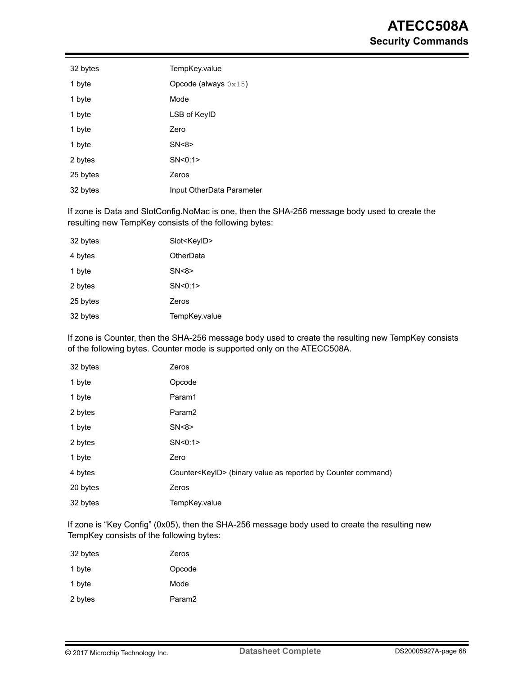| 32 bytes | TempKey.value                  |
|----------|--------------------------------|
| 1 byte   | Opcode (always $0 \times 15$ ) |
| 1 byte   | Mode                           |
| 1 byte   | LSB of KeylD                   |
| 1 byte   | Zero                           |
| 1 byte   | SN < 8                         |
| 2 bytes  | SN < 0:1>                      |
| 25 bytes | Zeros                          |
| 32 bytes | Input OtherData Parameter      |
|          |                                |

If zone is Data and SlotConfig.NoMac is one, then the SHA-256 message body used to create the resulting new TempKey consists of the following bytes:

| 32 bytes | Slot <keyid></keyid> |
|----------|----------------------|
| 4 bytes  | OtherData            |
| 1 byte   | SN < 8               |
| 2 bytes  | SN < 0:1             |
| 25 bytes | Zeros                |
| 32 bytes | TempKey.value        |
|          |                      |

If zone is Counter, then the SHA-256 message body used to create the resulting new TempKey consists of the following bytes. Counter mode is supported only on the ATECC508A.

| 32 bytes | Zeros                                                                 |
|----------|-----------------------------------------------------------------------|
| 1 byte   | Opcode                                                                |
| 1 byte   | Param1                                                                |
| 2 bytes  | Param <sub>2</sub>                                                    |
| 1 byte   | SN < 8                                                                |
| 2 bytes  | SN < 0:1                                                              |
| 1 byte   | Zero                                                                  |
| 4 bytes  | Counter <keyid> (binary value as reported by Counter command)</keyid> |
| 20 bytes | Zeros                                                                 |
| 32 bytes | TempKey.value                                                         |

If zone is "Key Config" (0x05), then the SHA-256 message body used to create the resulting new TempKey consists of the following bytes:

| 32 bytes | Zeros              |
|----------|--------------------|
| 1 byte   | Opcode             |
| 1 byte   | Mode               |
| 2 bytes  | Param <sub>2</sub> |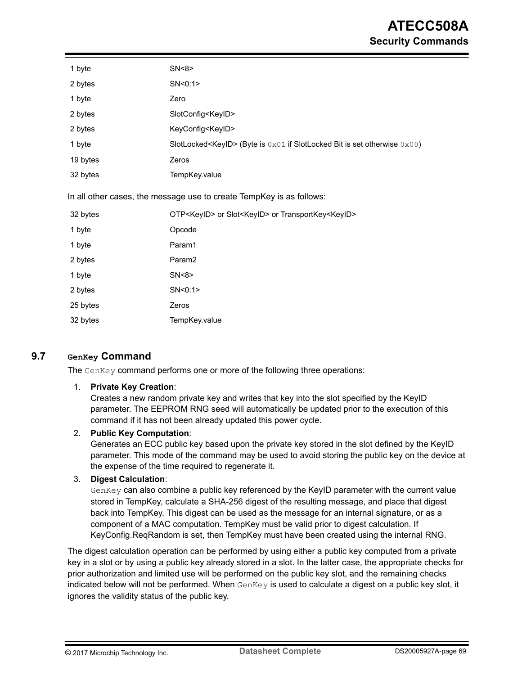| 1 byte   | SN < 8                                                                            |
|----------|-----------------------------------------------------------------------------------|
| 2 bytes  | SN<0:1>                                                                           |
| 1 byte   | Zero                                                                              |
| 2 bytes  | SlotConfig <keyid></keyid>                                                        |
| 2 bytes  | KeyConfig <keyid></keyid>                                                         |
| 1 byte   | SlotLocked <keyld> (Byte is 0x01 if SlotLocked Bit is set otherwise 0x00)</keyld> |
| 19 bytes | Zeros                                                                             |
| 32 bytes | TempKey.value                                                                     |
|          | In all other cases, the message use to create TempKey is as follows:              |
| 32 bytes | OTP <keyid> or Slot<keyid> or TransportKey<keyid></keyid></keyid></keyid>         |
| 1 byte   | Opcode                                                                            |
| 1 byte   | Param1                                                                            |
| 2 bytes  | Param2                                                                            |
| 1 byte   | SN < 8                                                                            |
| 2 bytes  | SN < 0:1                                                                          |
| 25 bytes | Zeros                                                                             |
| 32 bytes | TempKey.value                                                                     |

## **9.7 GenKey Command**

The GenKey command performs one or more of the following three operations:

#### 1. **Private Key Creation**:

Creates a new random private key and writes that key into the slot specified by the KeyID parameter. The EEPROM RNG seed will automatically be updated prior to the execution of this command if it has not been already updated this power cycle.

#### 2. **Public Key Computation**:

Generates an ECC public key based upon the private key stored in the slot defined by the KeyID parameter. This mode of the command may be used to avoid storing the public key on the device at the expense of the time required to regenerate it.

#### 3. **Digest Calculation**:

GenKey can also combine a public key referenced by the KeyID parameter with the current value stored in TempKey, calculate a SHA-256 digest of the resulting message, and place that digest back into TempKey. This digest can be used as the message for an internal signature, or as a component of a MAC computation. TempKey must be valid prior to digest calculation. If KeyConfig.ReqRandom is set, then TempKey must have been created using the internal RNG.

The digest calculation operation can be performed by using either a public key computed from a private key in a slot or by using a public key already stored in a slot. In the latter case, the appropriate checks for prior authorization and limited use will be performed on the public key slot, and the remaining checks indicated below will not be performed. When GenKey is used to calculate a digest on a public key slot, it ignores the validity status of the public key.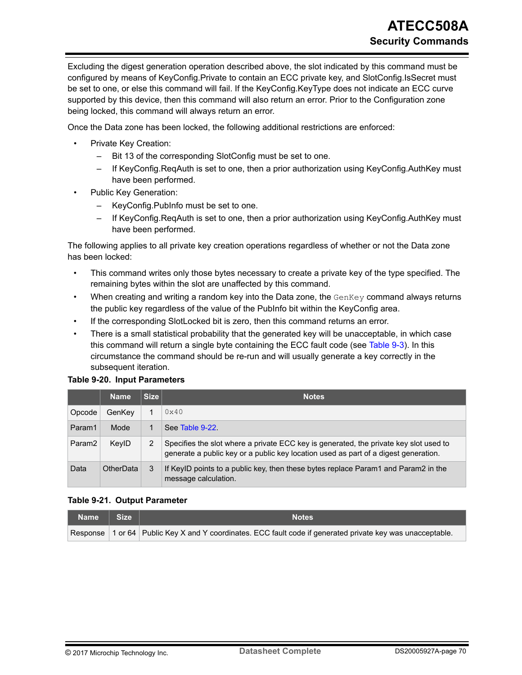Excluding the digest generation operation described above, the slot indicated by this command must be configured by means of KeyConfig.Private to contain an ECC private key, and SlotConfig.IsSecret must be set to one, or else this command will fail. If the KeyConfig.KeyType does not indicate an ECC curve supported by this device, then this command will also return an error. Prior to the Configuration zone being locked, this command will always return an error.

Once the Data zone has been locked, the following additional restrictions are enforced:

- Private Key Creation:
	- Bit 13 of the corresponding SlotConfig must be set to one.
	- If KeyConfig.ReqAuth is set to one, then a prior authorization using KeyConfig.AuthKey must have been performed.
- Public Key Generation:
	- KeyConfig.PubInfo must be set to one.
	- If KeyConfig.ReqAuth is set to one, then a prior authorization using KeyConfig.AuthKey must have been performed.

The following applies to all private key creation operations regardless of whether or not the Data zone has been locked:

- This command writes only those bytes necessary to create a private key of the type specified. The remaining bytes within the slot are unaffected by this command.
- When creating and writing a random key into the Data zone, the  $GenKey$  command always returns the public key regardless of the value of the PubInfo bit within the KeyConfig area.
- If the corresponding SlotLocked bit is zero, then this command returns an error.
- There is a small statistical probability that the generated key will be unacceptable, in which case this command will return a single byte containing the ECC fault code (see [Table 9-3](#page-55-0)). In this circumstance the command should be re-run and will usually generate a key correctly in the subsequent iteration.

#### **Table 9-20. Input Parameters**

|                    | <b>Name</b>      | <b>Size</b> | <b>Notes</b>                                                                                                                                                                 |
|--------------------|------------------|-------------|------------------------------------------------------------------------------------------------------------------------------------------------------------------------------|
| Opcode             | GenKey           |             | $0 \times 40$                                                                                                                                                                |
| Param1             | Mode             |             | See Table 9-22                                                                                                                                                               |
| Param <sub>2</sub> | KeylD            | 2           | Specifies the slot where a private ECC key is generated, the private key slot used to<br>generate a public key or a public key location used as part of a digest generation. |
| Data               | <b>OtherData</b> | 3           | If KeylD points to a public key, then these bytes replace Param1 and Param2 in the<br>message calculation.                                                                   |

#### **Table 9-21. Output Parameter**

| Name   Size | <b>Notes</b>                                                                                               |
|-------------|------------------------------------------------------------------------------------------------------------|
|             | Response 1 or 64 Public Key X and Y coordinates. ECC fault code if generated private key was unacceptable. |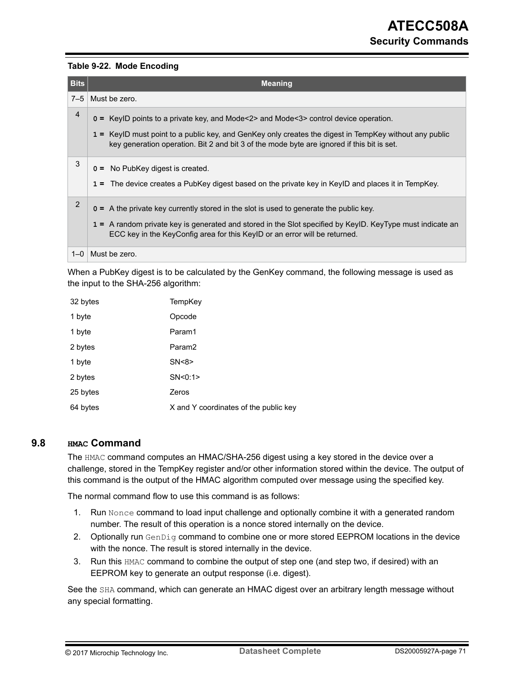#### <span id="page-70-0"></span>**Table 9-22. Mode Encoding**

| <b>Bits</b>    | <b>Meaning</b>                                                                                                                                                                                                                                                                                       |
|----------------|------------------------------------------------------------------------------------------------------------------------------------------------------------------------------------------------------------------------------------------------------------------------------------------------------|
| $7 - 5$        | Must be zero.                                                                                                                                                                                                                                                                                        |
| 4              | $o = KeyID points to a private key, and Mode < 2 > and Mode < 3 > control device operation.$<br>1 = KeylD must point to a public key, and GenKey only creates the digest in TempKey without any public<br>key generation operation. Bit 2 and bit 3 of the mode byte are ignored if this bit is set. |
| 3              | $0 =$ No PubKey digest is created.<br>1 = The device creates a PubKey digest based on the private key in KeylD and places it in TempKey.                                                                                                                                                             |
| $\overline{2}$ | $\sigma$ = A the private key currently stored in the slot is used to generate the public key.<br>1 = A random private key is generated and stored in the Slot specified by KeyID. KeyType must indicate an<br>ECC key in the KeyConfig area for this KeylD or an error will be returned.             |
| $1 - 0$        | Must be zero.                                                                                                                                                                                                                                                                                        |

When a PubKey digest is to be calculated by the GenKey command, the following message is used as the input to the SHA-256 algorithm:

| 32 bytes | TempKey                               |
|----------|---------------------------------------|
| 1 byte   | Opcode                                |
| 1 byte   | Param1                                |
| 2 bytes  | Param <sub>2</sub>                    |
| 1 byte   | SN < 8                                |
| 2 bytes  | SN < 0:1                              |
| 25 bytes | Zeros                                 |
| 64 bytes | X and Y coordinates of the public key |

### **9.8 HMAC Command**

The HMAC command computes an HMAC/SHA-256 digest using a key stored in the device over a challenge, stored in the TempKey register and/or other information stored within the device. The output of this command is the output of the HMAC algorithm computed over message using the specified key.

The normal command flow to use this command is as follows:

- 1. Run Nonce command to load input challenge and optionally combine it with a generated random number. The result of this operation is a nonce stored internally on the device.
- 2. Optionally run GenDig command to combine one or more stored EEPROM locations in the device with the nonce. The result is stored internally in the device.
- 3. Run this HMAC command to combine the output of step one (and step two, if desired) with an EEPROM key to generate an output response (i.e. digest).

See the SHA command, which can generate an HMAC digest over an arbitrary length message without any special formatting.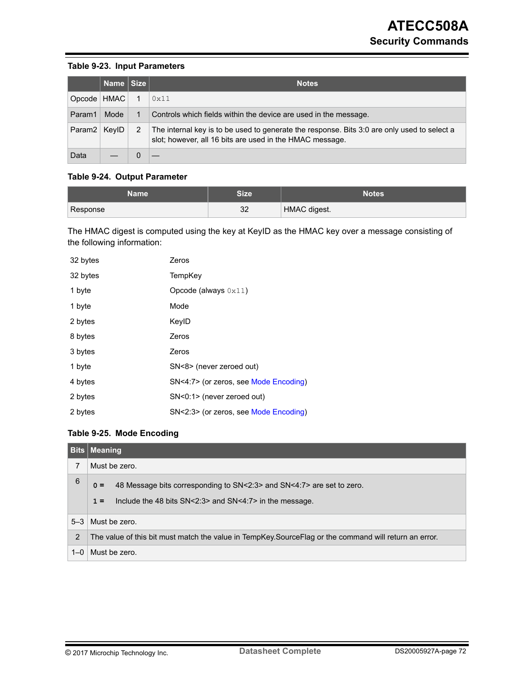#### **Table 9-23. Input Parameters**

|                    | Name Size |   | <b>Notes</b>                                                                                                                                            |
|--------------------|-----------|---|---------------------------------------------------------------------------------------------------------------------------------------------------------|
| Opcode   HMAC      |           |   | 0x11                                                                                                                                                    |
| Param1             | Mode      |   | Controls which fields within the device are used in the message.                                                                                        |
| Param <sub>2</sub> | KevID     | 2 | The internal key is to be used to generate the response. Bits 3:0 are only used to select a<br>slot; however, all 16 bits are used in the HMAC message. |
| Data               |           |   |                                                                                                                                                         |

## **Table 9-24. Output Parameter**

| Name     | <b>Size</b> | <b>Notes</b> |
|----------|-------------|--------------|
| Response | 32          | HMAC digest. |

The HMAC digest is computed using the key at KeyID as the HMAC key over a message consisting of the following information:

| 32 bytes | Zeros                                 |
|----------|---------------------------------------|
| 32 bytes | TempKey                               |
| 1 byte   | Opcode (always $0x11$ )               |
| 1 byte   | Mode                                  |
| 2 bytes  | KeylD                                 |
| 8 bytes  | Zeros                                 |
| 3 bytes  | Zeros                                 |
| 1 byte   | SN<8> (never zeroed out)              |
| 4 bytes  | SN<4:7> (or zeros, see Mode Encoding) |
| 2 bytes  | SN<0:1> (never zeroed out)            |
| 2 bytes  | SN<2:3> (or zeros, see Mode Encoding) |

#### **Table 9-25. Mode Encoding**

|                | <b>Bits Meaning</b>                                                                                                                                      |
|----------------|----------------------------------------------------------------------------------------------------------------------------------------------------------|
| 7              | Must be zero.                                                                                                                                            |
| 6              | 48 Message bits corresponding to SN<2:3> and SN<4:7> are set to zero.<br>$0 =$<br>Include the 48 bits $SN < 2:3$ and $SN < 4:7$ in the message.<br>$1 =$ |
| $5-3$          | Must be zero.                                                                                                                                            |
| $\overline{2}$ | The value of this bit must match the value in TempKey. Source Flag or the command will return an error.                                                  |
| $1 - 0$        | Must be zero.                                                                                                                                            |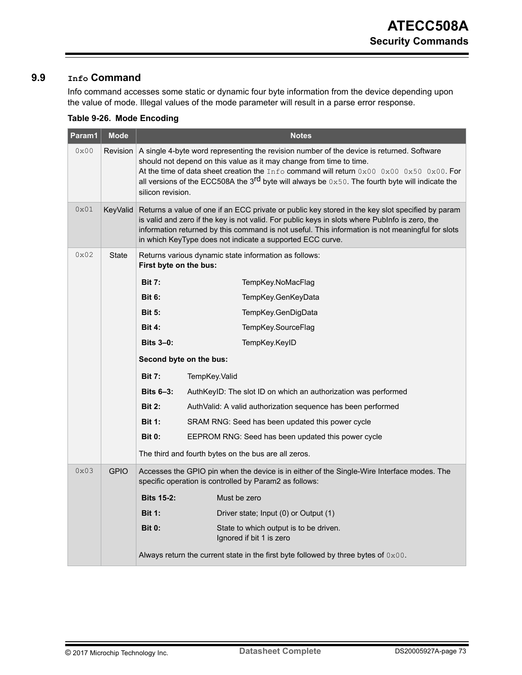## <span id="page-72-0"></span>**9.9 Info Command**

Info command accesses some static or dynamic four byte information from the device depending upon the value of mode. Illegal values of the mode parameter will result in a parse error response.

| Param1 | <b>Mode</b>  | <b>Notes</b>                                                                                                                                                                                                                                                                                                                                                                                                                                           |                                                                                                                                                                                                                                                                                                                                                                     |  |
|--------|--------------|--------------------------------------------------------------------------------------------------------------------------------------------------------------------------------------------------------------------------------------------------------------------------------------------------------------------------------------------------------------------------------------------------------------------------------------------------------|---------------------------------------------------------------------------------------------------------------------------------------------------------------------------------------------------------------------------------------------------------------------------------------------------------------------------------------------------------------------|--|
| 0x00   | Revision     | A single 4-byte word representing the revision number of the device is returned. Software<br>should not depend on this value as it may change from time to time.<br>At the time of data sheet creation the $Inf \circ$ command will return $0 \times 00$ $0 \times 00$ $0 \times 50$ $0 \times 00$ . For<br>all versions of the ECC508A the 3 <sup>rd</sup> byte will always be $0 \times 50$ . The fourth byte will indicate the<br>silicon revision. |                                                                                                                                                                                                                                                                                                                                                                     |  |
| 0x01   | KeyValid     |                                                                                                                                                                                                                                                                                                                                                                                                                                                        | Returns a value of one if an ECC private or public key stored in the key slot specified by param<br>is valid and zero if the key is not valid. For public keys in slots where Publnfo is zero, the<br>information returned by this command is not useful. This information is not meaningful for slots<br>in which KeyType does not indicate a supported ECC curve. |  |
| 0x02   | <b>State</b> | First byte on the bus:                                                                                                                                                                                                                                                                                                                                                                                                                                 | Returns various dynamic state information as follows:                                                                                                                                                                                                                                                                                                               |  |
|        |              | <b>Bit 7:</b>                                                                                                                                                                                                                                                                                                                                                                                                                                          | TempKey.NoMacFlag                                                                                                                                                                                                                                                                                                                                                   |  |
|        |              | <b>Bit 6:</b>                                                                                                                                                                                                                                                                                                                                                                                                                                          | TempKey.GenKeyData                                                                                                                                                                                                                                                                                                                                                  |  |
|        |              | <b>Bit 5:</b>                                                                                                                                                                                                                                                                                                                                                                                                                                          | TempKey.GenDigData                                                                                                                                                                                                                                                                                                                                                  |  |
|        |              | <b>Bit 4:</b>                                                                                                                                                                                                                                                                                                                                                                                                                                          | TempKey.SourceFlag                                                                                                                                                                                                                                                                                                                                                  |  |
|        |              | <b>Bits 3-0:</b>                                                                                                                                                                                                                                                                                                                                                                                                                                       | TempKey.KeyID                                                                                                                                                                                                                                                                                                                                                       |  |
|        |              |                                                                                                                                                                                                                                                                                                                                                                                                                                                        | Second byte on the bus:                                                                                                                                                                                                                                                                                                                                             |  |
|        |              | <b>Bit 7:</b>                                                                                                                                                                                                                                                                                                                                                                                                                                          | TempKey.Valid                                                                                                                                                                                                                                                                                                                                                       |  |
|        |              | Bits $6-3$ :                                                                                                                                                                                                                                                                                                                                                                                                                                           | AuthKeyID: The slot ID on which an authorization was performed                                                                                                                                                                                                                                                                                                      |  |
|        |              | <b>Bit 2:</b>                                                                                                                                                                                                                                                                                                                                                                                                                                          | AuthValid: A valid authorization sequence has been performed                                                                                                                                                                                                                                                                                                        |  |
|        |              | <b>Bit 1:</b>                                                                                                                                                                                                                                                                                                                                                                                                                                          | SRAM RNG: Seed has been updated this power cycle                                                                                                                                                                                                                                                                                                                    |  |
|        |              | <b>Bit 0:</b>                                                                                                                                                                                                                                                                                                                                                                                                                                          | EEPROM RNG: Seed has been updated this power cycle                                                                                                                                                                                                                                                                                                                  |  |
|        |              |                                                                                                                                                                                                                                                                                                                                                                                                                                                        | The third and fourth bytes on the bus are all zeros.                                                                                                                                                                                                                                                                                                                |  |
| 0x03   | <b>GPIO</b>  |                                                                                                                                                                                                                                                                                                                                                                                                                                                        | Accesses the GPIO pin when the device is in either of the Single-Wire Interface modes. The<br>specific operation is controlled by Param2 as follows:                                                                                                                                                                                                                |  |
|        |              | <b>Bits 15-2:</b>                                                                                                                                                                                                                                                                                                                                                                                                                                      | Must be zero                                                                                                                                                                                                                                                                                                                                                        |  |
|        |              | <b>Bit 1:</b>                                                                                                                                                                                                                                                                                                                                                                                                                                          | Driver state; Input (0) or Output (1)                                                                                                                                                                                                                                                                                                                               |  |
|        |              | <b>Bit 0:</b>                                                                                                                                                                                                                                                                                                                                                                                                                                          | State to which output is to be driven.<br>Ignored if bit 1 is zero                                                                                                                                                                                                                                                                                                  |  |
|        |              |                                                                                                                                                                                                                                                                                                                                                                                                                                                        | Always return the current state in the first byte followed by three bytes of 0x00.                                                                                                                                                                                                                                                                                  |  |

## **Table 9-26. Mode Encoding**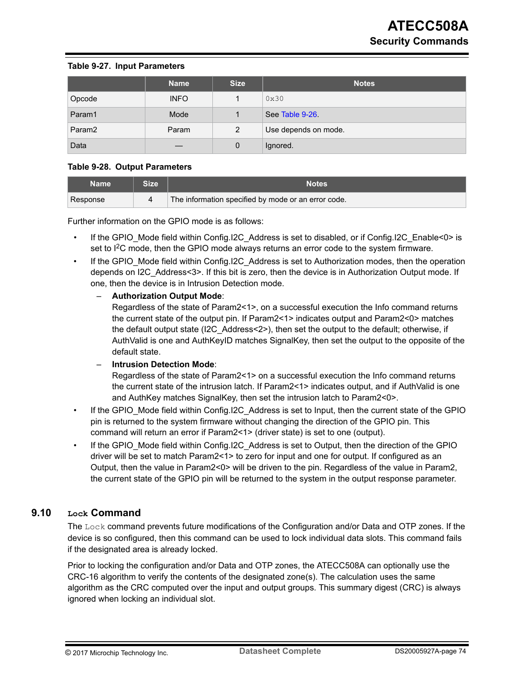#### **Table 9-27. Input Parameters**

|                    | <b>Name</b> | <b>Size</b>    | <b>Notes</b>         |
|--------------------|-------------|----------------|----------------------|
| Opcode             | <b>INFO</b> |                | 0x30                 |
| Param1             | Mode        |                | See Table 9-26.      |
| Param <sub>2</sub> | Param       | $\overline{2}$ | Use depends on mode. |
| Data               |             | 0              | Ignored.             |

#### **Table 9-28. Output Parameters**

| Name     | <b>Size</b> | Notes                                               |
|----------|-------------|-----------------------------------------------------|
| Response |             | The information specified by mode or an error code. |

Further information on the GPIO mode is as follows:

- If the GPIO\_Mode field within Config.I2C\_Address is set to disabled, or if Config.I2C\_Enable<0> is set to  $12C$  mode, then the GPIO mode always returns an error code to the system firmware.
- If the GPIO Mode field within Config.I2C Address is set to Authorization modes, then the operation depends on I2C\_Address<3>. If this bit is zero, then the device is in Authorization Output mode. If one, then the device is in Intrusion Detection mode.

#### – **Authorization Output Mode**:

Regardless of the state of Param2<1>, on a successful execution the Info command returns the current state of the output pin. If Param2<1> indicates output and Param2<0> matches the default output state (I2C\_Address<2>), then set the output to the default; otherwise, if AuthValid is one and AuthKeyID matches SignalKey, then set the output to the opposite of the default state.

– **Intrusion Detection Mode**:

Regardless of the state of Param2<1> on a successful execution the Info command returns the current state of the intrusion latch. If Param2<1> indicates output, and if AuthValid is one and AuthKey matches SignalKey, then set the intrusion latch to Param2<0>.

- If the GPIO Mode field within Config.I2C Address is set to Input, then the current state of the GPIO pin is returned to the system firmware without changing the direction of the GPIO pin. This command will return an error if Param2<1> (driver state) is set to one (output).
- If the GPIO Mode field within Config.I2C Address is set to Output, then the direction of the GPIO driver will be set to match Param2<1> to zero for input and one for output. If configured as an Output, then the value in Param2<0> will be driven to the pin. Regardless of the value in Param2, the current state of the GPIO pin will be returned to the system in the output response parameter.

## **9.10 Lock Command**

The Lock command prevents future modifications of the Configuration and/or Data and OTP zones. If the device is so configured, then this command can be used to lock individual data slots. This command fails if the designated area is already locked.

Prior to locking the configuration and/or Data and OTP zones, the ATECC508A can optionally use the CRC-16 algorithm to verify the contents of the designated zone(s). The calculation uses the same algorithm as the CRC computed over the input and output groups. This summary digest (CRC) is always ignored when locking an individual slot.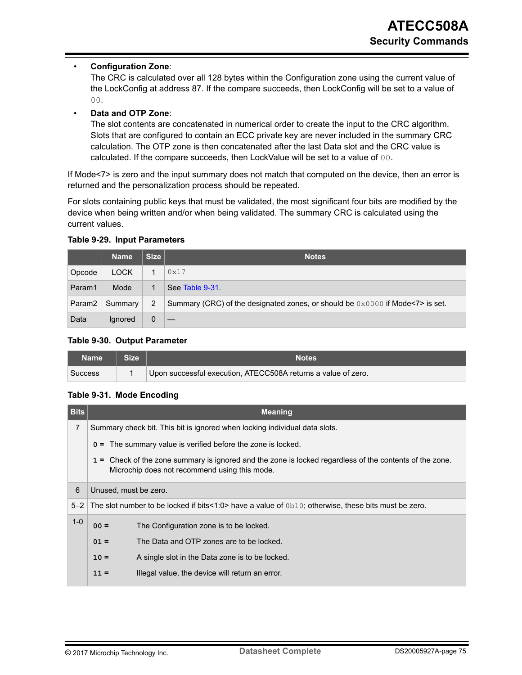### • **Configuration Zone**:

The CRC is calculated over all 128 bytes within the Configuration zone using the current value of the LockConfig at address 87. If the compare succeeds, then LockConfig will be set to a value of 00.

### • **Data and OTP Zone**:

The slot contents are concatenated in numerical order to create the input to the CRC algorithm. Slots that are configured to contain an ECC private key are never included in the summary CRC calculation. The OTP zone is then concatenated after the last Data slot and the CRC value is calculated. If the compare succeeds, then LockValue will be set to a value of 00.

If Mode<7> is zero and the input summary does not match that computed on the device, then an error is returned and the personalization process should be repeated.

For slots containing public keys that must be validated, the most significant four bits are modified by the device when being written and/or when being validated. The summary CRC is calculated using the current values.

|                    | <b>Name</b> | <b>Size</b> | <b>Notes</b>                                                                                      |  |
|--------------------|-------------|-------------|---------------------------------------------------------------------------------------------------|--|
| Opcode             | <b>LOCK</b> |             | 0x17                                                                                              |  |
| Param1             | Mode        |             | See Table 9-31                                                                                    |  |
| Param <sub>2</sub> | Summary     | 2           | Summary (CRC) of the designated zones, or should be $0 \times 0000$ if Mode $\textdegree$ is set. |  |
| Data               | lgnored     | 0           |                                                                                                   |  |

#### **Table 9-29. Input Parameters**

#### **Table 9-30. Output Parameter**

| Name           | <b>Notes</b>                                                  |
|----------------|---------------------------------------------------------------|
| <b>Success</b> | Upon successful execution, ATECC508A returns a value of zero. |

#### **Table 9-31. Mode Encoding**

| <b>Bits</b> | <b>Meaning</b>                                                                                                                                           |                                                                                                        |  |  |  |
|-------------|----------------------------------------------------------------------------------------------------------------------------------------------------------|--------------------------------------------------------------------------------------------------------|--|--|--|
| 7           |                                                                                                                                                          | Summary check bit. This bit is ignored when locking individual data slots.                             |  |  |  |
|             |                                                                                                                                                          | $0 =$ The summary value is verified before the zone is locked.                                         |  |  |  |
|             | 1 = Check of the zone summary is ignored and the zone is locked regardless of the contents of the zone.<br>Microchip does not recommend using this mode. |                                                                                                        |  |  |  |
| 6           | Unused, must be zero.                                                                                                                                    |                                                                                                        |  |  |  |
| $5 - 2$     |                                                                                                                                                          | The slot number to be locked if bits<1:0> have a value of $0b10$ ; otherwise, these bits must be zero. |  |  |  |
| $1 - 0$     | $00 =$                                                                                                                                                   | The Configuration zone is to be locked.                                                                |  |  |  |
|             | The Data and OTP zones are to be locked.<br>$01 =$                                                                                                       |                                                                                                        |  |  |  |
|             | $10 =$                                                                                                                                                   | A single slot in the Data zone is to be locked.                                                        |  |  |  |
|             | $11 =$                                                                                                                                                   | Illegal value, the device will return an error.                                                        |  |  |  |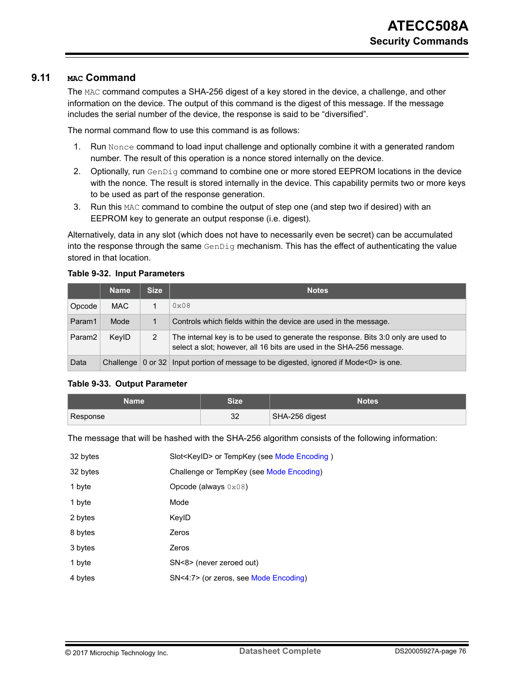## **9.11 MAC Command**

The MAC command computes a SHA-256 digest of a key stored in the device, a challenge, and other information on the device. The output of this command is the digest of this message. If the message includes the serial number of the device, the response is said to be "diversified".

The normal command flow to use this command is as follows:

- 1. Run Nonce command to load input challenge and optionally combine it with a generated random number. The result of this operation is a nonce stored internally on the device.
- 2. Optionally, run GenDig command to combine one or more stored EEPROM locations in the device with the nonce. The result is stored internally in the device. This capability permits two or more keys to be used as part of the response generation.
- 3. Run this MAC command to combine the output of step one (and step two if desired) with an EEPROM key to generate an output response (i.e. digest).

Alternatively, data in any slot (which does not have to necessarily even be secret) can be accumulated into the response through the same  $GenDiq$  mechanism. This has the effect of authenticating the value stored in that location.

#### **Table 9-32. Input Parameters**

|                    | <b>Name</b> | <b>Size</b> | <b>Notes</b>                                                                                                                                               |
|--------------------|-------------|-------------|------------------------------------------------------------------------------------------------------------------------------------------------------------|
| Opcode             | <b>MAC</b>  |             | $0 \times 08$                                                                                                                                              |
| Param1             | Mode        |             | Controls which fields within the device are used in the message.                                                                                           |
| Param <sub>2</sub> | KeylD       | 2           | The internal key is to be used to generate the response. Bits 3:0 only are used to<br>select a slot; however, all 16 bits are used in the SHA-256 message. |
| Data               |             |             | Challenge   0 or 32   Input portion of message to be digested, ignored if Mode<0> is one.                                                                  |

#### **Table 9-33. Output Parameter**

| Name '   | Size     | <b>Notes</b>   |
|----------|----------|----------------|
| Response | າດ<br>ےں | SHA-256 digest |

The message that will be hashed with the SHA-256 algorithm consists of the following information:

| 32 bytes | Slot <keyid> or TempKey (see Mode Encoding)</keyid> |
|----------|-----------------------------------------------------|
| 32 bytes | Challenge or TempKey (see Mode Encoding)            |
| 1 byte   | Opcode (always $0 \times 08$ )                      |
| 1 byte   | Mode                                                |
| 2 bytes  | KeylD                                               |
| 8 bytes  | Zeros                                               |
| 3 bytes  | Zeros                                               |
| 1 byte   | SN<8> (never zeroed out)                            |
| 4 bytes  | SN<4:7> (or zeros, see Mode Encoding)               |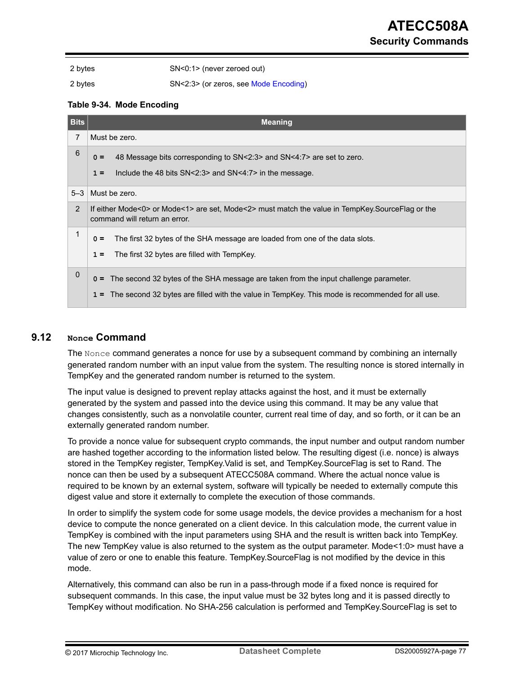<span id="page-76-0"></span>

2 bytes SN<0:1> (never zeroed out)

2 bytes SN<2:3> (or zeros, see Mode Encoding)

#### **Table 9-34. Mode Encoding**

| <b>Bits</b>    | <b>Meaning</b>                                                                                                                   |
|----------------|----------------------------------------------------------------------------------------------------------------------------------|
| $\overline{7}$ | Must be zero.                                                                                                                    |
| 6              | 48 Message bits corresponding to SN<2:3> and SN<4:7> are set to zero.<br>$0 =$                                                   |
|                | Include the 48 bits $SN < 2:3$ and $SN < 4:7$ in the message.<br>$1 =$                                                           |
| $5-3$          | Must be zero.                                                                                                                    |
| $\overline{2}$ | If either Mode<0> or Mode<1> are set, Mode<2> must match the value in TempKey.SourceFlag or the<br>command will return an error. |
| $\mathbf{1}$   | The first 32 bytes of the SHA message are loaded from one of the data slots.<br>$0 =$                                            |
|                | The first 32 bytes are filled with TempKey.<br>$1 =$                                                                             |
| $\mathbf{0}$   | o = The second 32 bytes of the SHA message are taken from the input challenge parameter.                                         |
|                | 1 = The second 32 bytes are filled with the value in TempKey. This mode is recommended for all use.                              |

### **9.12 Nonce Command**

The Nonce command generates a nonce for use by a subsequent command by combining an internally generated random number with an input value from the system. The resulting nonce is stored internally in TempKey and the generated random number is returned to the system.

The input value is designed to prevent replay attacks against the host, and it must be externally generated by the system and passed into the device using this command. It may be any value that changes consistently, such as a nonvolatile counter, current real time of day, and so forth, or it can be an externally generated random number.

To provide a nonce value for subsequent crypto commands, the input number and output random number are hashed together according to the information listed below. The resulting digest (i.e. nonce) is always stored in the TempKey register, TempKey.Valid is set, and TempKey.SourceFlag is set to Rand. The nonce can then be used by a subsequent ATECC508A command. Where the actual nonce value is required to be known by an external system, software will typically be needed to externally compute this digest value and store it externally to complete the execution of those commands.

In order to simplify the system code for some usage models, the device provides a mechanism for a host device to compute the nonce generated on a client device. In this calculation mode, the current value in TempKey is combined with the input parameters using SHA and the result is written back into TempKey. The new TempKey value is also returned to the system as the output parameter. Mode<1:0> must have a value of zero or one to enable this feature. TempKey.SourceFlag is not modified by the device in this mode.

Alternatively, this command can also be run in a pass-through mode if a fixed nonce is required for subsequent commands. In this case, the input value must be 32 bytes long and it is passed directly to TempKey without modification. No SHA-256 calculation is performed and TempKey.SourceFlag is set to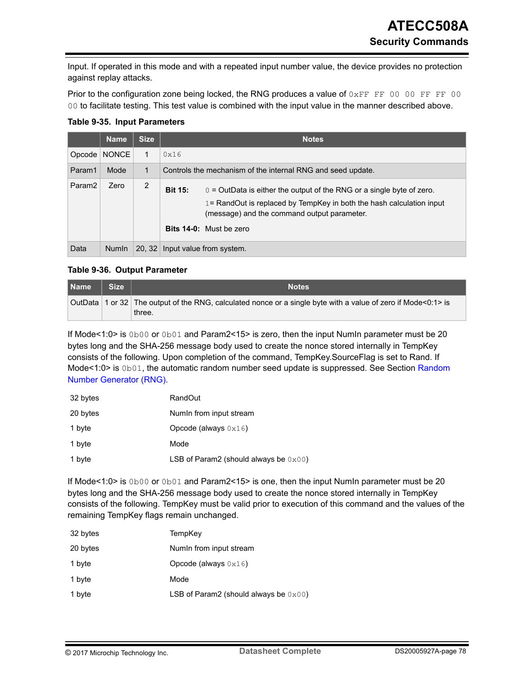Input. If operated in this mode and with a repeated input number value, the device provides no protection against replay attacks.

Prior to the configuration zone being locked, the RNG produces a value of  $0 \times FF$  FF 00 00 FF FF 00 00 to facilitate testing. This test value is combined with the input value in the manner described above.

**Table 9-35. Input Parameters**

|                    | <b>Name</b>  | <b>Size</b> |                                 | <b>Notes</b>                                                                                                                                                                                                                      |
|--------------------|--------------|-------------|---------------------------------|-----------------------------------------------------------------------------------------------------------------------------------------------------------------------------------------------------------------------------------|
| Opcode             | <b>NONCE</b> |             | 0x16                            |                                                                                                                                                                                                                                   |
| Param1             | Mode         | 1           |                                 | Controls the mechanism of the internal RNG and seed update.                                                                                                                                                                       |
| Param <sub>2</sub> | Zero         | 2           | <b>Bit 15:</b>                  | $\sigma$ = OutData is either the output of the RNG or a single byte of zero.<br>$1 =$ RandOut is replaced by TempKey in both the hash calculation input<br>(message) and the command output parameter.<br>Bits 14-0: Must be zero |
| Data               | <b>Numin</b> |             | 20, 32 Input value from system. |                                                                                                                                                                                                                                   |

## **Table 9-36. Output Parameter**

| Name | Size | <b>Notes</b>                                                                                                            |
|------|------|-------------------------------------------------------------------------------------------------------------------------|
|      |      | OutData 1 or 32 The output of the RNG, calculated nonce or a single byte with a value of zero if Mode<0:1> is<br>three. |

If Mode<1:0> is 0b00 or 0b01 and Param2<15> is zero, then the input NumIn parameter must be 20 bytes long and the SHA-256 message body used to create the nonce stored internally in TempKey consists of the following. Upon completion of the command, TempKey.SourceFlag is set to Rand. If Mode<1:0> is 0b01, the automatic random number seed update is suppressed. See Section [Random](#page-32-0) [Number Generator \(RNG\)](#page-32-0).

| 32 bytes | <b>RandOut</b>                                  |
|----------|-------------------------------------------------|
| 20 bytes | Numin from input stream                         |
| 1 byte   | Opcode (always $0 \times 16$ )                  |
| 1 byte   | Mode                                            |
| 1 byte   | LSB of Param2 (should always be $0 \times 00$ ) |

If Mode<1:0> is 0b00 or 0b01 and Param2<15> is one, then the input NumIn parameter must be 20 bytes long and the SHA-256 message body used to create the nonce stored internally in TempKey consists of the following. TempKey must be valid prior to execution of this command and the values of the remaining TempKey flags remain unchanged.

| 32 bytes | TempKey                                  |
|----------|------------------------------------------|
| 20 bytes | Numin from input stream                  |
| 1 byte   | Opcode (always $0x16$ )                  |
| 1 byte   | Mode                                     |
| 1 byte   | LSB of Param2 (should always be $0x00$ ) |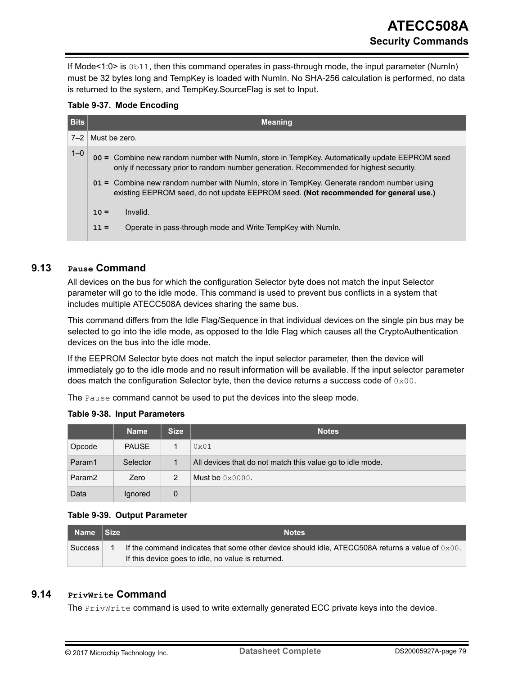<span id="page-78-0"></span>If Mode<1:0> is 0b11, then this command operates in pass-through mode, the input parameter (NumIn) must be 32 bytes long and TempKey is loaded with NumIn. No SHA-256 calculation is performed, no data is returned to the system, and TempKey.SourceFlag is set to Input.

| Bits    |                    | <b>Meaning</b>                                                                                                                                                                          |
|---------|--------------------|-----------------------------------------------------------------------------------------------------------------------------------------------------------------------------------------|
| $7 - 2$ | Must be zero.      |                                                                                                                                                                                         |
| $1 - 0$ |                    | 00 = Combine new random number with Numln, store in TempKey. Automatically update EEPROM seed<br>only if necessary prior to random number generation. Recommended for highest security. |
|         |                    | 01 = Combine new random number with Numln, store in TempKey. Generate random number using<br>existing EEPROM seed, do not update EEPROM seed. (Not recommended for general use.)        |
|         | Invalid.<br>$10 =$ |                                                                                                                                                                                         |
|         | $11 =$             | Operate in pass-through mode and Write TempKey with Numln.                                                                                                                              |

## **9.13 Pause Command**

All devices on the bus for which the configuration Selector byte does not match the input Selector parameter will go to the idle mode. This command is used to prevent bus conflicts in a system that includes multiple ATECC508A devices sharing the same bus.

This command differs from the Idle Flag/Sequence in that individual devices on the single pin bus may be selected to go into the idle mode, as opposed to the Idle Flag which causes all the CryptoAuthentication devices on the bus into the idle mode.

If the EEPROM Selector byte does not match the input selector parameter, then the device will immediately go to the idle mode and no result information will be available. If the input selector parameter does match the configuration Selector byte, then the device returns a success code of  $0 \times 00$ .

The Pause command cannot be used to put the devices into the sleep mode.

|  |  | <b>Table 9-38. Input Parameters</b> |
|--|--|-------------------------------------|
|--|--|-------------------------------------|

|                    | <b>Name</b>  | <b>Size</b> | <b>Notes</b>                                              |
|--------------------|--------------|-------------|-----------------------------------------------------------|
| Opcode             | <b>PAUSE</b> |             | 0x01                                                      |
| Param1             | Selector     | 1           | All devices that do not match this value go to idle mode. |
| Param <sub>2</sub> | Zero         | 2           | Must be $0 \times 0000$ .                                 |
| Data               | Ignored      | 0           |                                                           |

#### **Table 9-39. Output Parameter**

| Name Size      | <b>Notes</b>                                                                                                                                                    |
|----------------|-----------------------------------------------------------------------------------------------------------------------------------------------------------------|
| <b>Success</b> | If the command indicates that some other device should idle, ATECC508A returns a value of $0 \times 00$ .<br>If this device goes to idle, no value is returned. |

## **9.14 PrivWrite Command**

The PrivWrite command is used to write externally generated ECC private keys into the device.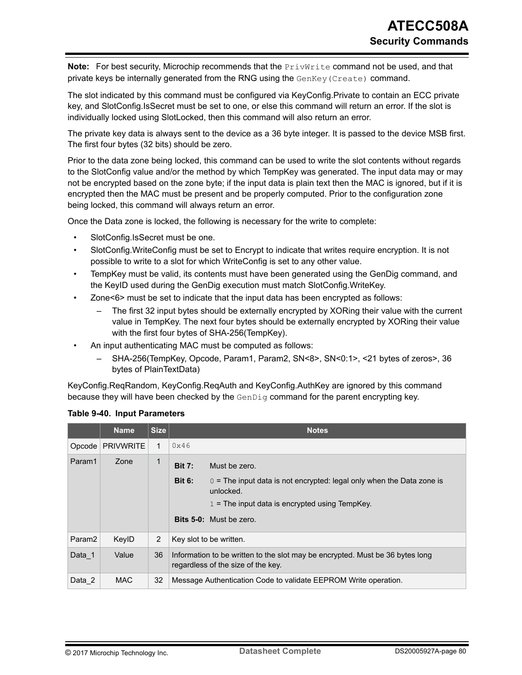**Note:** For best security, Microchip recommends that the PrivWrite command not be used, and that private keys be internally generated from the RNG using the GenKey(Create) command.

The slot indicated by this command must be configured via KeyConfig.Private to contain an ECC private key, and SlotConfig.IsSecret must be set to one, or else this command will return an error. If the slot is individually locked using SlotLocked, then this command will also return an error.

The private key data is always sent to the device as a 36 byte integer. It is passed to the device MSB first. The first four bytes (32 bits) should be zero.

Prior to the data zone being locked, this command can be used to write the slot contents without regards to the SlotConfig value and/or the method by which TempKey was generated. The input data may or may not be encrypted based on the zone byte; if the input data is plain text then the MAC is ignored, but if it is encrypted then the MAC must be present and be properly computed. Prior to the configuration zone being locked, this command will always return an error.

Once the Data zone is locked, the following is necessary for the write to complete:

- SlotConfig.IsSecret must be one.
- SlotConfig.WriteConfig must be set to Encrypt to indicate that writes require encryption. It is not possible to write to a slot for which WriteConfig is set to any other value.
- TempKey must be valid, its contents must have been generated using the GenDig command, and the KeyID used during the GenDig execution must match SlotConfig.WriteKey.
- Zone<6> must be set to indicate that the input data has been encrypted as follows:
	- The first 32 input bytes should be externally encrypted by XORing their value with the current value in TempKey. The next four bytes should be externally encrypted by XORing their value with the first four bytes of SHA-256(TempKey).
- An input authenticating MAC must be computed as follows:
	- SHA-256(TempKey, Opcode, Param1, Param2, SN<8>, SN<0:1>, <21 bytes of zeros>, 36 bytes of PlainTextData)

KeyConfig.ReqRandom, KeyConfig.ReqAuth and KeyConfig.AuthKey are ignored by this command because they will have been checked by the GenDig command for the parent encrypting key.

|                    | <b>Name</b>      | <b>Size</b>    |                         | <b>Notes</b>                                                                                                        |
|--------------------|------------------|----------------|-------------------------|---------------------------------------------------------------------------------------------------------------------|
| Opcode             | <b>PRIVWRITE</b> | 1              | 0x46                    |                                                                                                                     |
| Param1             | Zone             | $\mathbf{1}$   | <b>Bit 7:</b>           | Must be zero.                                                                                                       |
|                    |                  |                | <b>Bit 6:</b>           | $0 =$ The input data is not encrypted: legal only when the Data zone is<br>unlocked.                                |
|                    |                  |                |                         | $1$ = The input data is encrypted using TempKey.                                                                    |
|                    |                  |                |                         | <b>Bits 5-0:</b> Must be zero.                                                                                      |
| Param <sub>2</sub> | KeylD            | $\overline{2}$ | Key slot to be written. |                                                                                                                     |
| Data 1             | Value            | 36             |                         | Information to be written to the slot may be encrypted. Must be 36 bytes long<br>regardless of the size of the key. |
| Data 2             | <b>MAC</b>       | 32             |                         | Message Authentication Code to validate EEPROM Write operation.                                                     |

#### **Table 9-40. Input Parameters**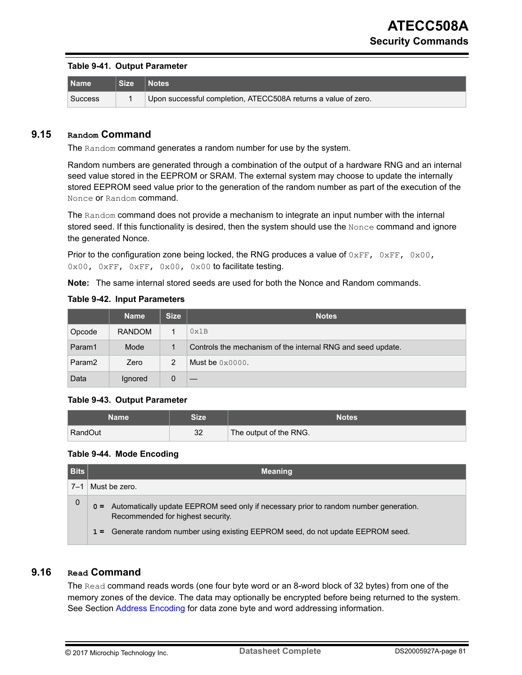#### **Table 9-41. Output Parameter**

| l Name         | Notes                                                          |
|----------------|----------------------------------------------------------------|
| <b>Success</b> | Upon successful completion, ATECC508A returns a value of zero. |

#### **9.15 Random Command**

The Random command generates a random number for use by the system.

Random numbers are generated through a combination of the output of a hardware RNG and an internal seed value stored in the EEPROM or SRAM. The external system may choose to update the internally stored EEPROM seed value prior to the generation of the random number as part of the execution of the Nonce or Random command.

The Random command does not provide a mechanism to integrate an input number with the internal stored seed. If this functionality is desired, then the system should use the Nonce command and ignore the generated Nonce.

Prior to the configuration zone being locked, the RNG produces a value of  $0 \times FF$ ,  $0 \times FF$ ,  $0 \times 00$ , 0x00, 0xFF, 0xFF, 0x00, 0x00 to facilitate testing.

**Note:**  The same internal stored seeds are used for both the Nonce and Random commands.

|  |  | <b>Table 9-42. Input Parameters</b> |
|--|--|-------------------------------------|
|--|--|-------------------------------------|

|                    | <b>Name</b>   | <b>Size</b> | <b>Notes</b>                                                |
|--------------------|---------------|-------------|-------------------------------------------------------------|
| Opcode             | <b>RANDOM</b> |             | 0x1B                                                        |
| Param1             | Mode          |             | Controls the mechanism of the internal RNG and seed update. |
| Param <sub>2</sub> | Zero          | 2           | Must be $0 \times 0000$ .                                   |
| Data               | Ignored       | 0           |                                                             |

#### **Table 9-43. Output Parameter**

| Name    | <b>Size</b> | Notes                  |
|---------|-------------|------------------------|
| RandOut | 32          | The output of the RNG. |

#### **Table 9-44. Mode Encoding**

| <b>Bits</b> | <b>Meaning</b>                                                                                                                 |  |  |  |
|-------------|--------------------------------------------------------------------------------------------------------------------------------|--|--|--|
| $7 - 1$     | Must be zero.                                                                                                                  |  |  |  |
| 0           | o = Automatically update EEPROM seed only if necessary prior to random number generation.<br>Recommended for highest security. |  |  |  |
|             | 1 = Generate random number using existing EEPROM seed, do not update EEPROM seed.                                              |  |  |  |

### **9.16 Read Command**

The Read command reads words (one four byte word or an 8-word block of 32 bytes) from one of the memory zones of the device. The data may optionally be encrypted before being returned to the system. See Section [Address Encoding](#page-57-0) for data zone byte and word addressing information.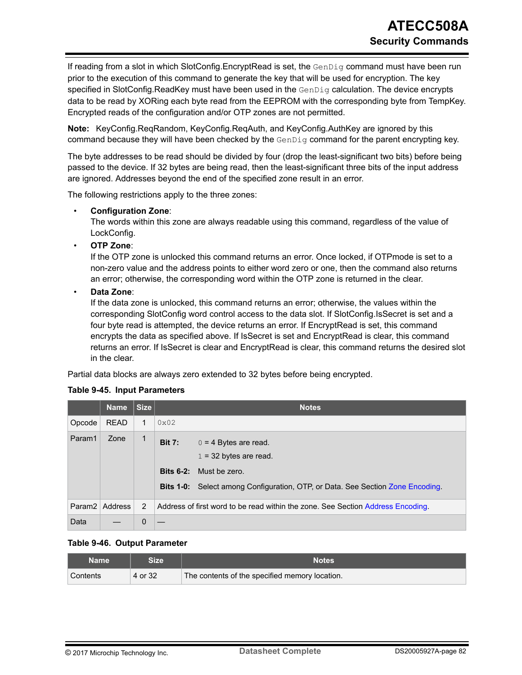If reading from a slot in which SlotConfig.EncryptRead is set, the GenDig command must have been run prior to the execution of this command to generate the key that will be used for encryption. The key specified in SlotConfig.ReadKey must have been used in the  $GenDiq$  calculation. The device encrypts data to be read by XORing each byte read from the EEPROM with the corresponding byte from TempKey. Encrypted reads of the configuration and/or OTP zones are not permitted.

**Note:**  KeyConfig.ReqRandom, KeyConfig.ReqAuth, and KeyConfig.AuthKey are ignored by this command because they will have been checked by the GenDig command for the parent encrypting key.

The byte addresses to be read should be divided by four (drop the least-significant two bits) before being passed to the device. If 32 bytes are being read, then the least-significant three bits of the input address are ignored. Addresses beyond the end of the specified zone result in an error.

The following restrictions apply to the three zones:

#### • **Configuration Zone**:

The words within this zone are always readable using this command, regardless of the value of LockConfig.

• **OTP Zone**:

If the OTP zone is unlocked this command returns an error. Once locked, if OTPmode is set to a non-zero value and the address points to either word zero or one, then the command also returns an error; otherwise, the corresponding word within the OTP zone is returned in the clear.

• **Data Zone**:

If the data zone is unlocked, this command returns an error; otherwise, the values within the corresponding SlotConfig word control access to the data slot. If SlotConfig.IsSecret is set and a four byte read is attempted, the device returns an error. If EncryptRead is set, this command encrypts the data as specified above. If IsSecret is set and EncryptRead is clear, this command returns an error. If IsSecret is clear and EncryptRead is clear, this command returns the desired slot in the clear.

Partial data blocks are always zero extended to 32 bytes before being encrypted.

#### **Table 9-45. Input Parameters**

|        | <b>Name</b>      | <b>Size</b>  |               | <b>Notes</b>                                                                                                                                                            |
|--------|------------------|--------------|---------------|-------------------------------------------------------------------------------------------------------------------------------------------------------------------------|
| Opcode | <b>READ</b>      | $\mathbf{1}$ | $0 \times 02$ |                                                                                                                                                                         |
| Param1 | Zone             | $\mathbf{1}$ | <b>Bit 7:</b> | $0 = 4$ Bytes are read.<br>$1 = 32$ bytes are read.<br><b>Bits 6-2:</b> Must be zero.<br>Bits 1-0: Select among Configuration, OTP, or Data. See Section Zone Encoding. |
|        | Param2   Address | 2            |               | Address of first word to be read within the zone. See Section Address Encoding.                                                                                         |
| Data   |                  | 0            |               |                                                                                                                                                                         |

#### **Table 9-46. Output Parameter**

| Name     | Size.   | <b>Notes</b>                                   |
|----------|---------|------------------------------------------------|
| Contents | 4 or 32 | The contents of the specified memory location. |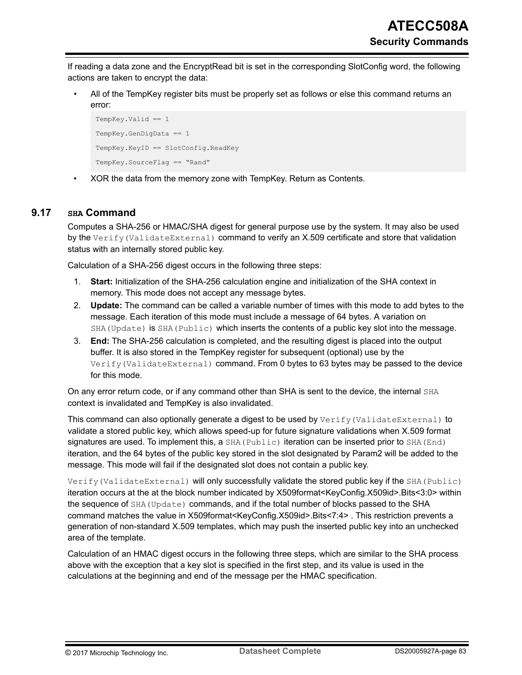If reading a data zone and the EncryptRead bit is set in the corresponding SlotConfig word, the following actions are taken to encrypt the data:

• All of the TempKey register bits must be properly set as follows or else this command returns an error:

```
TempKey.Valid == 1
TempKey.GenDigData == 1
TempKey.KeyID == SlotConfig.ReadKey
TempKey.SourceFlag == "Rand"
```
• XOR the data from the memory zone with TempKey. Return as Contents.

## **9.17 SHA Command**

Computes a SHA-256 or HMAC/SHA digest for general purpose use by the system. It may also be used by the Verify (ValidateExternal) command to verify an X.509 certificate and store that validation status with an internally stored public key.

Calculation of a SHA-256 digest occurs in the following three steps:

- 1. **Start:** Initialization of the SHA-256 calculation engine and initialization of the SHA context in memory. This mode does not accept any message bytes.
- 2. **Update:** The command can be called a variable number of times with this mode to add bytes to the message. Each iteration of this mode must include a message of 64 bytes. A variation on SHA (Update) is SHA (Public) which inserts the contents of a public key slot into the message.
- 3. **End:** The SHA-256 calculation is completed, and the resulting digest is placed into the output buffer. It is also stored in the TempKey register for subsequent (optional) use by the Verify(ValidateExternal) command. From 0 bytes to 63 bytes may be passed to the device for this mode.

On any error return code, or if any command other than SHA is sent to the device, the internal SHA context is invalidated and TempKey is also invalidated.

This command can also optionally generate a digest to be used by  $Verify(ValidateExternal)$  to validate a stored public key, which allows speed-up for future signature validations when X.509 format signatures are used. To implement this, a  $SHA(Public)$  iteration can be inserted prior to  $SHA(End)$ iteration, and the 64 bytes of the public key stored in the slot designated by Param2 will be added to the message. This mode will fail if the designated slot does not contain a public key.

Verify(ValidateExternal) will only successfully validate the stored public key if the SHA(Public) iteration occurs at the at the block number indicated by X509format<KeyConfig.X509id>.Bits<3:0> within the sequence of SHA(Update) commands, and if the total number of blocks passed to the SHA command matches the value in X509format<KeyConfig.X509id>.Bits<7:4> . This restriction prevents a generation of non-standard X.509 templates, which may push the inserted public key into an unchecked area of the template.

Calculation of an HMAC digest occurs in the following three steps, which are similar to the SHA process above with the exception that a key slot is specified in the first step, and its value is used in the calculations at the beginning and end of the message per the HMAC specification.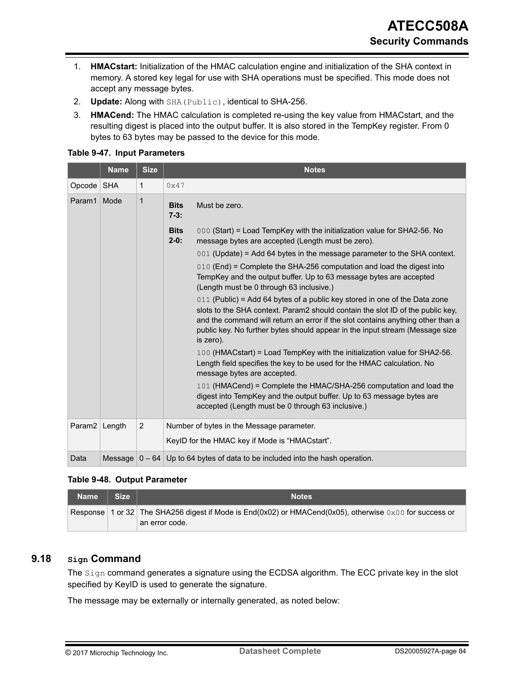- 1. **HMACstart:** Initialization of the HMAC calculation engine and initialization of the SHA context in memory. A stored key legal for use with SHA operations must be specified. This mode does not accept any message bytes.
- 2. **Update:** Along with SHA(Public), identical to SHA-256.
- 3. **HMACend:** The HMAC calculation is completed re-using the key value from HMACstart, and the resulting digest is placed into the output buffer. It is also stored in the TempKey register. From 0 bytes to 63 bytes may be passed to the device for this mode.

#### **Table 9-47. Input Parameters**

|                    | <b>Name</b> | <b>Size</b>  |                       | <b>Notes</b>                                                                                                                                                                                                                                                                                                                                 |
|--------------------|-------------|--------------|-----------------------|----------------------------------------------------------------------------------------------------------------------------------------------------------------------------------------------------------------------------------------------------------------------------------------------------------------------------------------------|
| Opcode SHA         |             | $\mathbf{1}$ | 0x47                  |                                                                                                                                                                                                                                                                                                                                              |
| Param1             | Mode        | 1            | <b>Bits</b><br>$7-3:$ | Must be zero.                                                                                                                                                                                                                                                                                                                                |
|                    |             |              | <b>Bits</b><br>$2-0:$ | 000 (Start) = Load TempKey with the initialization value for SHA2-56. No<br>message bytes are accepted (Length must be zero).                                                                                                                                                                                                                |
|                    |             |              |                       | 001 (Update) = Add 64 bytes in the message parameter to the SHA context.                                                                                                                                                                                                                                                                     |
|                    |             |              |                       | 010 (End) = Complete the SHA-256 computation and load the digest into<br>TempKey and the output buffer. Up to 63 message bytes are accepted<br>(Length must be 0 through 63 inclusive.)                                                                                                                                                      |
|                    |             |              |                       | 011 (Public) = Add 64 bytes of a public key stored in one of the Data zone<br>slots to the SHA context. Param2 should contain the slot ID of the public key,<br>and the command will return an error if the slot contains anything other than a<br>public key. No further bytes should appear in the input stream (Message size<br>is zero). |
|                    |             |              |                       | 100 (HMACstart) = Load TempKey with the initialization value for SHA2-56.<br>Length field specifies the key to be used for the HMAC calculation. No<br>message bytes are accepted.                                                                                                                                                           |
|                    |             |              |                       | 101 (HMACend) = Complete the HMAC/SHA-256 computation and load the<br>digest into TempKey and the output buffer. Up to 63 message bytes are<br>accepted (Length must be 0 through 63 inclusive.)                                                                                                                                             |
| Param <sub>2</sub> | Length      | 2            |                       | Number of bytes in the Message parameter.                                                                                                                                                                                                                                                                                                    |
|                    |             |              |                       | KeylD for the HMAC key if Mode is "HMACstart".                                                                                                                                                                                                                                                                                               |
| Data               | Message     | $0 - 64$     |                       | Up to 64 bytes of data to be included into the hash operation.                                                                                                                                                                                                                                                                               |

#### **Table 9-48. Output Parameter**

| <b>Name</b> | Size | <b>Notes</b>                                                                                                           |
|-------------|------|------------------------------------------------------------------------------------------------------------------------|
|             |      | Response   1 or 32   The SHA256 digest if Mode is $End(0x02)$ or HMACend(0x05), otherwise $0 \times 00$ for success or |
|             |      | ⊧an error code.∶                                                                                                       |

## **9.18 Sign Command**

The Sign command generates a signature using the ECDSA algorithm. The ECC private key in the slot specified by KeyID is used to generate the signature.

The message may be externally or internally generated, as noted below: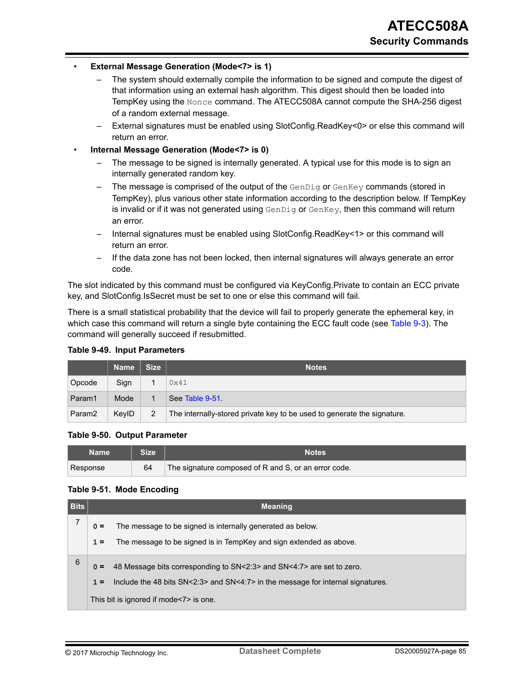#### • **External Message Generation (Mode<7> is 1)**

- The system should externally compile the information to be signed and compute the digest of that information using an external hash algorithm. This digest should then be loaded into TempKey using the Nonce command. The ATECC508A cannot compute the SHA-256 digest of a random external message.
- External signatures must be enabled using SlotConfig.ReadKey<0> or else this command will return an error.
- **Internal Message Generation (Mode<7> is 0)**
	- The message to be signed is internally generated. A typical use for this mode is to sign an internally generated random key.
	- The message is comprised of the output of the GenDig or GenKey commands (stored in TempKey), plus various other state information according to the description below. If TempKey is invalid or if it was not generated using  $GenDiq$  or  $GenKey$ , then this command will return an error.
	- Internal signatures must be enabled using SlotConfig.ReadKey<1> or this command will return an error.
	- If the data zone has not been locked, then internal signatures will always generate an error code.

The slot indicated by this command must be configured via KeyConfig.Private to contain an ECC private key, and SlotConfig.IsSecret must be set to one or else this command will fail.

There is a small statistical probability that the device will fail to properly generate the ephemeral key, in which case this command will return a single byte containing the ECC fault code (see [Table 9-3\)](#page-55-0). The command will generally succeed if resubmitted.

|                    | <b>Name</b> | <b>Size</b> | <b>Notes</b>                                                            |
|--------------------|-------------|-------------|-------------------------------------------------------------------------|
| Opcode             | Sign        |             | 0x41                                                                    |
| Param1             | Mode        |             | See Table 9-51                                                          |
| Param <sub>2</sub> | KeylD       | 2           | The internally-stored private key to be used to generate the signature. |

#### **Table 9-49. Input Parameters**

#### **Table 9-50. Output Parameter**

| Name     | <b>Size</b> | Notes                                                |
|----------|-------------|------------------------------------------------------|
| Response | 64          | The signature composed of R and S, or an error code. |

#### **Table 9-51. Mode Encoding**

| <b>Bits</b> | <b>Meaning</b>                                                                                                                                                                                                       |
|-------------|----------------------------------------------------------------------------------------------------------------------------------------------------------------------------------------------------------------------|
|             | The message to be signed is internally generated as below.<br>$0 =$<br>The message to be signed is in TempKey and sign extended as above.<br>$1 =$                                                                   |
| 6           | 48 Message bits corresponding to SN<2:3> and SN<4:7> are set to zero.<br>$0 =$<br>Include the 48 bits SN<2:3> and SN<4:7> in the message for internal signatures.<br>$1 =$<br>This bit is ignored if mode<7> is one. |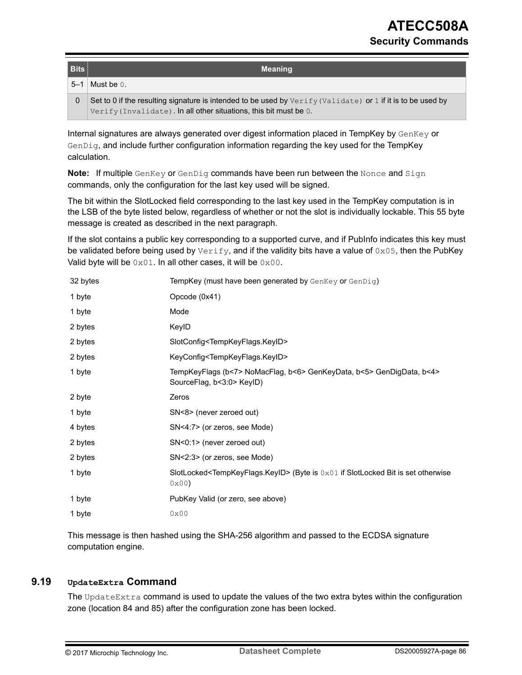| <b>Bits</b> | <b>Meaning</b>                                                                                                |
|-------------|---------------------------------------------------------------------------------------------------------------|
| $5 - 1$     | Must be 0.                                                                                                    |
| 0           | Set to 0 if the resulting signature is intended to be used by $Verify$ (Validate) or 1 if it is to be used by |
|             | Verify (Invalidate). In all other situations, this bit must be $0.1$                                          |

Internal signatures are always generated over digest information placed in TempKey by  $GenKey$  or GenDig, and include further configuration information regarding the key used for the TempKey calculation.

**Note:** If multiple GenKey or GenDig commands have been run between the Nonce and Sign commands, only the configuration for the last key used will be signed.

The bit within the SlotLocked field corresponding to the last key used in the TempKey computation is in the LSB of the byte listed below, regardless of whether or not the slot is individually lockable. This 55 byte message is created as described in the next paragraph.

If the slot contains a public key corresponding to a supported curve, and if PubInfo indicates this key must be validated before being used by  $Verify$ , and if the validity bits have a value of  $0 \times 05$ , then the PubKey Valid byte will be  $0 \times 01$ . In all other cases, it will be  $0 \times 00$ .

| 32 bytes | TempKey (must have been generated by GenKey or GenDig)                                                         |
|----------|----------------------------------------------------------------------------------------------------------------|
| 1 byte   | Opcode (0x41)                                                                                                  |
| 1 byte   | Mode                                                                                                           |
| 2 bytes  | KeylD                                                                                                          |
| 2 bytes  | SlotConfig <tempkeyflags.keyid></tempkeyflags.keyid>                                                           |
| 2 bytes  | KeyConfig <tempkeyflags.keyid></tempkeyflags.keyid>                                                            |
| 1 byte   | TempKeyFlags (b<7> NoMacFlag, b<6> GenKeyData, b<5> GenDigData, b<4><br>SourceFlag, b<3:0> KeylD)              |
| 2 byte   | Zeros                                                                                                          |
| 1 byte   | SN<8> (never zeroed out)                                                                                       |
| 4 bytes  | SN<4:7> (or zeros, see Mode)                                                                                   |
| 2 bytes  | SN<0:1> (never zeroed out)                                                                                     |
| 2 bytes  | SN<2:3> (or zeros, see Mode)                                                                                   |
| 1 byte   | SlotLocked <tempkeyflags.keyid> (Byte is 0x01 if SlotLocked Bit is set otherwise<br/>0x00</tempkeyflags.keyid> |
| 1 byte   | PubKey Valid (or zero, see above)                                                                              |
| 1 byte   | 0x00                                                                                                           |

This message is then hashed using the SHA-256 algorithm and passed to the ECDSA signature computation engine.

## **9.19 UpdateExtra Command**

The UpdateExtra command is used to update the values of the two extra bytes within the configuration zone (location 84 and 85) after the configuration zone has been locked.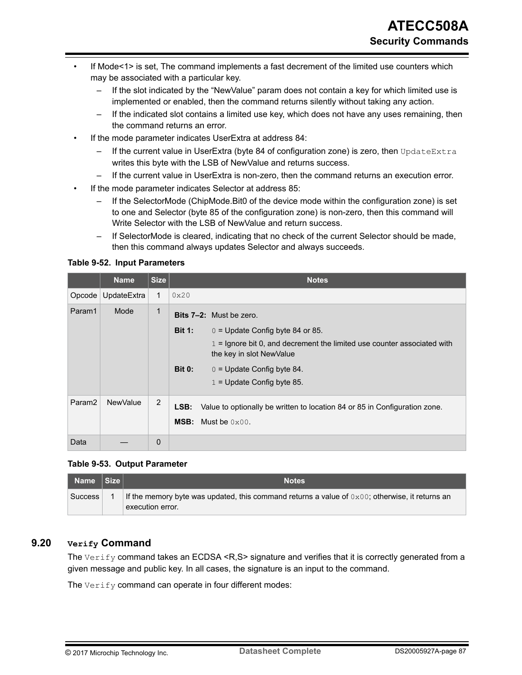- If Mode<1> is set, The command implements a fast decrement of the limited use counters which may be associated with a particular key.
	- If the slot indicated by the "NewValue" param does not contain a key for which limited use is implemented or enabled, then the command returns silently without taking any action.
	- If the indicated slot contains a limited use key, which does not have any uses remaining, then the command returns an error.
- If the mode parameter indicates UserExtra at address 84:
	- If the current value in UserExtra (byte 84 of configuration zone) is zero, then UpdateExtra writes this byte with the LSB of NewValue and returns success.
	- If the current value in UserExtra is non-zero, then the command returns an execution error.
- If the mode parameter indicates Selector at address 85:
	- If the SelectorMode (ChipMode.Bit0 of the device mode within the configuration zone) is set to one and Selector (byte 85 of the configuration zone) is non-zero, then this command will Write Selector with the LSB of NewValue and return success.
	- If SelectorMode is cleared, indicating that no check of the current Selector should be made, then this command always updates Selector and always succeeds.

#### **Table 9-52. Input Parameters**

|                            | <b>Name</b>     | <b>Size</b>       | <b>Notes</b>                                                                                                                                                                                                                                                                    |
|----------------------------|-----------------|-------------------|---------------------------------------------------------------------------------------------------------------------------------------------------------------------------------------------------------------------------------------------------------------------------------|
| Opcode                     | UpdateExtra     | $\mathbf 1$       | 0x20                                                                                                                                                                                                                                                                            |
| Param1                     | Mode            | $\mathbf{1}$      | <b>Bits 7-2:</b> Must be zero.<br>$0 =$ Update Config byte 84 or 85.<br><b>Bit 1:</b><br>$1 =$ Ignore bit 0, and decrement the limited use counter associated with<br>the key in slot NewValue<br><b>Bit 0:</b><br>$0 =$ Update Config byte 84.<br>$1 =$ Update Config byte 85. |
| Param <sub>2</sub><br>Data | <b>NewValue</b> | 2<br>$\mathbf{0}$ | Value to optionally be written to location 84 or 85 in Configuration zone.<br>LSB:<br><b>MSB:</b> Must be $0 \times 00$ .                                                                                                                                                       |

#### **Table 9-53. Output Parameter**

| Name Size | <b>Notes</b>                                                                                                                 |
|-----------|------------------------------------------------------------------------------------------------------------------------------|
| Success   | If the memory byte was updated, this command returns a value of $0 \times 00$ ; otherwise, it returns an<br>execution error. |

# **9.20 Verify Command**

The  $Verify$  command takes an ECDSA <R,S> signature and verifies that it is correctly generated from a given message and public key. In all cases, the signature is an input to the command.

The  $Verify$  command can operate in four different modes: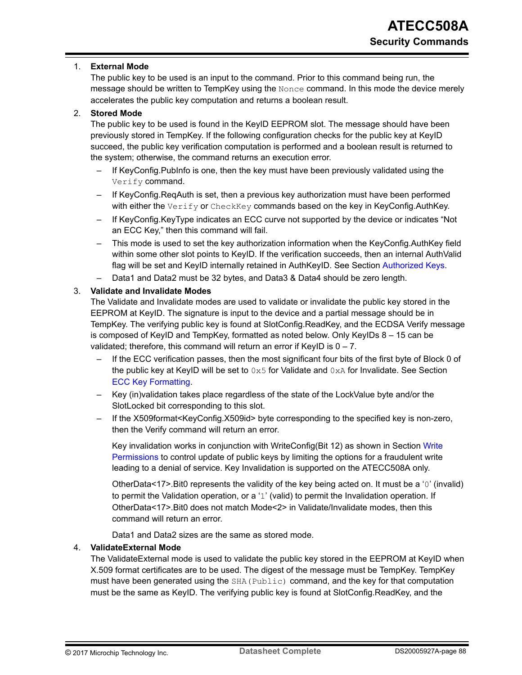#### 1. **External Mode**

The public key to be used is an input to the command. Prior to this command being run, the message should be written to TempKey using the Nonce command. In this mode the device merely accelerates the public key computation and returns a boolean result.

#### 2. **Stored Mode**

The public key to be used is found in the KeyID EEPROM slot. The message should have been previously stored in TempKey. If the following configuration checks for the public key at KeyID succeed, the public key verification computation is performed and a boolean result is returned to the system; otherwise, the command returns an execution error.

- If KeyConfig.PubInfo is one, then the key must have been previously validated using the Verify command.
- If KeyConfig.ReqAuth is set, then a previous key authorization must have been performed with either the Verify or CheckKey commands based on the key in KeyConfig.AuthKey.
- If KeyConfig.KeyType indicates an ECC curve not supported by the device or indicates "Not an ECC Key," then this command will fail.
- This mode is used to set the key authorization information when the KeyConfig.AuthKey field within some other slot points to KeyID. If the verification succeeds, then an internal AuthValid flag will be set and KeyID internally retained in AuthKeyID. See Section [Authorized Keys.](#page-31-0)
- Data1 and Data2 must be 32 bytes, and Data3 & Data4 should be zero length.

#### 3. **Validate and Invalidate Modes**

The Validate and Invalidate modes are used to validate or invalidate the public key stored in the EEPROM at KeyID. The signature is input to the device and a partial message should be in TempKey. The verifying public key is found at SlotConfig.ReadKey, and the ECDSA Verify message is composed of KeyID and TempKey, formatted as noted below. Only KeyIDs 8 – 15 can be validated; therefore, this command will return an error if KeyID is  $0 - 7$ .

- If the ECC verification passes, then the most significant four bits of the first byte of Block 0 of the public key at KeyID will be set to  $0 \times 5$  for Validate and  $0 \times A$  for Invalidate. See Section [ECC Key Formatting](#page-33-0).
- Key (in)validation takes place regardless of the state of the LockValue byte and/or the SlotLocked bit corresponding to this slot.
- If the X509format<KeyConfig.X509id> byte corresponding to the specified key is non-zero, then the Verify command will return an error.

Key invalidation works in conjunction with [Write](#page-17-0)Config(Bit 12) as shown in Section Write [Permissions](#page-17-0) to control update of public keys by limiting the options for a fraudulent write leading to a denial of service. Key Invalidation is supported on the ATECC508A only.

OtherData<17>.Bit0 represents the validity of the key being acted on. It must be a '0' (invalid) to permit the Validation operation, or a '1' (valid) to permit the Invalidation operation. If OtherData<17>.Bit0 does not match Mode<2> in Validate/Invalidate modes, then this command will return an error.

Data1 and Data2 sizes are the same as stored mode.

#### 4. **ValidateExternal Mode**

The ValidateExternal mode is used to validate the public key stored in the EEPROM at KeyID when X.509 format certificates are to be used. The digest of the message must be TempKey. TempKey must have been generated using the SHA (Public) command, and the key for that computation must be the same as KeyID. The verifying public key is found at SlotConfig.ReadKey, and the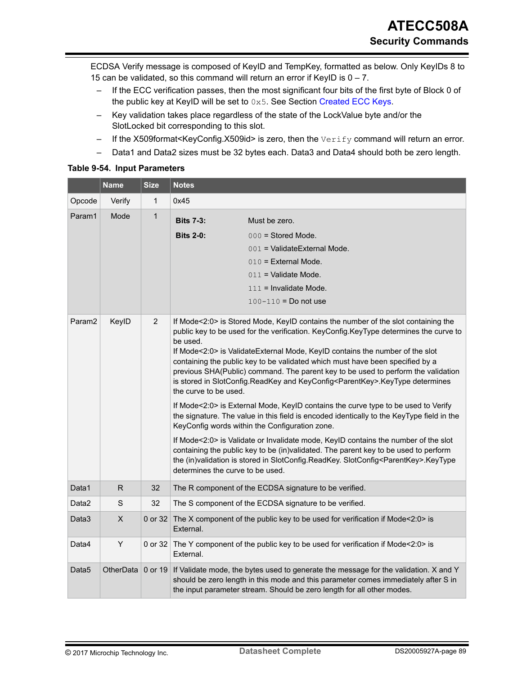ECDSA Verify message is composed of KeyID and TempKey, formatted as below. Only KeyIDs 8 to 15 can be validated, so this command will return an error if KeyID is  $0 - 7$ .

- If the ECC verification passes, then the most significant four bits of the first byte of Block 0 of the public key at KeyID will be set to  $0x5$ . See Section [Created ECC Keys](#page-28-0).
- Key validation takes place regardless of the state of the LockValue byte and/or the SlotLocked bit corresponding to this slot.
- If the X509format<KeyConfig.X509id> is zero, then the  $Verify$ command will return an error.
- Data1 and Data2 sizes must be 32 bytes each. Data3 and Data4 should both be zero length.

|                    | <b>Name</b> | <b>Size</b>    | <b>Notes</b>                                                                               |                                                                                                                                                                                                                                                                                                                                                                                                                                                                                                                                                                                                                                                                                                                                                                                                                                                                                                                                                                                                                                                                  |  |  |
|--------------------|-------------|----------------|--------------------------------------------------------------------------------------------|------------------------------------------------------------------------------------------------------------------------------------------------------------------------------------------------------------------------------------------------------------------------------------------------------------------------------------------------------------------------------------------------------------------------------------------------------------------------------------------------------------------------------------------------------------------------------------------------------------------------------------------------------------------------------------------------------------------------------------------------------------------------------------------------------------------------------------------------------------------------------------------------------------------------------------------------------------------------------------------------------------------------------------------------------------------|--|--|
| Opcode             | Verify      | $\mathbf{1}$   | 0x45                                                                                       |                                                                                                                                                                                                                                                                                                                                                                                                                                                                                                                                                                                                                                                                                                                                                                                                                                                                                                                                                                                                                                                                  |  |  |
| Param1             | Mode        | $\mathbf{1}$   | <b>Bits 7-3:</b>                                                                           | Must be zero.                                                                                                                                                                                                                                                                                                                                                                                                                                                                                                                                                                                                                                                                                                                                                                                                                                                                                                                                                                                                                                                    |  |  |
|                    |             |                | <b>Bits 2-0:</b>                                                                           | $000 =$ Stored Mode.                                                                                                                                                                                                                                                                                                                                                                                                                                                                                                                                                                                                                                                                                                                                                                                                                                                                                                                                                                                                                                             |  |  |
|                    |             |                |                                                                                            | 001 = ValidateExternal Mode.                                                                                                                                                                                                                                                                                                                                                                                                                                                                                                                                                                                                                                                                                                                                                                                                                                                                                                                                                                                                                                     |  |  |
|                    |             |                |                                                                                            | $010$ = External Mode.                                                                                                                                                                                                                                                                                                                                                                                                                                                                                                                                                                                                                                                                                                                                                                                                                                                                                                                                                                                                                                           |  |  |
|                    |             |                |                                                                                            | $011$ = Validate Mode.                                                                                                                                                                                                                                                                                                                                                                                                                                                                                                                                                                                                                                                                                                                                                                                                                                                                                                                                                                                                                                           |  |  |
|                    |             |                |                                                                                            | $111$ = Invalidate Mode.                                                                                                                                                                                                                                                                                                                                                                                                                                                                                                                                                                                                                                                                                                                                                                                                                                                                                                                                                                                                                                         |  |  |
|                    |             |                |                                                                                            | $100 - 110 = Do$ not use                                                                                                                                                                                                                                                                                                                                                                                                                                                                                                                                                                                                                                                                                                                                                                                                                                                                                                                                                                                                                                         |  |  |
| Param <sub>2</sub> | KeylD       | $\overline{2}$ | be used.<br>the curve to be used.<br>determines the curve to be used.                      | If Mode<2:0> is Stored Mode, KeylD contains the number of the slot containing the<br>public key to be used for the verification. KeyConfig.KeyType determines the curve to<br>If Mode<2:0> is ValidateExternal Mode, KeylD contains the number of the slot<br>containing the public key to be validated which must have been specified by a<br>previous SHA(Public) command. The parent key to be used to perform the validation<br>is stored in SlotConfig.ReadKey and KeyConfig <parentkey>.KeyType determines<br/>If Mode&lt;2:0&gt; is External Mode, KeylD contains the curve type to be used to Verify<br/>the signature. The value in this field is encoded identically to the KeyType field in the<br/>KeyConfig words within the Configuration zone.<br/>If Mode&lt;2:0&gt; is Validate or Invalidate mode, KeylD contains the number of the slot<br/>containing the public key to be (in)validated. The parent key to be used to perform<br/>the (in)validation is stored in SlotConfig.ReadKey. SlotConfig<parentkey>.KeyType</parentkey></parentkey> |  |  |
| Data1              | $\mathsf R$ | 32             |                                                                                            | The R component of the ECDSA signature to be verified.                                                                                                                                                                                                                                                                                                                                                                                                                                                                                                                                                                                                                                                                                                                                                                                                                                                                                                                                                                                                           |  |  |
| Data2              | $\mathbf S$ | 32             | The S component of the ECDSA signature to be verified.                                     |                                                                                                                                                                                                                                                                                                                                                                                                                                                                                                                                                                                                                                                                                                                                                                                                                                                                                                                                                                                                                                                                  |  |  |
| Data3              | X           | 0 or 32        | The X component of the public key to be used for verification if Mode<2:0> is<br>External. |                                                                                                                                                                                                                                                                                                                                                                                                                                                                                                                                                                                                                                                                                                                                                                                                                                                                                                                                                                                                                                                                  |  |  |
| Data4              | Υ           |                | External.                                                                                  | 0 or 32 The Y component of the public key to be used for verification if Mode<2:0> is                                                                                                                                                                                                                                                                                                                                                                                                                                                                                                                                                                                                                                                                                                                                                                                                                                                                                                                                                                            |  |  |
| Data5              | OtherData   | 0 or 19        |                                                                                            | If Validate mode, the bytes used to generate the message for the validation. X and Y<br>should be zero length in this mode and this parameter comes immediately after S in<br>the input parameter stream. Should be zero length for all other modes.                                                                                                                                                                                                                                                                                                                                                                                                                                                                                                                                                                                                                                                                                                                                                                                                             |  |  |

#### **Table 9-54. Input Parameters**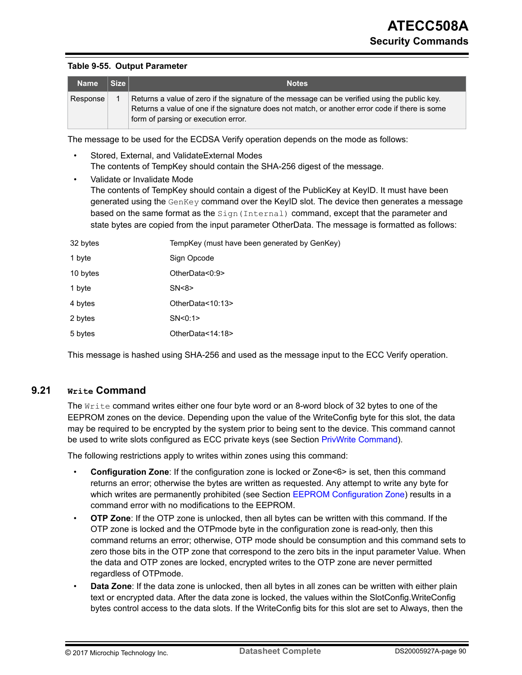#### **Table 9-55. Output Parameter**

| <b>Name</b> | Size <sub>1</sub> | <b>Notes</b>                                                                                                                                                                                                                           |
|-------------|-------------------|----------------------------------------------------------------------------------------------------------------------------------------------------------------------------------------------------------------------------------------|
| Response    |                   | Returns a value of zero if the signature of the message can be verified using the public key.<br>Returns a value of one if the signature does not match, or another error code if there is some<br>form of parsing or execution error. |

The message to be used for the ECDSA Verify operation depends on the mode as follows:

- Stored, External, and ValidateExternal Modes The contents of TempKey should contain the SHA-256 digest of the message.
- Validate or Invalidate Mode The contents of TempKey should contain a digest of the PublicKey at KeyID. It must have been generated using the GenKey command over the KeyID slot. The device then generates a message based on the same format as the Sign (Internal) command, except that the parameter and state bytes are copied from the input parameter OtherData. The message is formatted as follows:

| 32 bytes | TempKey (must have been generated by GenKey) |
|----------|----------------------------------------------|
| 1 byte   | Sign Opcode                                  |
| 10 bytes | OtherData<0:9>                               |
| 1 byte   | SN < 8                                       |
| 4 bytes  | OtherData<10:13>                             |
| 2 bytes  | SN < 0:1                                     |
| 5 bytes  | OtherData<14:18>                             |

This message is hashed using SHA-256 and used as the message input to the ECC Verify operation.

### **9.21 Write Command**

The  $Write$  command writes either one four byte word or an 8-word block of 32 bytes to one of the EEPROM zones on the device. Depending upon the value of the WriteConfig byte for this slot, the data may be required to be encrypted by the system prior to being sent to the device. This command cannot be used to write slots configured as ECC private keys (see Section [PrivWrite Command\)](#page-78-0).

The following restrictions apply to writes within zones using this command:

- **Configuration Zone**: If the configuration zone is locked or Zone<6> is set, then this command returns an error; otherwise the bytes are written as requested. Any attempt to write any byte for which writes are permanently prohibited (see Section [EEPROM Configuration Zone\)](#page-12-0) results in a command error with no modifications to the EEPROM.
- **OTP Zone**: If the OTP zone is unlocked, then all bytes can be written with this command. If the OTP zone is locked and the OTPmode byte in the configuration zone is read-only, then this command returns an error; otherwise, OTP mode should be consumption and this command sets to zero those bits in the OTP zone that correspond to the zero bits in the input parameter Value. When the data and OTP zones are locked, encrypted writes to the OTP zone are never permitted regardless of OTPmode.
- **Data Zone**: If the data zone is unlocked, then all bytes in all zones can be written with either plain text or encrypted data. After the data zone is locked, the values within the SlotConfig.WriteConfig bytes control access to the data slots. If the WriteConfig bits for this slot are set to Always, then the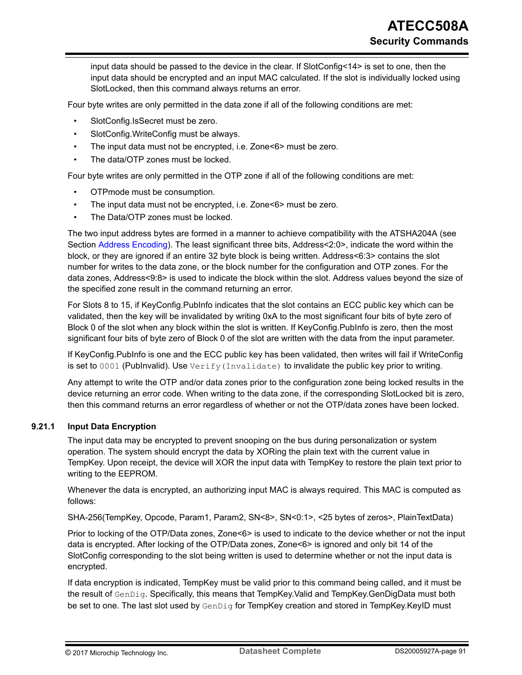input data should be passed to the device in the clear. If SlotConfig<14> is set to one, then the input data should be encrypted and an input MAC calculated. If the slot is individually locked using SlotLocked, then this command always returns an error.

Four byte writes are only permitted in the data zone if all of the following conditions are met:

- SlotConfig.IsSecret must be zero.
- SlotConfig.WriteConfig must be always.
- The input data must not be encrypted, i.e. Zone<6> must be zero.
- The data/OTP zones must be locked.

Four byte writes are only permitted in the OTP zone if all of the following conditions are met:

- OTPmode must be consumption.
- The input data must not be encrypted, i.e. Zone<6> must be zero.
- The Data/OTP zones must be locked.

The two input address bytes are formed in a manner to achieve compatibility with the ATSHA204A (see Section [Address Encoding\)](#page-57-0). The least significant three bits, Address<2:0>, indicate the word within the block, or they are ignored if an entire 32 byte block is being written. Address<6:3> contains the slot number for writes to the data zone, or the block number for the configuration and OTP zones. For the data zones, Address<9:8> is used to indicate the block within the slot. Address values beyond the size of the specified zone result in the command returning an error.

For Slots 8 to 15, if KeyConfig.PubInfo indicates that the slot contains an ECC public key which can be validated, then the key will be invalidated by writing 0xA to the most significant four bits of byte zero of Block 0 of the slot when any block within the slot is written. If KeyConfig.PubInfo is zero, then the most significant four bits of byte zero of Block 0 of the slot are written with the data from the input parameter.

If KeyConfig.PubInfo is one and the ECC public key has been validated, then writes will fail if WriteConfig is set to 0001 (Publnvalid). Use Verify (Invalidate) to invalidate the public key prior to writing.

Any attempt to write the OTP and/or data zones prior to the configuration zone being locked results in the device returning an error code. When writing to the data zone, if the corresponding SlotLocked bit is zero, then this command returns an error regardless of whether or not the OTP/data zones have been locked.

### **9.21.1 Input Data Encryption**

The input data may be encrypted to prevent snooping on the bus during personalization or system operation. The system should encrypt the data by XORing the plain text with the current value in TempKey. Upon receipt, the device will XOR the input data with TempKey to restore the plain text prior to writing to the EEPROM.

Whenever the data is encrypted, an authorizing input MAC is always required. This MAC is computed as follows:

SHA-256(TempKey, Opcode, Param1, Param2, SN<8>, SN<0:1>, <25 bytes of zeros>, PlainTextData)

Prior to locking of the OTP/Data zones, Zone<6> is used to indicate to the device whether or not the input data is encrypted. After locking of the OTP/Data zones, Zone<6> is ignored and only bit 14 of the SlotConfig corresponding to the slot being written is used to determine whether or not the input data is encrypted.

If data encryption is indicated, TempKey must be valid prior to this command being called, and it must be the result of GenDig. Specifically, this means that TempKey.Valid and TempKey.GenDigData must both be set to one. The last slot used by GenDig for TempKey creation and stored in TempKey.KeyID must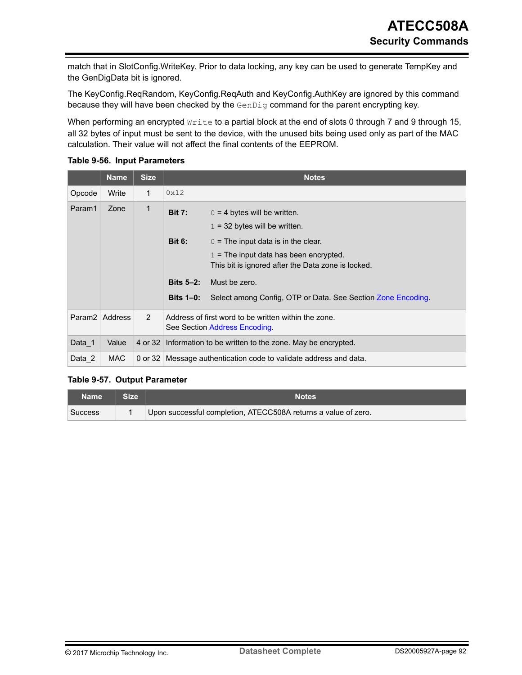match that in SlotConfig.WriteKey. Prior to data locking, any key can be used to generate TempKey and the GenDigData bit is ignored.

The KeyConfig.ReqRandom, KeyConfig.ReqAuth and KeyConfig.AuthKey are ignored by this command because they will have been checked by the GenDig command for the parent encrypting key.

When performing an encrypted Write to a partial block at the end of slots 0 through 7 and 9 through 15, all 32 bytes of input must be sent to the device, with the unused bits being used only as part of the MAC calculation. Their value will not affect the final contents of the EEPROM.

|        | <b>Name</b>      | <b>Size</b>    |                                                           | <b>Notes</b>                                                                          |  |  |
|--------|------------------|----------------|-----------------------------------------------------------|---------------------------------------------------------------------------------------|--|--|
| Opcode | Write            | 1              | 0x12                                                      |                                                                                       |  |  |
| Param1 | Zone             | 1              | <b>Bit 7:</b>                                             | $0 = 4$ bytes will be written.<br>$1 = 32$ bytes will be written.                     |  |  |
|        |                  |                | <b>Bit 6:</b>                                             | $0 =$ The input data is in the clear.<br>$1 =$ The input data has been encrypted.     |  |  |
|        |                  |                |                                                           | This bit is ignored after the Data zone is locked.                                    |  |  |
|        |                  |                | Bits $5-2$ :                                              | Must be zero.                                                                         |  |  |
|        |                  |                | <b>Bits 1–0:</b>                                          | Select among Config, OTP or Data. See Section Zone Encoding.                          |  |  |
|        | Param2   Address | $\overline{2}$ |                                                           | Address of first word to be written within the zone.<br>See Section Address Encoding. |  |  |
| Data_1 | Value            | 4 or 32        | Information to be written to the zone. May be encrypted.  |                                                                                       |  |  |
| Data 2 | MAC              | 0 or 32        | Message authentication code to validate address and data. |                                                                                       |  |  |

### **Table 9-56. Input Parameters**

## **Table 9-57. Output Parameter**

| <b>Name</b> | <b>Size</b> | <b>Notes</b>                                                   |
|-------------|-------------|----------------------------------------------------------------|
| Success     |             | Upon successful completion, ATECC508A returns a value of zero. |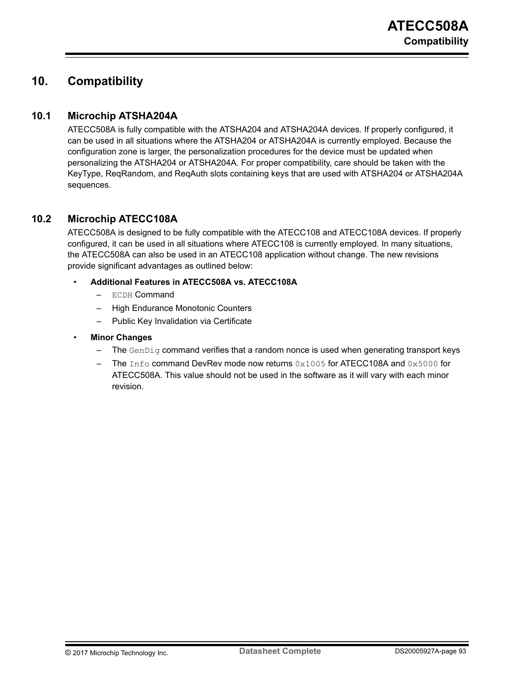# **10. Compatibility**

# **10.1 Microchip ATSHA204A**

ATECC508A is fully compatible with the ATSHA204 and ATSHA204A devices. If properly configured, it can be used in all situations where the ATSHA204 or ATSHA204A is currently employed. Because the configuration zone is larger, the personalization procedures for the device must be updated when personalizing the ATSHA204 or ATSHA204A. For proper compatibility, care should be taken with the KeyType, ReqRandom, and ReqAuth slots containing keys that are used with ATSHA204 or ATSHA204A sequences.

# **10.2 Microchip ATECC108A**

ATECC508A is designed to be fully compatible with the ATECC108 and ATECC108A devices. If properly configured, it can be used in all situations where ATECC108 is currently employed. In many situations, the ATECC508A can also be used in an ATECC108 application without change. The new revisions provide significant advantages as outlined below:

## • **Additional Features in ATECC508A vs. ATECC108A**

- ECDH Command
- High Endurance Monotonic Counters
- Public Key Invalidation via Certificate
- **Minor Changes**
	- The  $GenDiq$  command verifies that a random nonce is used when generating transport keys
	- The  $Inf \circ$  command DevRev mode now returns  $0 \times 1005$  for ATECC108A and  $0 \times 5000$  for ATECC508A. This value should not be used in the software as it will vary with each minor revision.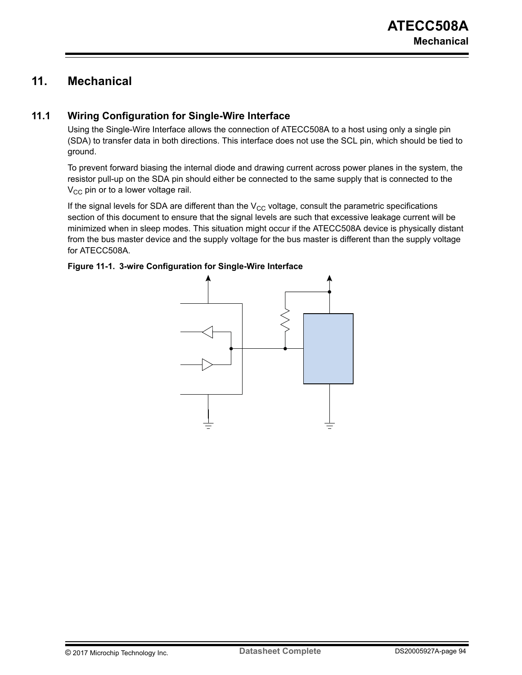# **11. Mechanical**

# **11.1 Wiring Configuration for Single-Wire Interface**

Using the Single-Wire Interface allows the connection of ATECC508A to a host using only a single pin (SDA) to transfer data in both directions. This interface does not use the SCL pin, which should be tied to ground.

To prevent forward biasing the internal diode and drawing current across power planes in the system, the resistor pull-up on the SDA pin should either be connected to the same supply that is connected to the  $V_{CC}$  pin or to a lower voltage rail.

If the signal levels for SDA are different than the  $V_{CC}$  voltage, consult the parametric specifications section of this document to ensure that the signal levels are such that excessive leakage current will be minimized when in sleep modes. This situation might occur if the ATECC508A device is physically distant from the bus master device and the supply voltage for the bus master is different than the supply voltage for ATECC508A.

### **Figure 11-1. 3-wire Configuration for Single-Wire Interface**

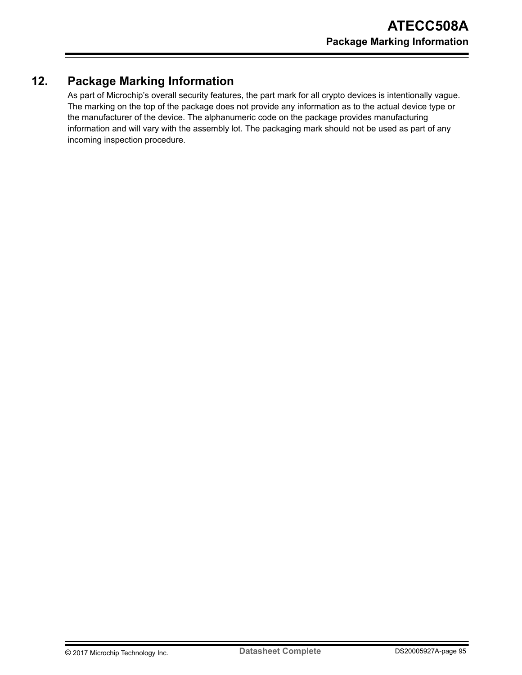# **12. Package Marking Information**

As part of Microchip's overall security features, the part mark for all crypto devices is intentionally vague. The marking on the top of the package does not provide any information as to the actual device type or the manufacturer of the device. The alphanumeric code on the package provides manufacturing information and will vary with the assembly lot. The packaging mark should not be used as part of any incoming inspection procedure.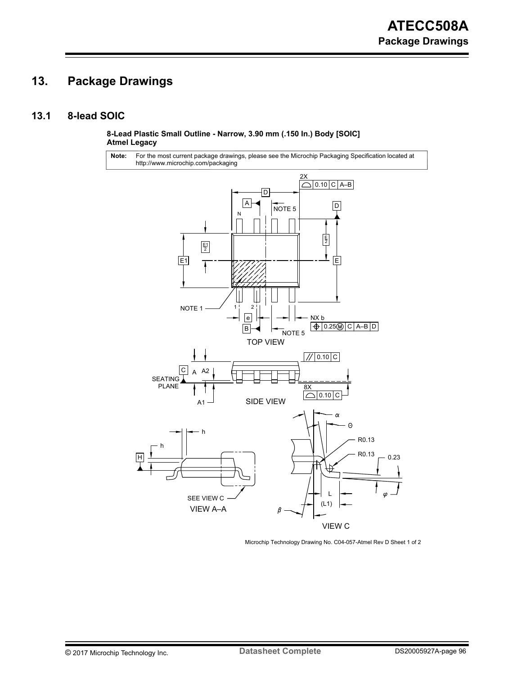# **13. Package Drawings**

# **13.1 8-lead SOIC**

**8-Lead Plastic Small Outline - Narrow, 3.90 mm (.150 In.) Body [SOIC] Atmel Legacy**

For the most current package drawings, please see the Microchip Packaging Specification located at http://www.microchip.com/packaging **Note:**



Microchip Technology Drawing No. C04-057-Atmel Rev D Sheet 1 of 2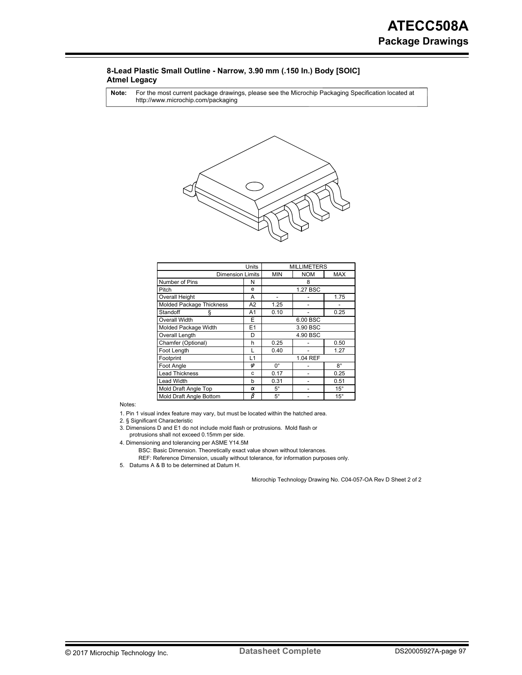#### **8-Lead Plastic Small Outline - Narrow, 3.90 mm (.150 In.) Body [SOIC] Atmel Legacy**

For the most current package drawings, please see the Microchip Packaging Specification located at http://www.microchip.com/packaging **Note:**



|                          | <b>MILLIMETERS</b> |             |            |              |  |
|--------------------------|--------------------|-------------|------------|--------------|--|
| <b>Dimension Limits</b>  |                    | <b>MIN</b>  | <b>NOM</b> | <b>MAX</b>   |  |
| Number of Pins           | N                  |             | 8          |              |  |
| Pitch                    | e                  |             | 1.27 BSC   |              |  |
| <b>Overall Height</b>    | A                  |             |            | 1.75         |  |
| Molded Package Thickness | A2                 | 1.25        |            |              |  |
| Standoff<br>ş            | A1                 | 0.10        |            | 0.25         |  |
| <b>Overall Width</b>     | E                  | 6.00 BSC    |            |              |  |
| Molded Package Width     | E1                 | 3.90 BSC    |            |              |  |
| Overall Length           | D                  | 4.90 BSC    |            |              |  |
| Chamfer (Optional)       | h                  | 0.25        |            | 0.50         |  |
| Foot Length              | L                  | 0.40        |            | 1.27         |  |
| Footprint                | L1                 | 1.04 REF    |            |              |  |
| Foot Angle               | φ                  | $0^{\circ}$ |            | $8^\circ$    |  |
| <b>Lead Thickness</b>    | C                  | 0.17        |            | 0.25         |  |
| <b>Lead Width</b>        | b                  | 0.31        |            | 0.51         |  |
| Mold Draft Angle Top     | α                  | $5^\circ$   |            | $15^{\circ}$ |  |
| Mold Draft Angle Bottom  | β                  | $5^\circ$   |            | $15^{\circ}$ |  |

Notes:

1. Pin 1 visual index feature may vary, but must be located within the hatched area.

2. § Significant Characteristic

protrusions shall not exceed 0.15mm per side. 3. Dimensions D and E1 do not include mold flash or protrusions. Mold flash or

4. Dimensioning and tolerancing per ASME Y14.5M

REF: Reference Dimension, usually without tolerance, for information purposes only. BSC: Basic Dimension. Theoretically exact value shown without tolerances.

5. Datums A & B to be determined at Datum H.

Microchip Technology Drawing No. C04-057-OA Rev D Sheet 2 of 2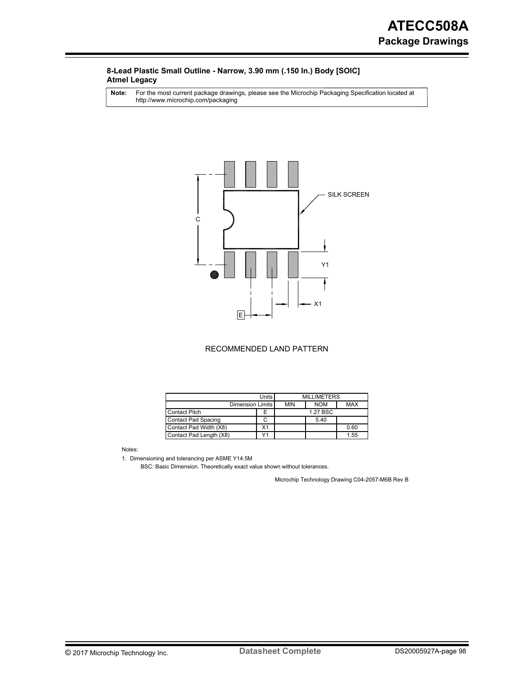#### **8-Lead Plastic Small Outline - Narrow, 3.90 mm (.150 In.) Body [SOIC] Atmel Legacy**

For the most current package drawings, please see the Microchip Packaging Specification located at http://www.microchip.com/packaging **Note:**



#### RECOMMENDED LAND PATTERN

|                                       | <b>MILLIMETERS</b> |            |            |      |
|---------------------------------------|--------------------|------------|------------|------|
| Dimension Limits                      | <b>MIN</b>         | <b>NOM</b> | <b>MAX</b> |      |
| <b>Contact Pitch</b>                  | F                  |            | 1.27 BSC   |      |
| <b>Contact Pad Spacing</b>            |                    |            | 5.40       |      |
| Contact Pad Width (X8)                | X1                 |            |            | 0.60 |
| $\sqrt{4}$<br>Contact Pad Length (X8) |                    |            |            | 1.55 |

Notes:

1. Dimensioning and tolerancing per ASME Y14.5M

BSC: Basic Dimension. Theoretically exact value shown without tolerances.

Microchip Technology Drawing C04-2057-M6B Rev B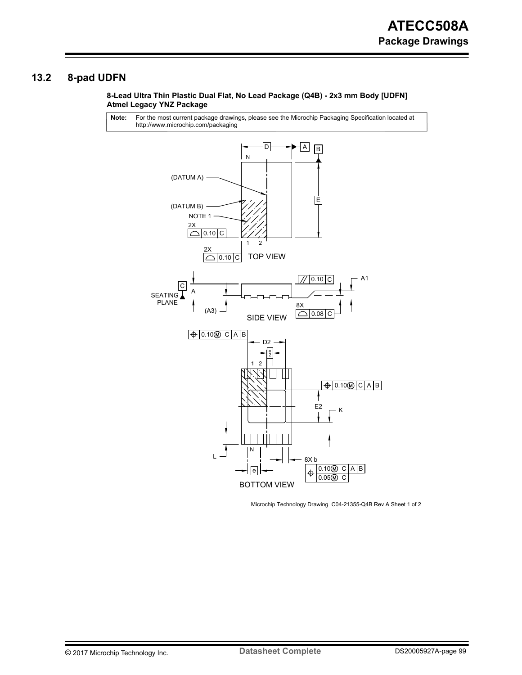# **13.2 8-pad UDFN**

#### **8-Lead Ultra Thin Plastic Dual Flat, No Lead Package (Q4B) - 2x3 mm Body [UDFN] Atmel Legacy YNZ Package**

For the most current package drawings, please see the Microchip Packaging Specification located at http://www.microchip.com/packaging **Note:**



Microchip Technology Drawing C04-21355-Q4B Rev A Sheet 1 of 2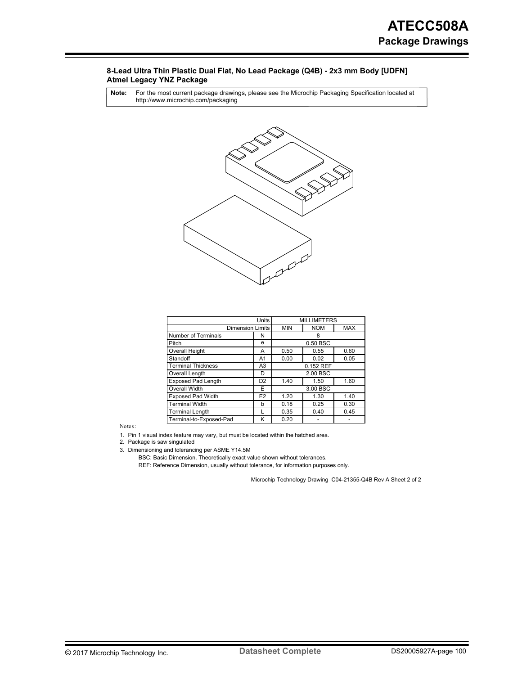#### **8-Lead Ultra Thin Plastic Dual Flat, No Lead Package (Q4B) - 2x3 mm Body [UDFN] Atmel Legacy YNZ Package**

For the most current package drawings, please see the Microchip Packaging Specification located at http://www.microchip.com/packaging **Note:**



|                           | <b>MILLIMETERS</b> |            |            |            |
|---------------------------|--------------------|------------|------------|------------|
| <b>Dimension Limits</b>   |                    | <b>MIN</b> | <b>NOM</b> | <b>MAX</b> |
| Number of Terminals       | N                  | 8          |            |            |
| Pitch                     | e                  |            | 0.50 BSC   |            |
| <b>Overall Height</b>     | A                  | 0.50       | 0.55       | 0.60       |
| Standoff                  | A1                 | 0.00       | 0.02       | 0.05       |
| <b>Terminal Thickness</b> | A <sub>3</sub>     | 0.152 REF  |            |            |
| Overall Length            | D                  | 2.00 BSC   |            |            |
| <b>Exposed Pad Length</b> | D <sub>2</sub>     | 1.40       | 1.50       | 1.60       |
| <b>Overall Width</b>      | F                  | 3.00 BSC   |            |            |
| <b>Exposed Pad Width</b>  | E <sub>2</sub>     | 1.20       | 1.30       | 1.40       |
| <b>Terminal Width</b>     | b                  | 0.18       | 0.25       | 0.30       |
| <b>Terminal Length</b>    |                    | 0.35       | 0.40       | 0.45       |
| Terminal-to-Exposed-Pad   | K                  | 0.20       |            |            |

Notes:

1. Pin 1 visual index feature may vary, but must be located within the hatched area.

2. Package is saw singulated

3. Dimensioning and tolerancing per ASME Y14.5M

BSC: Basic Dimension. Theoretically exact value shown without tolerances.

REF: Reference Dimension, usually without tolerance, for information purposes only.

Microchip Technology Drawing C04-21355-Q4B Rev A Sheet 2 of 2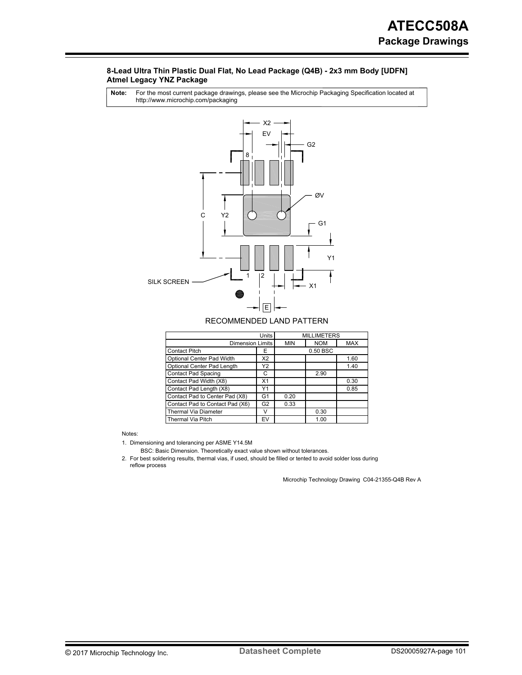#### **8-Lead Ultra Thin Plastic Dual Flat, No Lead Package (Q4B) - 2x3 mm Body [UDFN] Atmel Legacy YNZ Package**

For the most current package drawings, please see the Microchip Packaging Specification located at http://www.microchip.com/packaging **Note:**



#### RECOMMENDED LAND PATTERN

|                                 | <b>MILLIMETERS</b> |            |            |      |
|---------------------------------|--------------------|------------|------------|------|
| <b>Dimension Limits</b>         | <b>MIN</b>         | <b>NOM</b> | <b>MAX</b> |      |
| <b>Contact Pitch</b>            | Е                  | 0.50 BSC   |            |      |
| Optional Center Pad Width       |                    |            | 1.60       |      |
| Optional Center Pad Length      | Y2                 |            |            | 1.40 |
| <b>Contact Pad Spacing</b>      | С                  |            | 2.90       |      |
| Contact Pad Width (X8)          | X <sub>1</sub>     |            |            | 0.30 |
| Contact Pad Length (X8)         | Y1                 |            |            | 0.85 |
| Contact Pad to Center Pad (X8)  | G1                 | 0.20       |            |      |
| Contact Pad to Contact Pad (X6) | G <sub>2</sub>     | 0.33       |            |      |
| <b>Thermal Via Diameter</b>     | v                  |            | 0.30       |      |
| <b>Thermal Via Pitch</b>        | EV                 |            | 1.00       |      |

Notes:

1. Dimensioning and tolerancing per ASME Y14.5M

BSC: Basic Dimension. Theoretically exact value shown without tolerances.

2. For best soldering results, thermal vias, if used, should be filled or tented to avoid solder loss during reflow process

Microchip Technology Drawing C04-21355-Q4B Rev A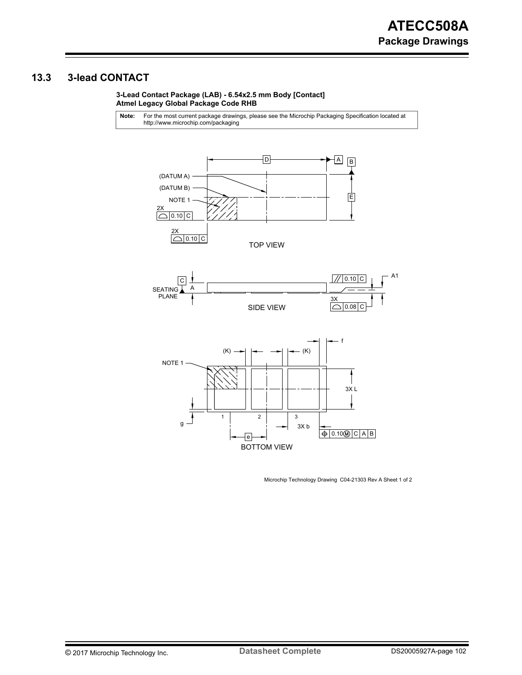# **13.3 3-lead CONTACT**

**3-Lead Contact Package (LAB) - 6.54x2.5 mm Body [Contact] Atmel Legacy Global Package Code RHB**

For the most current package drawings, please see the Microchip Packaging Specification located at http://www.microchip.com/packaging **Note:**



BOTTOM VIEW

Microchip Technology Drawing C04-21303 Rev A Sheet 1 of 2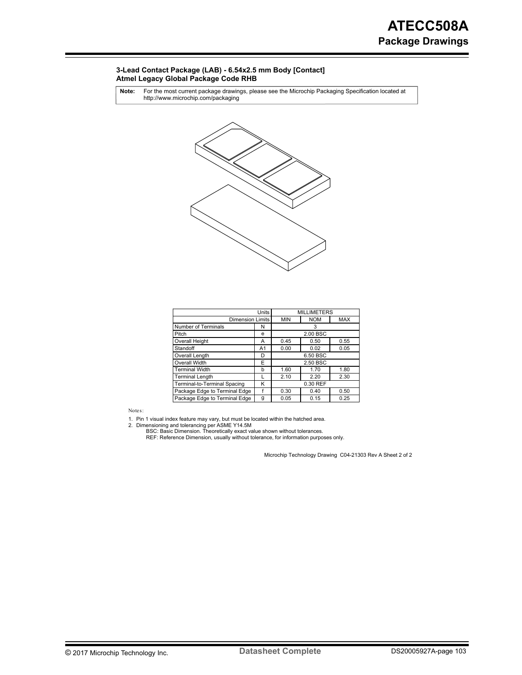#### **3-Lead Contact Package (LAB) - 6.54x2.5 mm Body [Contact] Atmel Legacy Global Package Code RHB**

For the most current package drawings, please see the Microchip Packaging Specification located at http://www.microchip.com/packaging **Note:**



|                               | <b>MILLIMETERS</b> |            |            |          |  |  |
|-------------------------------|--------------------|------------|------------|----------|--|--|
| <b>Dimension Limits</b>       | <b>MIN</b>         | <b>NOM</b> | <b>MAX</b> |          |  |  |
| Number of Terminals           | N                  | 3          |            |          |  |  |
| Pitch                         | e                  |            |            | 2.00 BSC |  |  |
| Overall Height                | Α                  | 0.45       | 0.50       | 0.55     |  |  |
| Standoff                      | A1                 | 0.00       | 0.02       | 0.05     |  |  |
| Overall Length                | D                  | 6.50 BSC   |            |          |  |  |
| Overall Width                 |                    | 2.50 BSC   |            |          |  |  |
| <b>Terminal Width</b>         | b                  | 1.60       | 1.70       | 1.80     |  |  |
| Terminal Length               |                    | 2.10       | 2.20       | 2.30     |  |  |
| Terminal-to-Terminal Spacing  |                    | 0.30 REF   |            |          |  |  |
| Package Edge to Terminal Edge |                    | 0.30       | 0.40       | 0.50     |  |  |
| Package Edge to Terminal Edge | g                  | 0.05       | 0.15       | 0.25     |  |  |

Notes:

1. 2. Pin 1 visual index feature may vary, but must be located within the hatched area. Dimensioning and tolerancing per ASME Y14.5M

BSC: Basic Dimension. Theoretically exact value shown without tolerances.<br>REF: Reference Dimension, usually without tolerance, for information purposes only.

Microchip Technology Drawing C04-21303 Rev A Sheet 2 of 2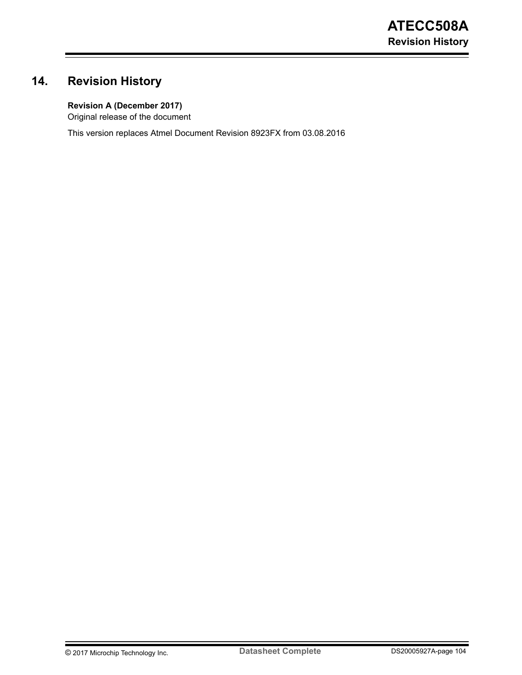# **14. Revision History**

# **Revision A (December 2017)**

Original release of the document

This version replaces Atmel Document Revision 8923FX from 03.08.2016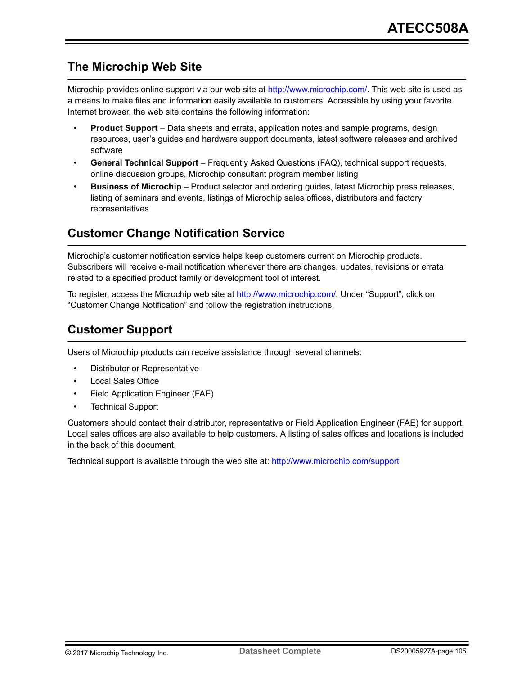# **The Microchip Web Site**

Microchip provides online support via our web site at [http://www.microchip.com/.](http://www.microchip.com/) This web site is used as a means to make files and information easily available to customers. Accessible by using your favorite Internet browser, the web site contains the following information:

- **Product Support** Data sheets and errata, application notes and sample programs, design resources, user's guides and hardware support documents, latest software releases and archived software
- **General Technical Support** Frequently Asked Questions (FAQ), technical support requests, online discussion groups, Microchip consultant program member listing
- **Business of Microchip** Product selector and ordering guides, latest Microchip press releases, listing of seminars and events, listings of Microchip sales offices, distributors and factory representatives

# **Customer Change Notification Service**

Microchip's customer notification service helps keep customers current on Microchip products. Subscribers will receive e-mail notification whenever there are changes, updates, revisions or errata related to a specified product family or development tool of interest.

To register, access the Microchip web site at [http://www.microchip.com/.](http://www.microchip.com/) Under "Support", click on "Customer Change Notification" and follow the registration instructions.

# **Customer Support**

Users of Microchip products can receive assistance through several channels:

- Distributor or Representative
- Local Sales Office
- Field Application Engineer (FAE)
- Technical Support

Customers should contact their distributor, representative or Field Application Engineer (FAE) for support. Local sales offices are also available to help customers. A listing of sales offices and locations is included in the back of this document.

Technical support is available through the web site at: <http://www.microchip.com/support>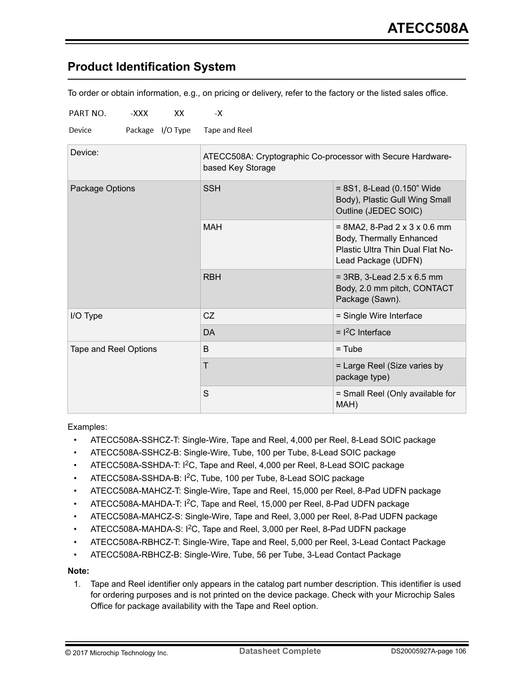# **Product Identification System**

To order or obtain information, e.g., on pricing or delivery, refer to the factory or the listed sales office.

| PART NO.              | -XXX | XX | -Х                                                                               |                                                                                                                                    |  |  |  |
|-----------------------|------|----|----------------------------------------------------------------------------------|------------------------------------------------------------------------------------------------------------------------------------|--|--|--|
| Device                |      |    | Package I/O Type Tape and Reel                                                   |                                                                                                                                    |  |  |  |
| Device:               |      |    | ATECC508A: Cryptographic Co-processor with Secure Hardware-<br>based Key Storage |                                                                                                                                    |  |  |  |
| Package Options       |      |    | <b>SSH</b>                                                                       | $= 8S1, 8$ -Lead (0.150" Wide<br>Body), Plastic Gull Wing Small<br>Outline (JEDEC SOIC)                                            |  |  |  |
|                       |      |    | <b>MAH</b>                                                                       | $= 8MA2$ , 8-Pad $2 \times 3 \times 0.6$ mm<br>Body, Thermally Enhanced<br>Plastic Ultra Thin Dual Flat No-<br>Lead Package (UDFN) |  |  |  |
|                       |      |    | <b>RBH</b>                                                                       | $= 3RB$ , 3-Lead 2.5 x 6.5 mm<br>Body, 2.0 mm pitch, CONTACT<br>Package (Sawn).                                                    |  |  |  |
| I/O Type              |      |    | CZ                                                                               | = Single Wire Interface                                                                                                            |  |  |  |
|                       |      |    | <b>DA</b>                                                                        | $=$ $12C$ Interface                                                                                                                |  |  |  |
| Tape and Reel Options |      |    | B                                                                                | $=$ Tube                                                                                                                           |  |  |  |
|                       |      |    | T                                                                                | = Large Reel (Size varies by<br>package type)                                                                                      |  |  |  |
|                       |      |    | S                                                                                | = Small Reel (Only available for<br>MAH)                                                                                           |  |  |  |

Examples:

- ATECC508A-SSHCZ-T: Single-Wire, Tape and Reel, 4,000 per Reel, 8-Lead SOIC package
- ATECC508A-SSHCZ-B: Single-Wire, Tube, 100 per Tube, 8-Lead SOIC package
- ATECC508A-SSHDA-T: I<sup>2</sup>C, Tape and Reel, 4,000 per Reel, 8-Lead SOIC package
- ATECC508A-SSHDA-B: I2C, Tube, 100 per Tube, 8-Lead SOIC package
- ATECC508A-MAHCZ-T: Single-Wire, Tape and Reel, 15,000 per Reel, 8-Pad UDFN package
- ATECC508A-MAHDA-T: I2C, Tape and Reel, 15,000 per Reel, 8-Pad UDFN package
- ATECC508A-MAHCZ-S: Single-Wire, Tape and Reel, 3,000 per Reel, 8-Pad UDFN package
- ATECC508A-MAHDA-S: I<sup>2</sup>C, Tape and Reel, 3,000 per Reel, 8-Pad UDFN package
- ATECC508A-RBHCZ-T: Single-Wire, Tape and Reel, 5,000 per Reel, 3-Lead Contact Package
- ATECC508A-RBHCZ-B: Single-Wire, Tube, 56 per Tube, 3-Lead Contact Package

**Note:** 

1. Tape and Reel identifier only appears in the catalog part number description. This identifier is used for ordering purposes and is not printed on the device package. Check with your Microchip Sales Office for package availability with the Tape and Reel option.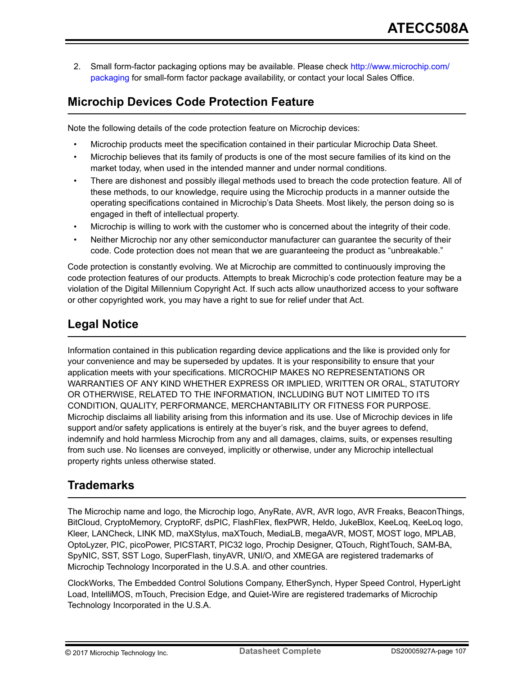2. Small form-factor packaging options may be available. Please check [http://www.microchip.com/](http://www.microchip.com/packaging) [packaging](http://www.microchip.com/packaging) for small-form factor package availability, or contact your local Sales Office.

# **Microchip Devices Code Protection Feature**

Note the following details of the code protection feature on Microchip devices:

- Microchip products meet the specification contained in their particular Microchip Data Sheet.
- Microchip believes that its family of products is one of the most secure families of its kind on the market today, when used in the intended manner and under normal conditions.
- There are dishonest and possibly illegal methods used to breach the code protection feature. All of these methods, to our knowledge, require using the Microchip products in a manner outside the operating specifications contained in Microchip's Data Sheets. Most likely, the person doing so is engaged in theft of intellectual property.
- Microchip is willing to work with the customer who is concerned about the integrity of their code.
- Neither Microchip nor any other semiconductor manufacturer can guarantee the security of their code. Code protection does not mean that we are guaranteeing the product as "unbreakable."

Code protection is constantly evolving. We at Microchip are committed to continuously improving the code protection features of our products. Attempts to break Microchip's code protection feature may be a violation of the Digital Millennium Copyright Act. If such acts allow unauthorized access to your software or other copyrighted work, you may have a right to sue for relief under that Act.

# **Legal Notice**

Information contained in this publication regarding device applications and the like is provided only for your convenience and may be superseded by updates. It is your responsibility to ensure that your application meets with your specifications. MICROCHIP MAKES NO REPRESENTATIONS OR WARRANTIES OF ANY KIND WHETHER EXPRESS OR IMPLIED, WRITTEN OR ORAL, STATUTORY OR OTHERWISE, RELATED TO THE INFORMATION, INCLUDING BUT NOT LIMITED TO ITS CONDITION, QUALITY, PERFORMANCE, MERCHANTABILITY OR FITNESS FOR PURPOSE. Microchip disclaims all liability arising from this information and its use. Use of Microchip devices in life support and/or safety applications is entirely at the buyer's risk, and the buyer agrees to defend, indemnify and hold harmless Microchip from any and all damages, claims, suits, or expenses resulting from such use. No licenses are conveyed, implicitly or otherwise, under any Microchip intellectual property rights unless otherwise stated.

# **Trademarks**

The Microchip name and logo, the Microchip logo, AnyRate, AVR, AVR logo, AVR Freaks, BeaconThings, BitCloud, CryptoMemory, CryptoRF, dsPIC, FlashFlex, flexPWR, Heldo, JukeBlox, KeeLoq, KeeLoq logo, Kleer, LANCheck, LINK MD, maXStylus, maXTouch, MediaLB, megaAVR, MOST, MOST logo, MPLAB, OptoLyzer, PIC, picoPower, PICSTART, PIC32 logo, Prochip Designer, QTouch, RightTouch, SAM-BA, SpyNIC, SST, SST Logo, SuperFlash, tinyAVR, UNI/O, and XMEGA are registered trademarks of Microchip Technology Incorporated in the U.S.A. and other countries.

ClockWorks, The Embedded Control Solutions Company, EtherSynch, Hyper Speed Control, HyperLight Load, IntelliMOS, mTouch, Precision Edge, and Quiet-Wire are registered trademarks of Microchip Technology Incorporated in the U.S.A.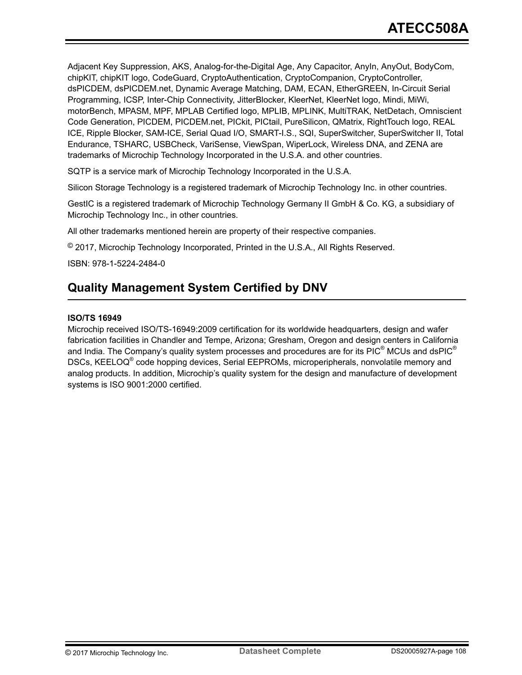Adjacent Key Suppression, AKS, Analog-for-the-Digital Age, Any Capacitor, AnyIn, AnyOut, BodyCom, chipKIT, chipKIT logo, CodeGuard, CryptoAuthentication, CryptoCompanion, CryptoController, dsPICDEM, dsPICDEM.net, Dynamic Average Matching, DAM, ECAN, EtherGREEN, In-Circuit Serial Programming, ICSP, Inter-Chip Connectivity, JitterBlocker, KleerNet, KleerNet logo, Mindi, MiWi, motorBench, MPASM, MPF, MPLAB Certified logo, MPLIB, MPLINK, MultiTRAK, NetDetach, Omniscient Code Generation, PICDEM, PICDEM.net, PICkit, PICtail, PureSilicon, QMatrix, RightTouch logo, REAL ICE, Ripple Blocker, SAM-ICE, Serial Quad I/O, SMART-I.S., SQI, SuperSwitcher, SuperSwitcher II, Total Endurance, TSHARC, USBCheck, VariSense, ViewSpan, WiperLock, Wireless DNA, and ZENA are trademarks of Microchip Technology Incorporated in the U.S.A. and other countries.

SQTP is a service mark of Microchip Technology Incorporated in the U.S.A.

Silicon Storage Technology is a registered trademark of Microchip Technology Inc. in other countries.

GestIC is a registered trademark of Microchip Technology Germany II GmbH & Co. KG, a subsidiary of Microchip Technology Inc., in other countries.

All other trademarks mentioned herein are property of their respective companies.

© 2017, Microchip Technology Incorporated, Printed in the U.S.A., All Rights Reserved.

ISBN: 978-1-5224-2484-0

# **Quality Management System Certified by DNV**

#### **ISO/TS 16949**

Microchip received ISO/TS-16949:2009 certification for its worldwide headquarters, design and wafer fabrication facilities in Chandler and Tempe, Arizona; Gresham, Oregon and design centers in California and India. The Company's quality system processes and procedures are for its PIC® MCUs and dsPIC® DSCs, KEELOQ<sup>®</sup> code hopping devices, Serial EEPROMs, microperipherals, nonvolatile memory and analog products. In addition, Microchip's quality system for the design and manufacture of development systems is ISO 9001:2000 certified.